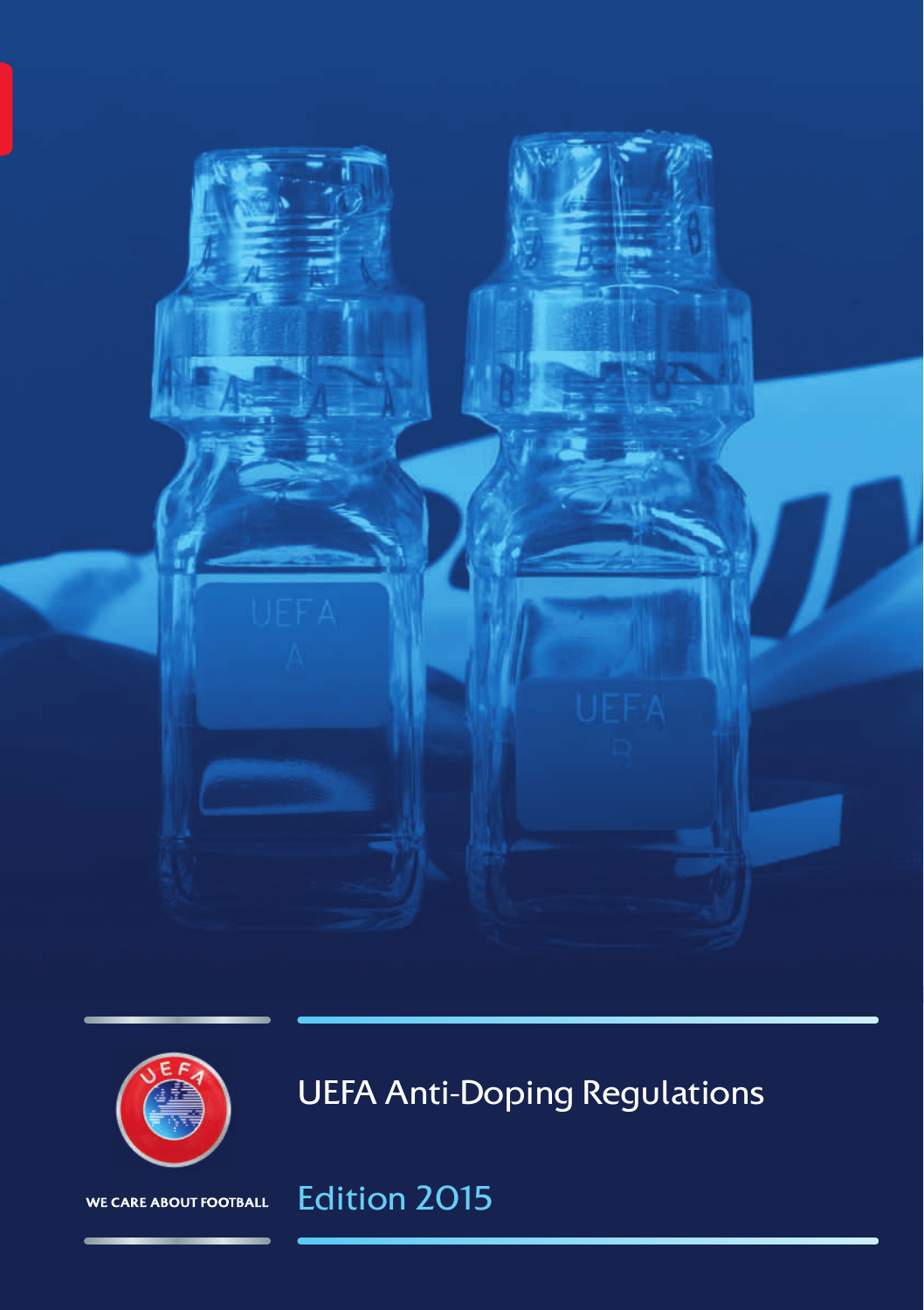



UEFA Anti-Doping Regulations



## Edition 2015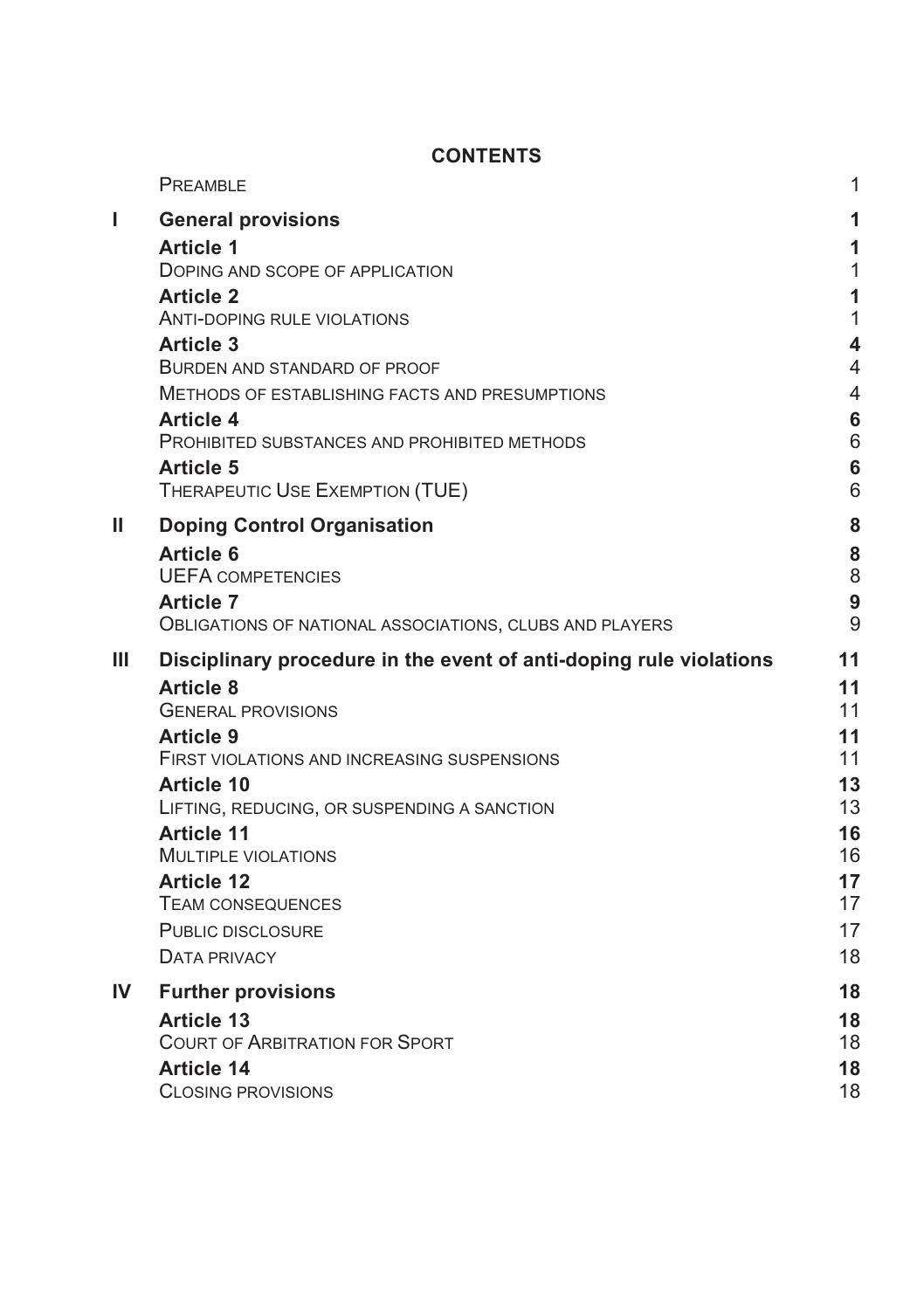## **CONTENTS**

|    | PREAMBLE                                                           | 1                   |
|----|--------------------------------------------------------------------|---------------------|
| I. | <b>General provisions</b>                                          | 1                   |
|    | <b>Article 1</b>                                                   | 1                   |
|    | DOPING AND SCOPE OF APPLICATION                                    | 1                   |
|    | <b>Article 2</b>                                                   | 1                   |
|    | ANTI-DOPING RULE VIOLATIONS                                        | 1                   |
|    | <b>Article 3</b><br>BURDEN AND STANDARD OF PROOF                   | 4<br>$\overline{4}$ |
|    |                                                                    | $\overline{4}$      |
|    | METHODS OF ESTABLISHING FACTS AND PRESUMPTIONS<br><b>Article 4</b> | 6                   |
|    | PROHIBITED SUBSTANCES AND PROHIBITED METHODS                       | 6                   |
|    | Article 5                                                          | 6                   |
|    | THERAPEUTIC USE EXEMPTION (TUE)                                    | 6                   |
| Ш  | <b>Doping Control Organisation</b>                                 | 8                   |
|    | <b>Article 6</b>                                                   | 8                   |
|    | <b>UEFA COMPETENCIES</b>                                           | 8                   |
|    | <b>Article 7</b>                                                   | 9                   |
|    | OBLIGATIONS OF NATIONAL ASSOCIATIONS, CLUBS AND PLAYERS            | 9                   |
| Ш  | Disciplinary procedure in the event of anti-doping rule violations | 11                  |
|    | <b>Article 8</b>                                                   | 11                  |
|    | <b>GENERAL PROVISIONS</b>                                          | 11                  |
|    | <b>Article 9</b>                                                   | 11<br>11            |
|    | FIRST VIOLATIONS AND INCREASING SUSPENSIONS                        | 13                  |
|    | <b>Article 10</b><br>LIFTING, REDUCING, OR SUSPENDING A SANCTION   | 13                  |
|    | <b>Article 11</b>                                                  | 16                  |
|    | <b>MULTIPLE VIOLATIONS</b>                                         | 16                  |
|    | <b>Article 12</b>                                                  | 17                  |
|    | <b>TEAM CONSEQUENCES</b>                                           | 17                  |
|    | <b>PUBLIC DISCLOSURE</b>                                           | 17                  |
|    | DATA PRIVACY                                                       | 18                  |
| IV | <b>Further provisions</b>                                          | 18                  |
|    | <b>Article 13</b>                                                  | 18                  |
|    | <b>COURT OF ARBITRATION FOR SPORT</b>                              | 18                  |
|    | <b>Article 14</b>                                                  | 18                  |
|    | <b>CLOSING PROVISIONS</b>                                          | 18                  |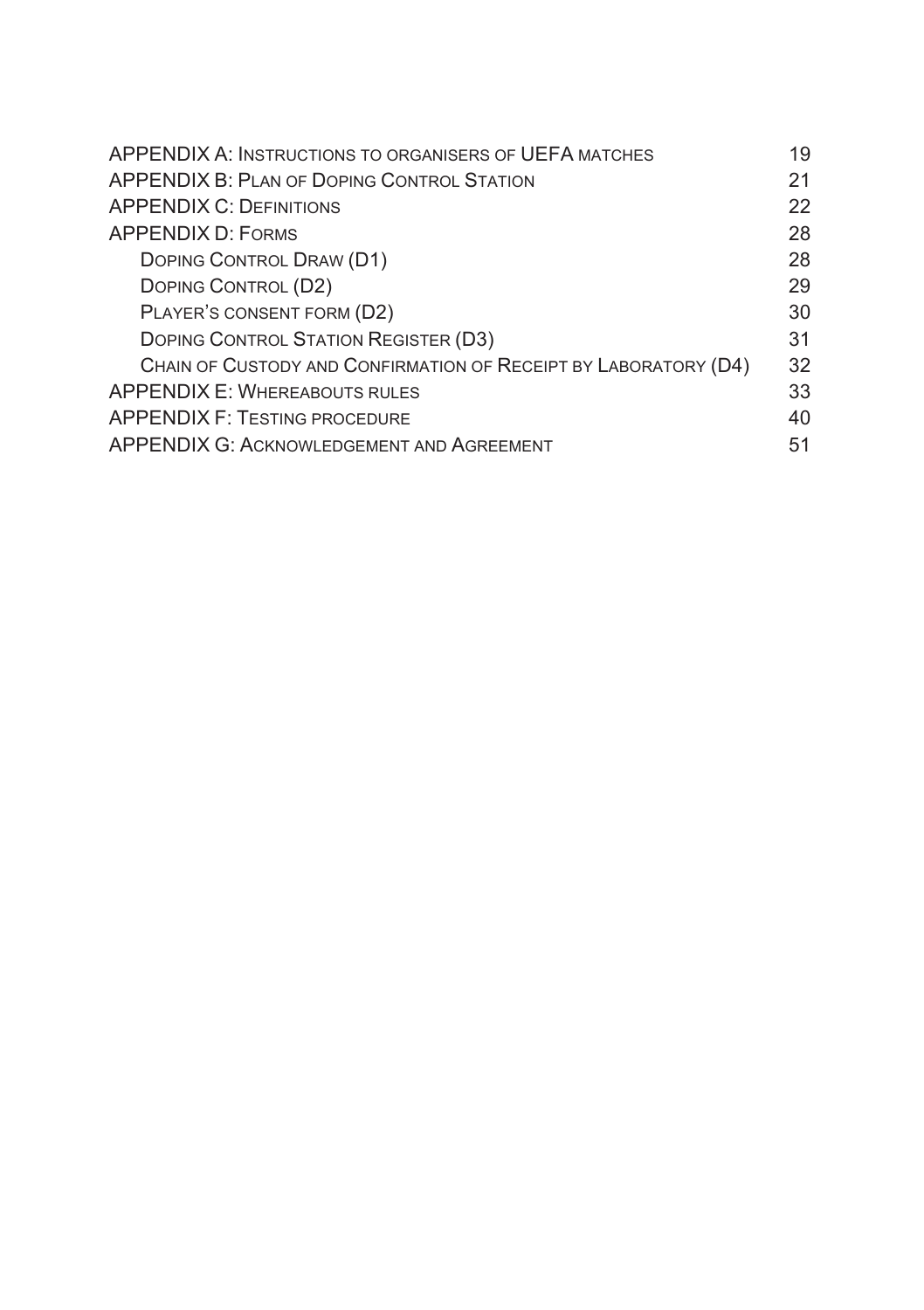| 19 |
|----|
| 21 |
| 22 |
| 28 |
| 28 |
| 29 |
| 30 |
| 31 |
| 32 |
| 33 |
| 40 |
| 51 |
|    |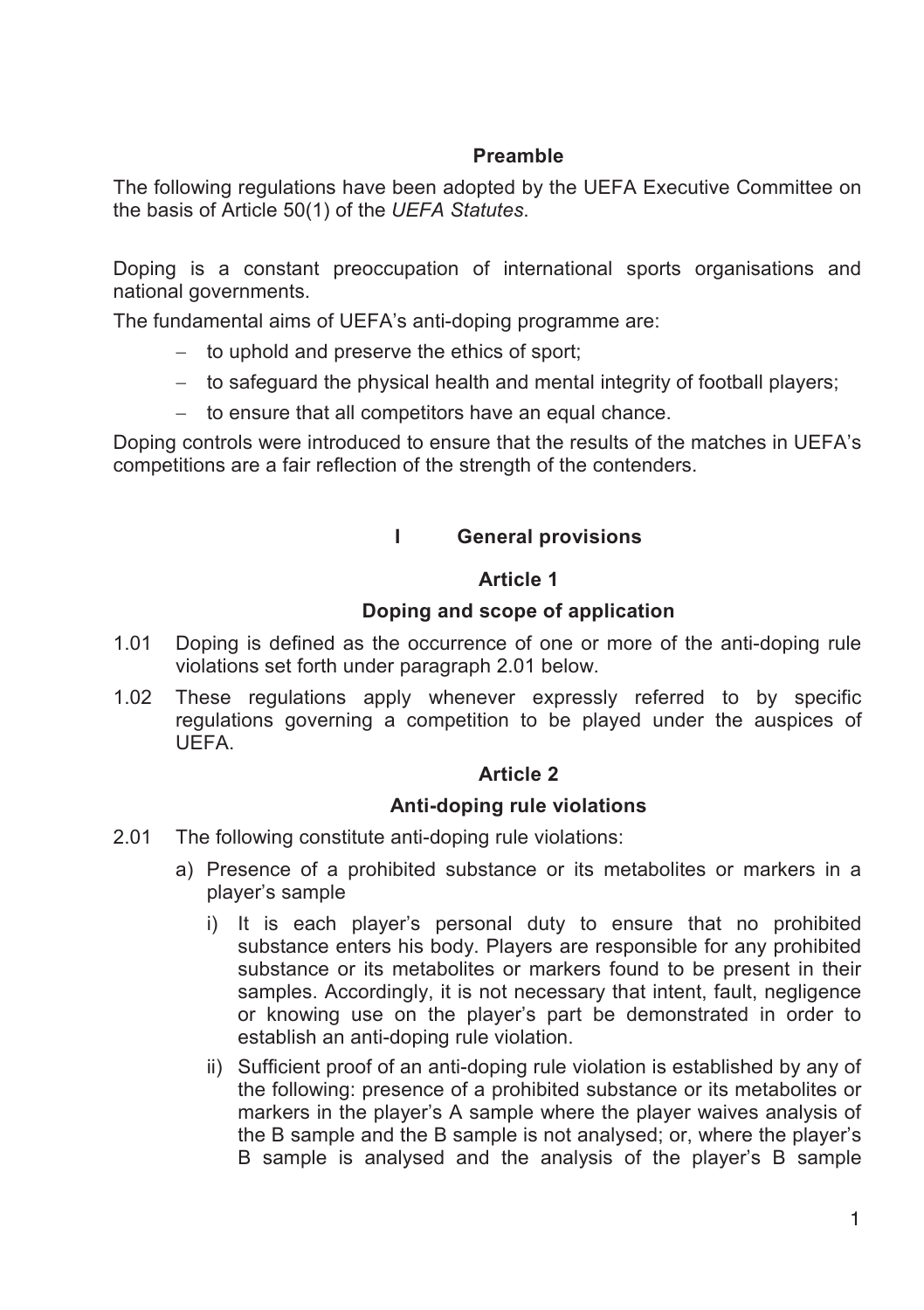#### **Preamble**

The following regulations have been adopted by the UEFA Executive Committee on the basis of Article 50(1) of the *UEFA Statutes*.

Doping is a constant preoccupation of international sports organisations and national governments.

The fundamental aims of UEFA's anti-doping programme are:

- to uphold and preserve the ethics of sport:
- $-$  to safeguard the physical health and mental integrity of football players;
- $-$  to ensure that all competitors have an equal chance.

Doping controls were introduced to ensure that the results of the matches in UEFA's competitions are a fair reflection of the strength of the contenders.

#### **I General provisions**

#### **Article 1**

#### **Doping and scope of application**

- 1.01 Doping is defined as the occurrence of one or more of the anti-doping rule violations set forth under paragraph 2.01 below.
- 1.02 These regulations apply whenever expressly referred to by specific regulations governing a competition to be played under the auspices of UEFA.

#### **Article 2**

#### **Anti-doping rule violations**

- 2.01 The following constitute anti-doping rule violations:
	- a) Presence of a prohibited substance or its metabolites or markers in a player's sample
		- i) It is each player's personal duty to ensure that no prohibited substance enters his body. Players are responsible for any prohibited substance or its metabolites or markers found to be present in their samples. Accordingly, it is not necessary that intent, fault, negligence or knowing use on the player's part be demonstrated in order to establish an anti-doping rule violation.
		- ii) Sufficient proof of an anti-doping rule violation is established by any of the following: presence of a prohibited substance or its metabolites or markers in the player's A sample where the player waives analysis of the B sample and the B sample is not analysed; or, where the player's B sample is analysed and the analysis of the player's B sample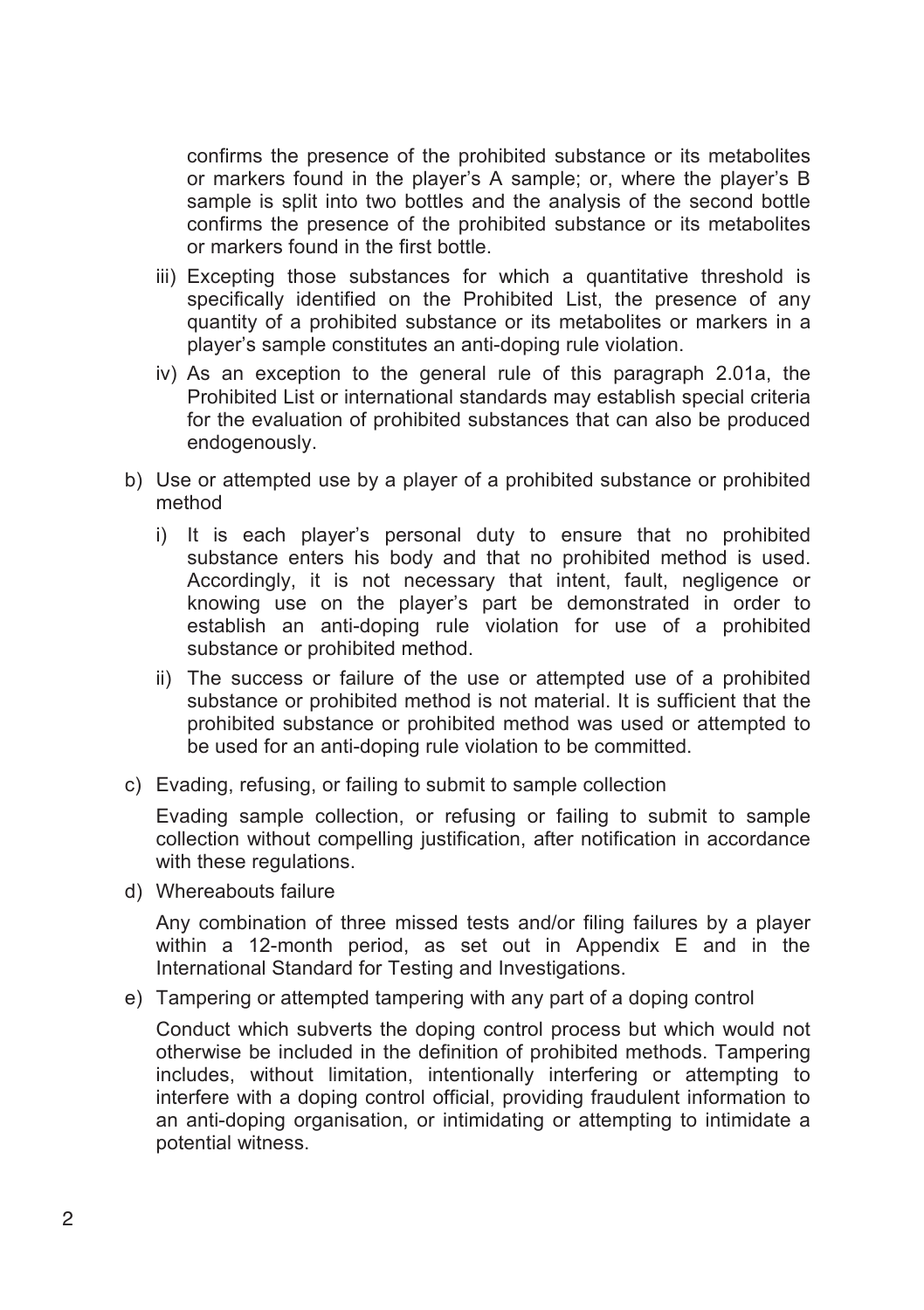confirms the presence of the prohibited substance or its metabolites or markers found in the player's A sample; or, where the player's B sample is split into two bottles and the analysis of the second bottle confirms the presence of the prohibited substance or its metabolites or markers found in the first bottle.

- iii) Excepting those substances for which a quantitative threshold is specifically identified on the Prohibited List, the presence of any quantity of a prohibited substance or its metabolites or markers in a player's sample constitutes an anti-doping rule violation.
- iv) As an exception to the general rule of this paragraph 2.01a, the Prohibited List or international standards may establish special criteria for the evaluation of prohibited substances that can also be produced endogenously.
- b) Use or attempted use by a player of a prohibited substance or prohibited method
	- i) It is each player's personal duty to ensure that no prohibited substance enters his body and that no prohibited method is used. Accordingly, it is not necessary that intent, fault, negligence or knowing use on the player's part be demonstrated in order to establish an anti-doping rule violation for use of a prohibited substance or prohibited method.
	- ii) The success or failure of the use or attempted use of a prohibited substance or prohibited method is not material. It is sufficient that the prohibited substance or prohibited method was used or attempted to be used for an anti-doping rule violation to be committed.
- c) Evading, refusing, or failing to submit to sample collection

Evading sample collection, or refusing or failing to submit to sample collection without compelling justification, after notification in accordance with these regulations.

d) Whereabouts failure

Any combination of three missed tests and/or filing failures by a player within a 12-month period, as set out in Appendix E and in the International Standard for Testing and Investigations.

e) Tampering or attempted tampering with any part of a doping control

Conduct which subverts the doping control process but which would not otherwise be included in the definition of prohibited methods. Tampering includes, without limitation, intentionally interfering or attempting to interfere with a doping control official, providing fraudulent information to an anti-doping organisation, or intimidating or attempting to intimidate a potential witness.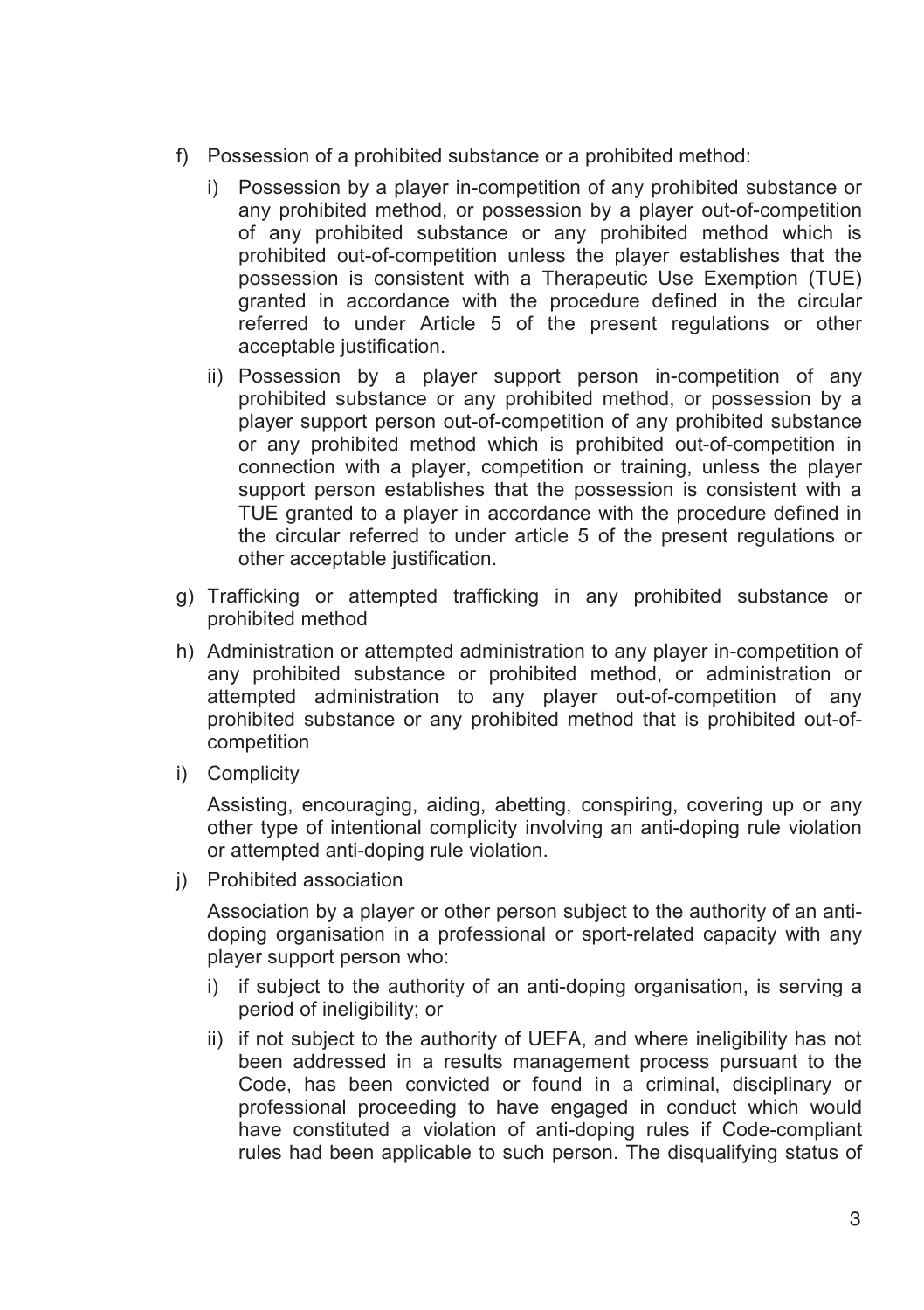- f) Possession of a prohibited substance or a prohibited method:
	- i) Possession by a player in-competition of any prohibited substance or any prohibited method, or possession by a player out-of-competition of any prohibited substance or any prohibited method which is prohibited out-of-competition unless the player establishes that the possession is consistent with a Therapeutic Use Exemption (TUE) granted in accordance with the procedure defined in the circular referred to under Article 5 of the present regulations or other acceptable justification.
	- ii) Possession by a player support person in-competition of any prohibited substance or any prohibited method, or possession by a player support person out-of-competition of any prohibited substance or any prohibited method which is prohibited out-of-competition in connection with a player, competition or training, unless the player support person establishes that the possession is consistent with a TUE granted to a player in accordance with the procedure defined in the circular referred to under article 5 of the present regulations or other acceptable justification.
- g) Trafficking or attempted trafficking in any prohibited substance or prohibited method
- h) Administration or attempted administration to any player in-competition of any prohibited substance or prohibited method, or administration or attempted administration to any player out-of-competition of any prohibited substance or any prohibited method that is prohibited out-ofcompetition
- i) Complicity

Assisting, encouraging, aiding, abetting, conspiring, covering up or any other type of intentional complicity involving an anti-doping rule violation or attempted anti-doping rule violation.

j) Prohibited association

Association by a player or other person subject to the authority of an antidoping organisation in a professional or sport-related capacity with any player support person who:

- i) if subject to the authority of an anti-doping organisation, is serving a period of ineligibility; or
- ii) if not subject to the authority of UEFA, and where ineligibility has not been addressed in a results management process pursuant to the Code, has been convicted or found in a criminal, disciplinary or professional proceeding to have engaged in conduct which would have constituted a violation of anti-doping rules if Code-compliant rules had been applicable to such person. The disqualifying status of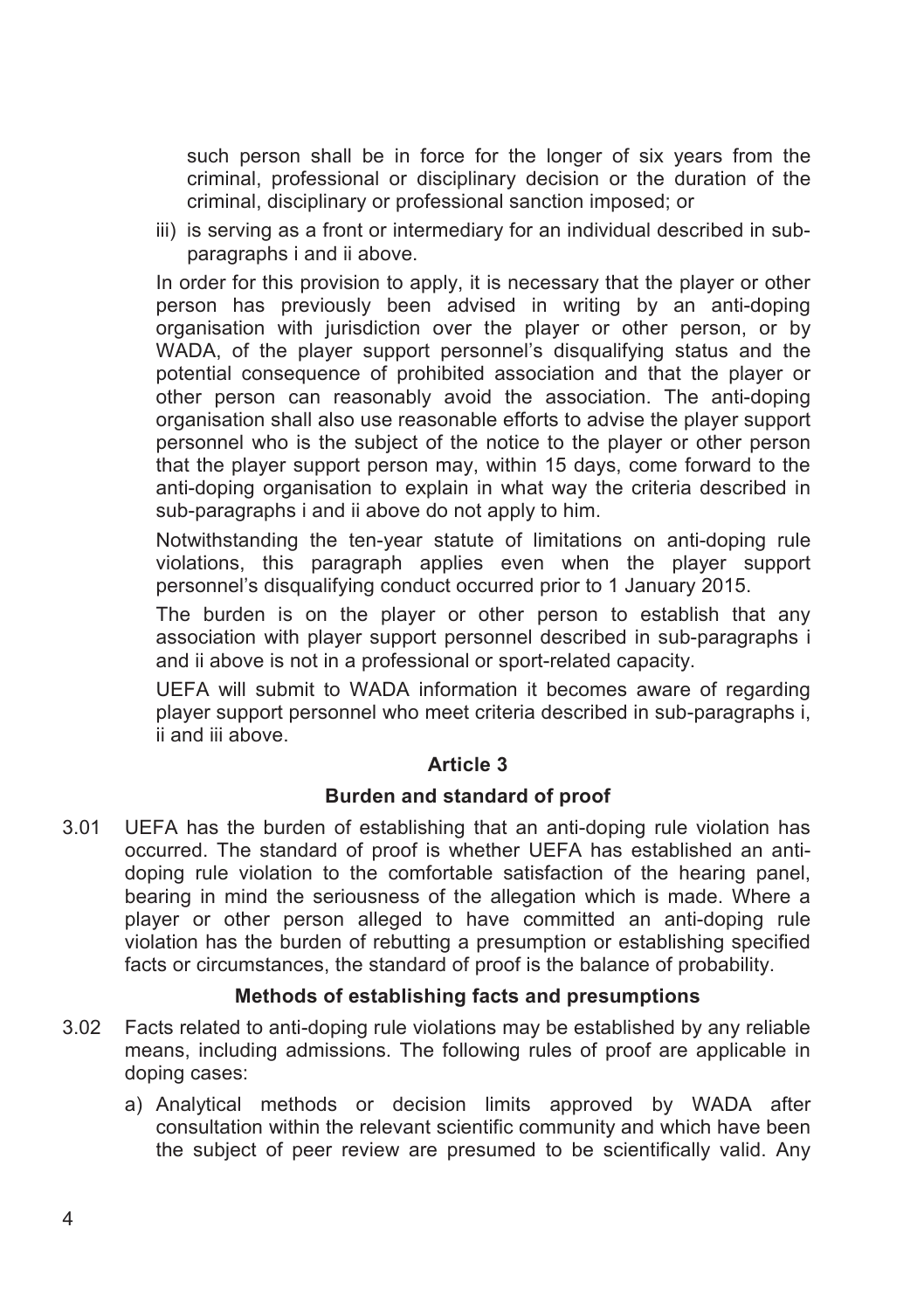such person shall be in force for the longer of six years from the criminal, professional or disciplinary decision or the duration of the criminal, disciplinary or professional sanction imposed; or

iii) is serving as a front or intermediary for an individual described in subparagraphs i and ii above.

In order for this provision to apply, it is necessary that the player or other person has previously been advised in writing by an anti-doping organisation with jurisdiction over the player or other person, or by WADA, of the player support personnel's disqualifying status and the potential consequence of prohibited association and that the player or other person can reasonably avoid the association. The anti-doping organisation shall also use reasonable efforts to advise the player support personnel who is the subject of the notice to the player or other person that the player support person may, within 15 days, come forward to the anti-doping organisation to explain in what way the criteria described in sub-paragraphs i and ii above do not apply to him.

Notwithstanding the ten-year statute of limitations on anti-doping rule violations, this paragraph applies even when the player support personnel's disqualifying conduct occurred prior to 1 January 2015.

The burden is on the player or other person to establish that any association with player support personnel described in sub-paragraphs i and ii above is not in a professional or sport-related capacity.

UEFA will submit to WADA information it becomes aware of regarding player support personnel who meet criteria described in sub-paragraphs i, ii and iii above.

#### **Article 3**

#### **Burden and standard of proof**

3.01 UEFA has the burden of establishing that an anti-doping rule violation has occurred. The standard of proof is whether UEFA has established an antidoping rule violation to the comfortable satisfaction of the hearing panel, bearing in mind the seriousness of the allegation which is made. Where a player or other person alleged to have committed an anti-doping rule violation has the burden of rebutting a presumption or establishing specified facts or circumstances, the standard of proof is the balance of probability.

#### **Methods of establishing facts and presumptions**

- 3.02 Facts related to anti-doping rule violations may be established by any reliable means, including admissions. The following rules of proof are applicable in doping cases:
	- a) Analytical methods or decision limits approved by WADA after consultation within the relevant scientific community and which have been the subject of peer review are presumed to be scientifically valid. Any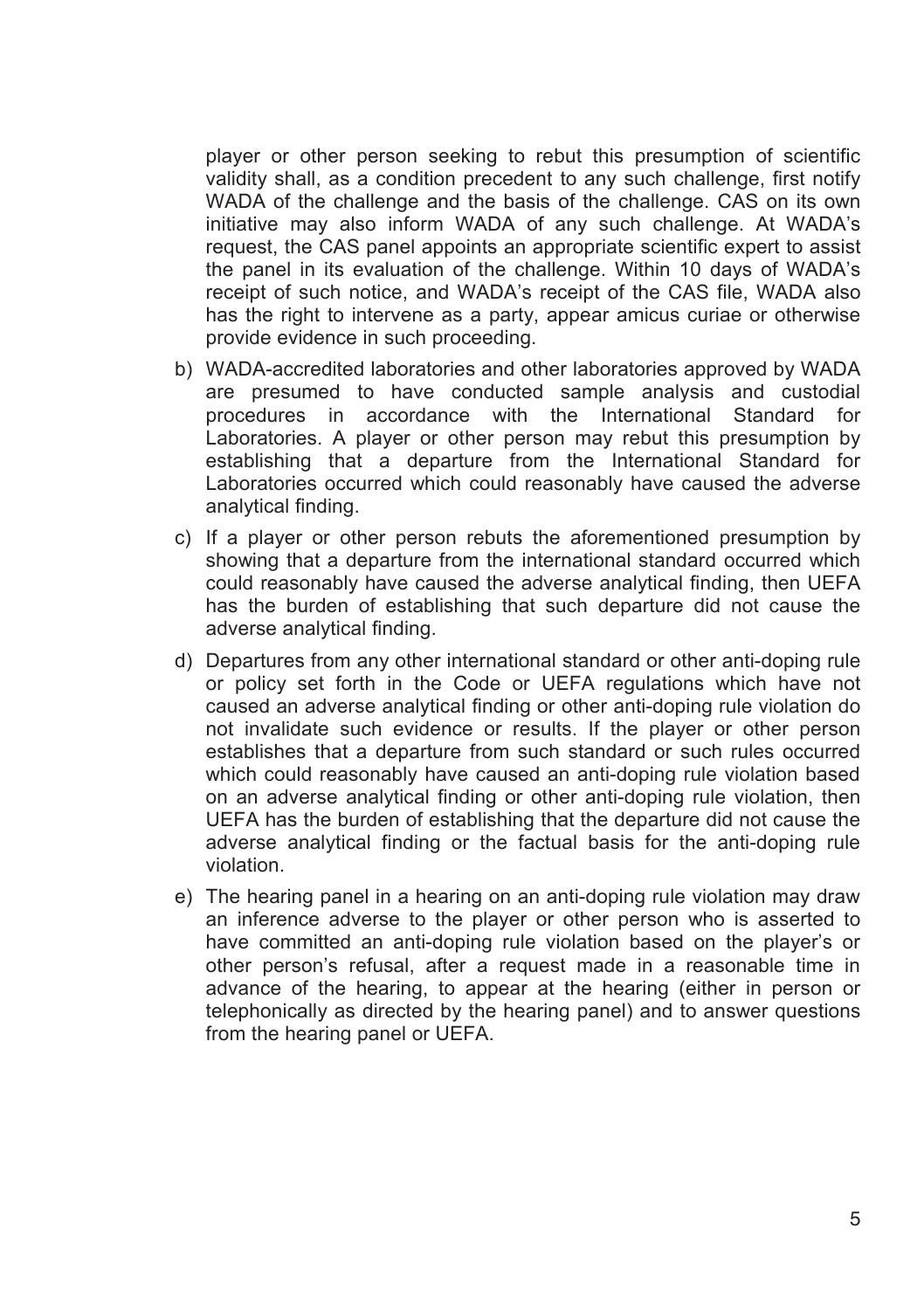player or other person seeking to rebut this presumption of scientific validity shall, as a condition precedent to any such challenge, first notify WADA of the challenge and the basis of the challenge. CAS on its own initiative may also inform WADA of any such challenge. At WADA's request, the CAS panel appoints an appropriate scientific expert to assist the panel in its evaluation of the challenge. Within 10 days of WADA's receipt of such notice, and WADA's receipt of the CAS file, WADA also has the right to intervene as a party, appear amicus curiae or otherwise provide evidence in such proceeding.

- b) WADA-accredited laboratories and other laboratories approved by WADA are presumed to have conducted sample analysis and custodial procedures in accordance with the International Standard for Laboratories. A player or other person may rebut this presumption by establishing that a departure from the International Standard for Laboratories occurred which could reasonably have caused the adverse analytical finding.
- c) If a player or other person rebuts the aforementioned presumption by showing that a departure from the international standard occurred which could reasonably have caused the adverse analytical finding, then UEFA has the burden of establishing that such departure did not cause the adverse analytical finding.
- d) Departures from any other international standard or other anti-doping rule or policy set forth in the Code or UEFA regulations which have not caused an adverse analytical finding or other anti-doping rule violation do not invalidate such evidence or results. If the player or other person establishes that a departure from such standard or such rules occurred which could reasonably have caused an anti-doping rule violation based on an adverse analytical finding or other anti-doping rule violation, then UEFA has the burden of establishing that the departure did not cause the adverse analytical finding or the factual basis for the anti-doping rule violation.
- e) The hearing panel in a hearing on an anti-doping rule violation may draw an inference adverse to the player or other person who is asserted to have committed an anti-doping rule violation based on the player's or other person's refusal, after a request made in a reasonable time in advance of the hearing, to appear at the hearing (either in person or telephonically as directed by the hearing panel) and to answer questions from the hearing panel or UEFA.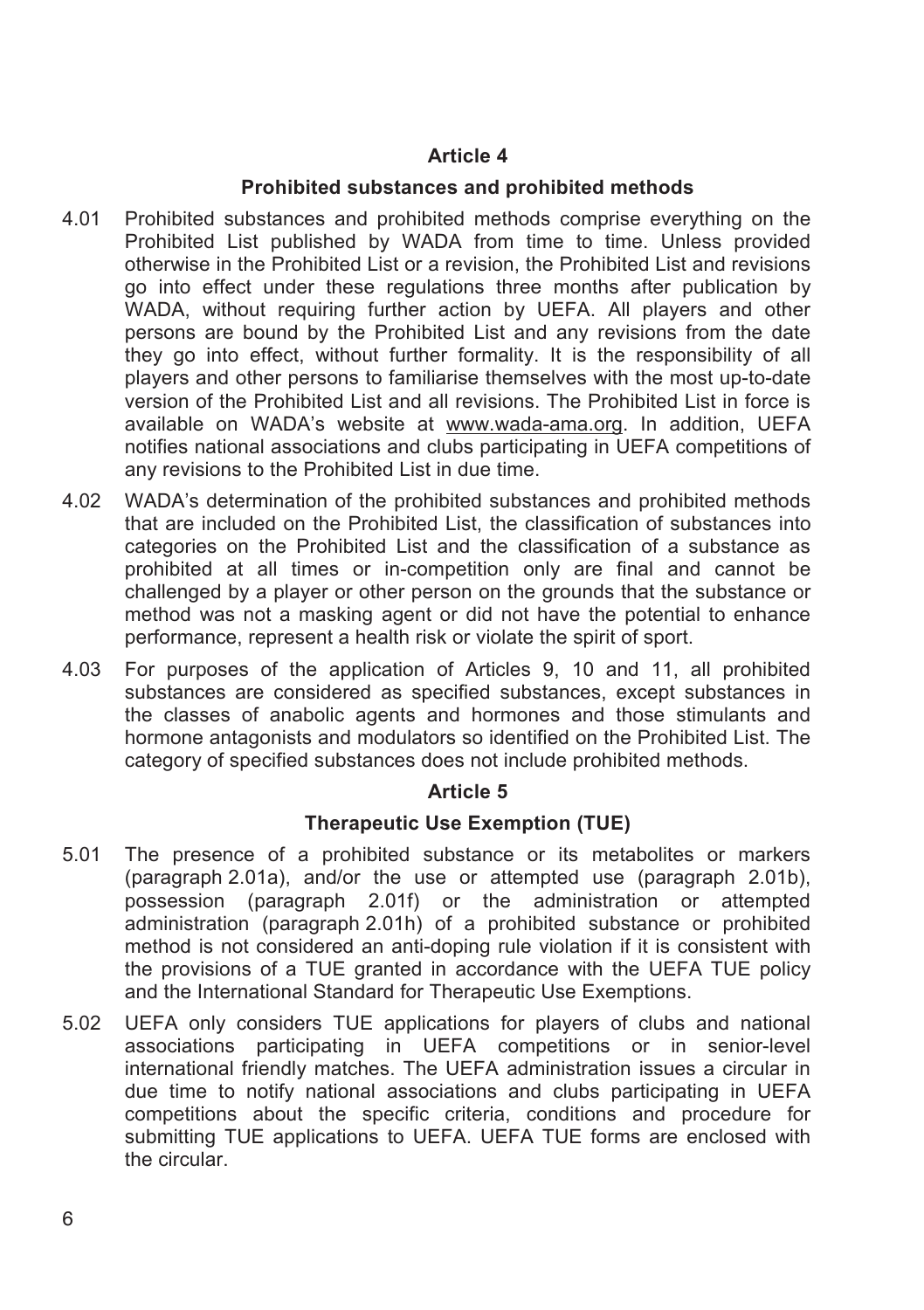#### **Article 4**

#### **Prohibited substances and prohibited methods**

- 4.01 Prohibited substances and prohibited methods comprise everything on the Prohibited List published by WADA from time to time. Unless provided otherwise in the Prohibited List or a revision, the Prohibited List and revisions go into effect under these regulations three months after publication by WADA, without requiring further action by UEFA. All players and other persons are bound by the Prohibited List and any revisions from the date they go into effect, without further formality. It is the responsibility of all players and other persons to familiarise themselves with the most up-to-date version of the Prohibited List and all revisions. The Prohibited List in force is available on WADA's website at www.wada-ama.org. In addition, UEFA notifies national associations and clubs participating in UEFA competitions of any revisions to the Prohibited List in due time.
- 4.02 WADA's determination of the prohibited substances and prohibited methods that are included on the Prohibited List, the classification of substances into categories on the Prohibited List and the classification of a substance as prohibited at all times or in-competition only are final and cannot be challenged by a player or other person on the grounds that the substance or method was not a masking agent or did not have the potential to enhance performance, represent a health risk or violate the spirit of sport.
- 4.03 For purposes of the application of Articles 9, 10 and 11, all prohibited substances are considered as specified substances, except substances in the classes of anabolic agents and hormones and those stimulants and hormone antagonists and modulators so identified on the Prohibited List. The category of specified substances does not include prohibited methods.

#### **Article 5**

#### **Therapeutic Use Exemption (TUE)**

- 5.01 The presence of a prohibited substance or its metabolites or markers (paragraph 2.01a), and/or the use or attempted use (paragraph 2.01b), possession (paragraph 2.01f) or the administration or attempted administration (paragraph 2.01h) of a prohibited substance or prohibited method is not considered an anti-doping rule violation if it is consistent with the provisions of a TUE granted in accordance with the UEFA TUE policy and the International Standard for Therapeutic Use Exemptions.
- 5.02 UEFA only considers TUE applications for players of clubs and national associations participating in UEFA competitions or in senior-level international friendly matches. The UEFA administration issues a circular in due time to notify national associations and clubs participating in UEFA competitions about the specific criteria, conditions and procedure for submitting TUE applications to UEFA. UEFA TUE forms are enclosed with the circular.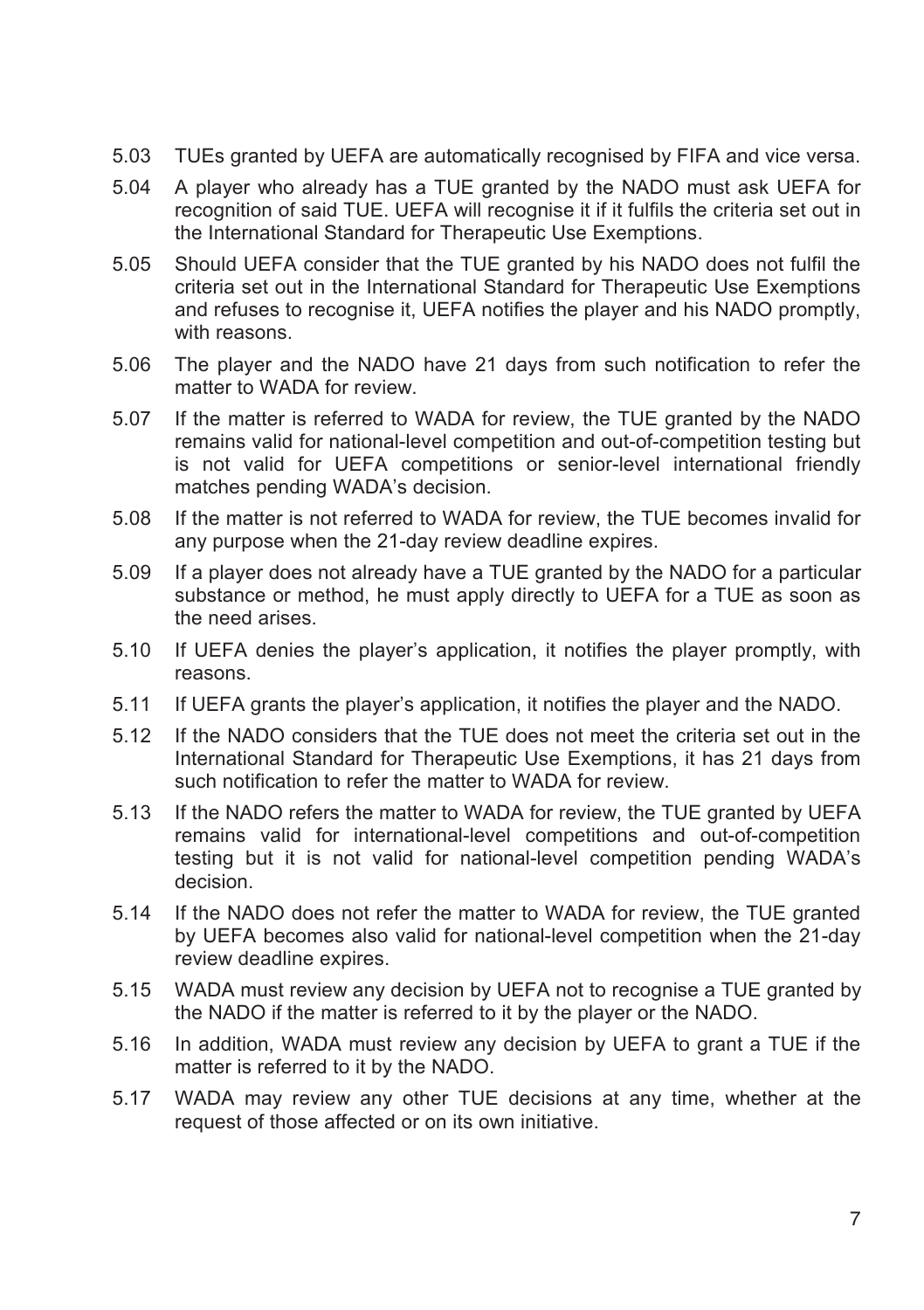- 5.03 TUEs granted by UEFA are automatically recognised by FIFA and vice versa.
- 5.04 A player who already has a TUE granted by the NADO must ask UEFA for recognition of said TUE. UEFA will recognise it if it fulfils the criteria set out in the International Standard for Therapeutic Use Exemptions.
- 5.05 Should UEFA consider that the TUE granted by his NADO does not fulfil the criteria set out in the International Standard for Therapeutic Use Exemptions and refuses to recognise it, UEFA notifies the player and his NADO promptly, with reasons.
- 5.06 The player and the NADO have 21 days from such notification to refer the matter to WADA for review.
- 5.07 If the matter is referred to WADA for review, the TUE granted by the NADO remains valid for national-level competition and out-of-competition testing but is not valid for UEFA competitions or senior-level international friendly matches pending WADA's decision.
- 5.08 If the matter is not referred to WADA for review, the TUE becomes invalid for any purpose when the 21-day review deadline expires.
- 5.09 If a player does not already have a TUE granted by the NADO for a particular substance or method, he must apply directly to UEFA for a TUE as soon as the need arises.
- 5.10 If UEFA denies the player's application, it notifies the player promptly, with reasons.
- 5.11 If UEFA grants the player's application, it notifies the player and the NADO.
- 5.12 If the NADO considers that the TUE does not meet the criteria set out in the International Standard for Therapeutic Use Exemptions, it has 21 days from such notification to refer the matter to WADA for review.
- 5.13 If the NADO refers the matter to WADA for review, the TUE granted by UEFA remains valid for international-level competitions and out-of-competition testing but it is not valid for national-level competition pending WADA's decision.
- 5.14 If the NADO does not refer the matter to WADA for review, the TUE granted by UEFA becomes also valid for national-level competition when the 21-day review deadline expires.
- 5.15 WADA must review any decision by UEFA not to recognise a TUE granted by the NADO if the matter is referred to it by the player or the NADO.
- 5.16 In addition, WADA must review any decision by UEFA to grant a TUE if the matter is referred to it by the NADO.
- 5.17 WADA may review any other TUE decisions at any time, whether at the request of those affected or on its own initiative.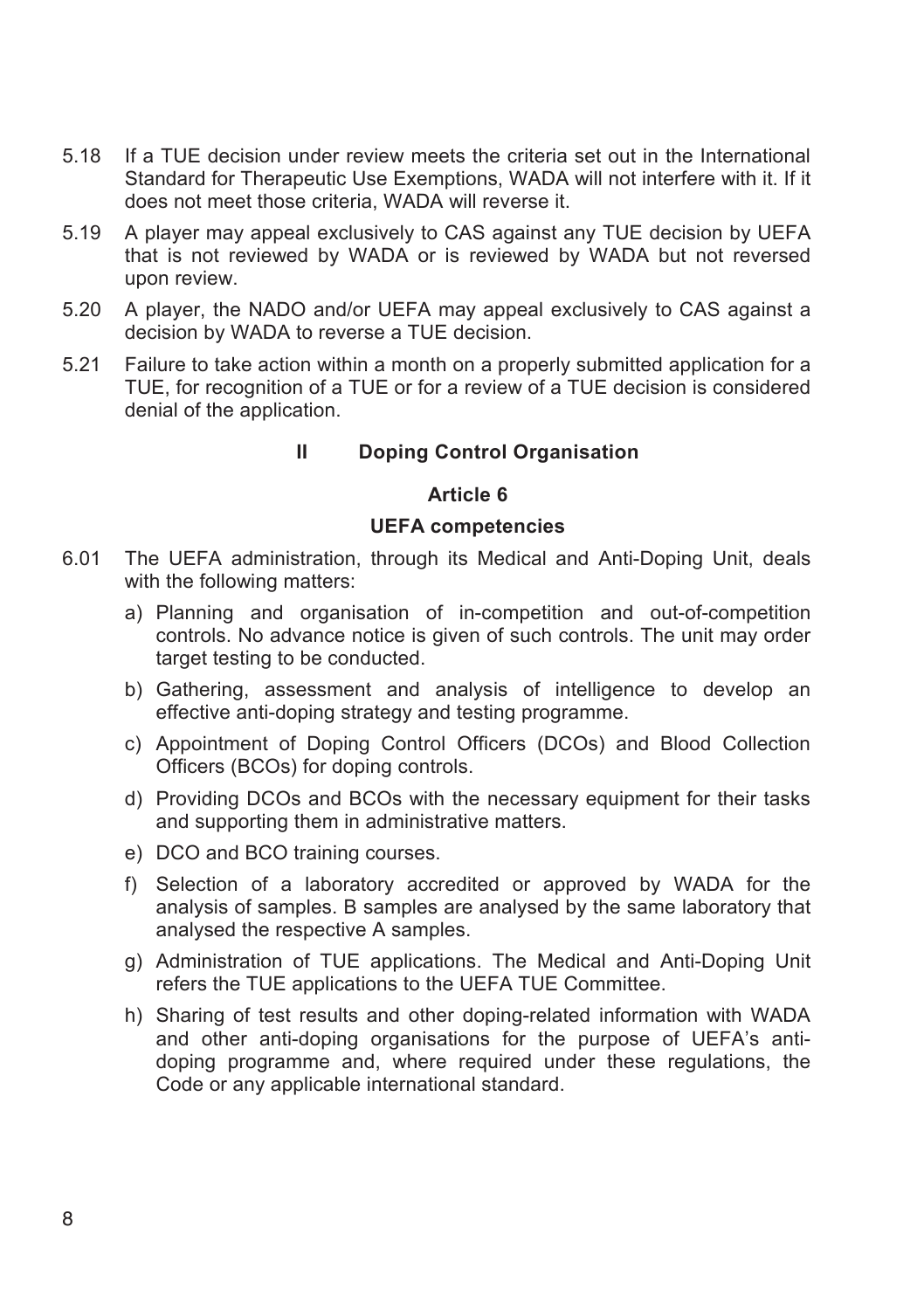- 5.18 If a TUE decision under review meets the criteria set out in the International Standard for Therapeutic Use Exemptions, WADA will not interfere with it. If it does not meet those criteria, WADA will reverse it.
- 5.19 A player may appeal exclusively to CAS against any TUE decision by UEFA that is not reviewed by WADA or is reviewed by WADA but not reversed upon review.
- 5.20 A player, the NADO and/or UEFA may appeal exclusively to CAS against a decision by WADA to reverse a TUE decision.
- 5.21 Failure to take action within a month on a properly submitted application for a TUE, for recognition of a TUE or for a review of a TUE decision is considered denial of the application.

#### **II Doping Control Organisation**

#### **Article 6**

#### **UEFA competencies**

- 6.01 The UEFA administration, through its Medical and Anti-Doping Unit, deals with the following matters:
	- a) Planning and organisation of in-competition and out-of-competition controls. No advance notice is given of such controls. The unit may order target testing to be conducted.
	- b) Gathering, assessment and analysis of intelligence to develop an effective anti-doping strategy and testing programme.
	- c) Appointment of Doping Control Officers (DCOs) and Blood Collection Officers (BCOs) for doping controls.
	- d) Providing DCOs and BCOs with the necessary equipment for their tasks and supporting them in administrative matters.
	- e) DCO and BCO training courses.
	- f) Selection of a laboratory accredited or approved by WADA for the analysis of samples. B samples are analysed by the same laboratory that analysed the respective A samples.
	- g) Administration of TUE applications. The Medical and Anti-Doping Unit refers the TUE applications to the UEFA TUE Committee.
	- h) Sharing of test results and other doping-related information with WADA and other anti-doping organisations for the purpose of UEFA's antidoping programme and, where required under these regulations, the Code or any applicable international standard.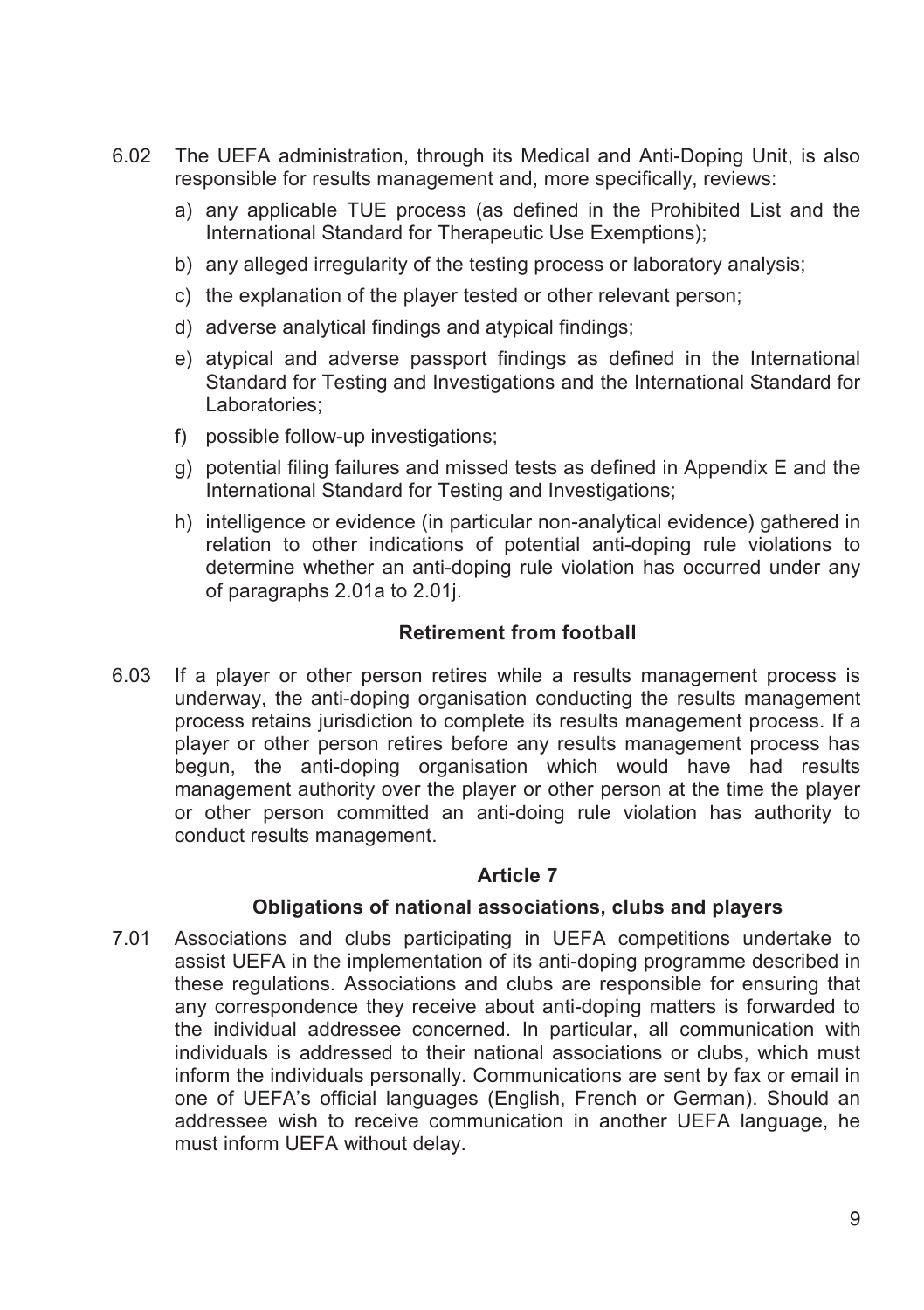- 6.02 The UEFA administration, through its Medical and Anti-Doping Unit, is also responsible for results management and, more specifically, reviews:
	- a) any applicable TUE process (as defined in the Prohibited List and the International Standard for Therapeutic Use Exemptions);
	- b) any alleged irregularity of the testing process or laboratory analysis;
	- c) the explanation of the player tested or other relevant person;
	- d) adverse analytical findings and atypical findings;
	- e) atypical and adverse passport findings as defined in the International Standard for Testing and Investigations and the International Standard for Laboratories;
	- f) possible follow-up investigations;
	- g) potential filing failures and missed tests as defined in Appendix E and the International Standard for Testing and Investigations;
	- h) intelligence or evidence (in particular non-analytical evidence) gathered in relation to other indications of potential anti-doping rule violations to determine whether an anti-doping rule violation has occurred under any of paragraphs 2.01a to 2.01j.

#### **Retirement from football**

6.03 If a player or other person retires while a results management process is underway, the anti-doping organisation conducting the results management process retains jurisdiction to complete its results management process. If a player or other person retires before any results management process has begun, the anti-doping organisation which would have had results management authority over the player or other person at the time the player or other person committed an anti-doing rule violation has authority to conduct results management.

#### **Article 7**

#### **Obligations of national associations, clubs and players**

7.01 Associations and clubs participating in UEFA competitions undertake to assist UEFA in the implementation of its anti-doping programme described in these regulations. Associations and clubs are responsible for ensuring that any correspondence they receive about anti-doping matters is forwarded to the individual addressee concerned. In particular, all communication with individuals is addressed to their national associations or clubs, which must inform the individuals personally. Communications are sent by fax or email in one of UEFA's official languages (English, French or German). Should an addressee wish to receive communication in another UEFA language, he must inform UEFA without delay.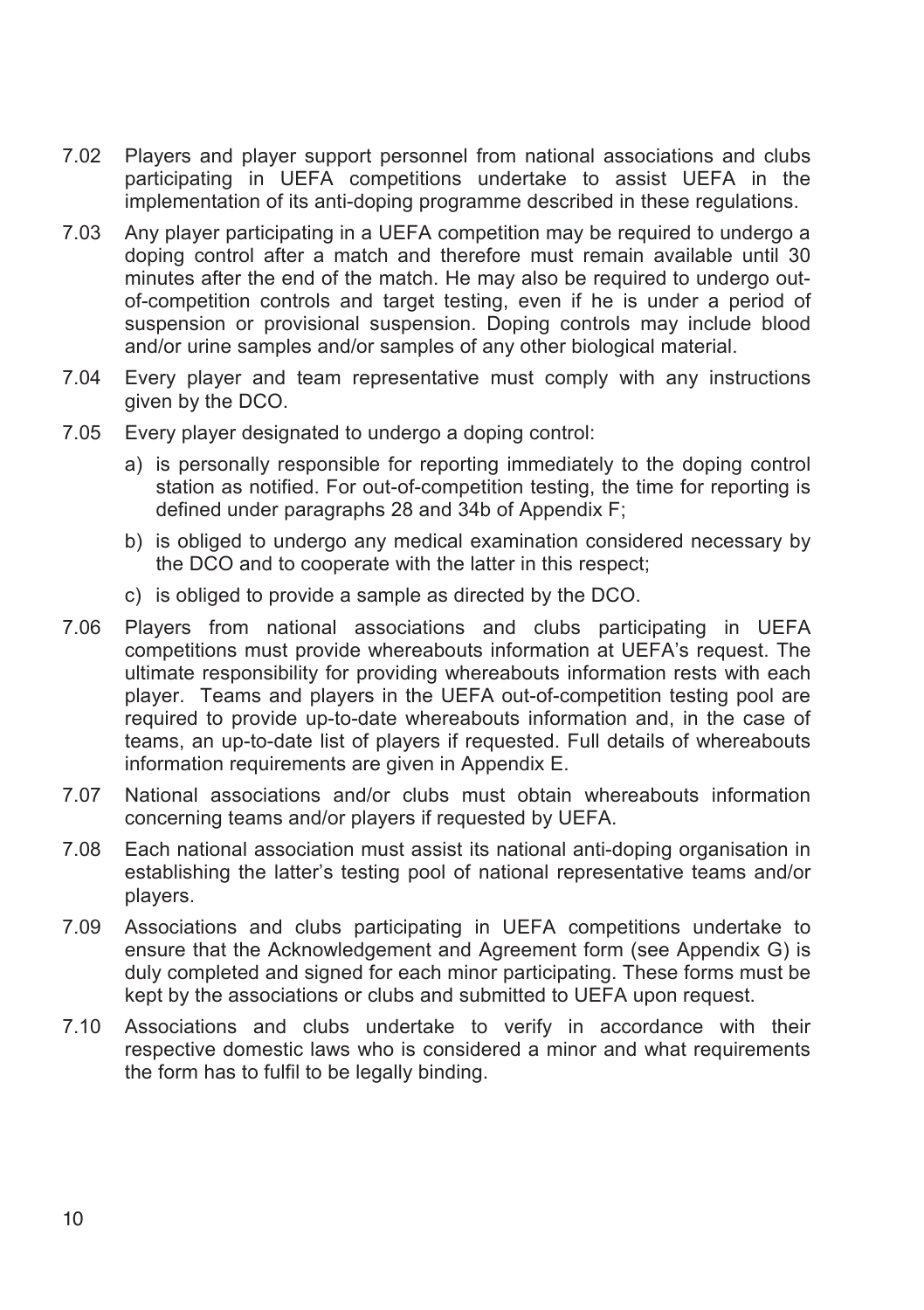- 7.02 Players and player support personnel from national associations and clubs participating in UEFA competitions undertake to assist UEFA in the implementation of its anti-doping programme described in these regulations.
- 7.03 Any player participating in a UEFA competition may be required to undergo a doping control after a match and therefore must remain available until 30 minutes after the end of the match. He may also be required to undergo outof-competition controls and target testing, even if he is under a period of suspension or provisional suspension. Doping controls may include blood and/or urine samples and/or samples of any other biological material.
- 7.04 Every player and team representative must comply with any instructions given by the DCO.
- 7.05 Every player designated to undergo a doping control:
	- a) is personally responsible for reporting immediately to the doping control station as notified. For out-of-competition testing, the time for reporting is defined under paragraphs 28 and 34b of Appendix F;
	- b) is obliged to undergo any medical examination considered necessary by the DCO and to cooperate with the latter in this respect;
	- c) is obliged to provide a sample as directed by the DCO.
- 7.06 Players from national associations and clubs participating in UEFA competitions must provide whereabouts information at UEFA's request. The ultimate responsibility for providing whereabouts information rests with each player. Teams and players in the UEFA out-of-competition testing pool are required to provide up-to-date whereabouts information and, in the case of teams, an up-to-date list of players if requested. Full details of whereabouts information requirements are given in Appendix E.
- 7.07 National associations and/or clubs must obtain whereabouts information concerning teams and/or players if requested by UEFA.
- 7.08 Each national association must assist its national anti-doping organisation in establishing the latter's testing pool of national representative teams and/or players.
- 7.09 Associations and clubs participating in UEFA competitions undertake to ensure that the Acknowledgement and Agreement form (see Appendix G) is duly completed and signed for each minor participating. These forms must be kept by the associations or clubs and submitted to UEFA upon request.
- 7.10 Associations and clubs undertake to verify in accordance with their respective domestic laws who is considered a minor and what requirements the form has to fulfil to be legally binding.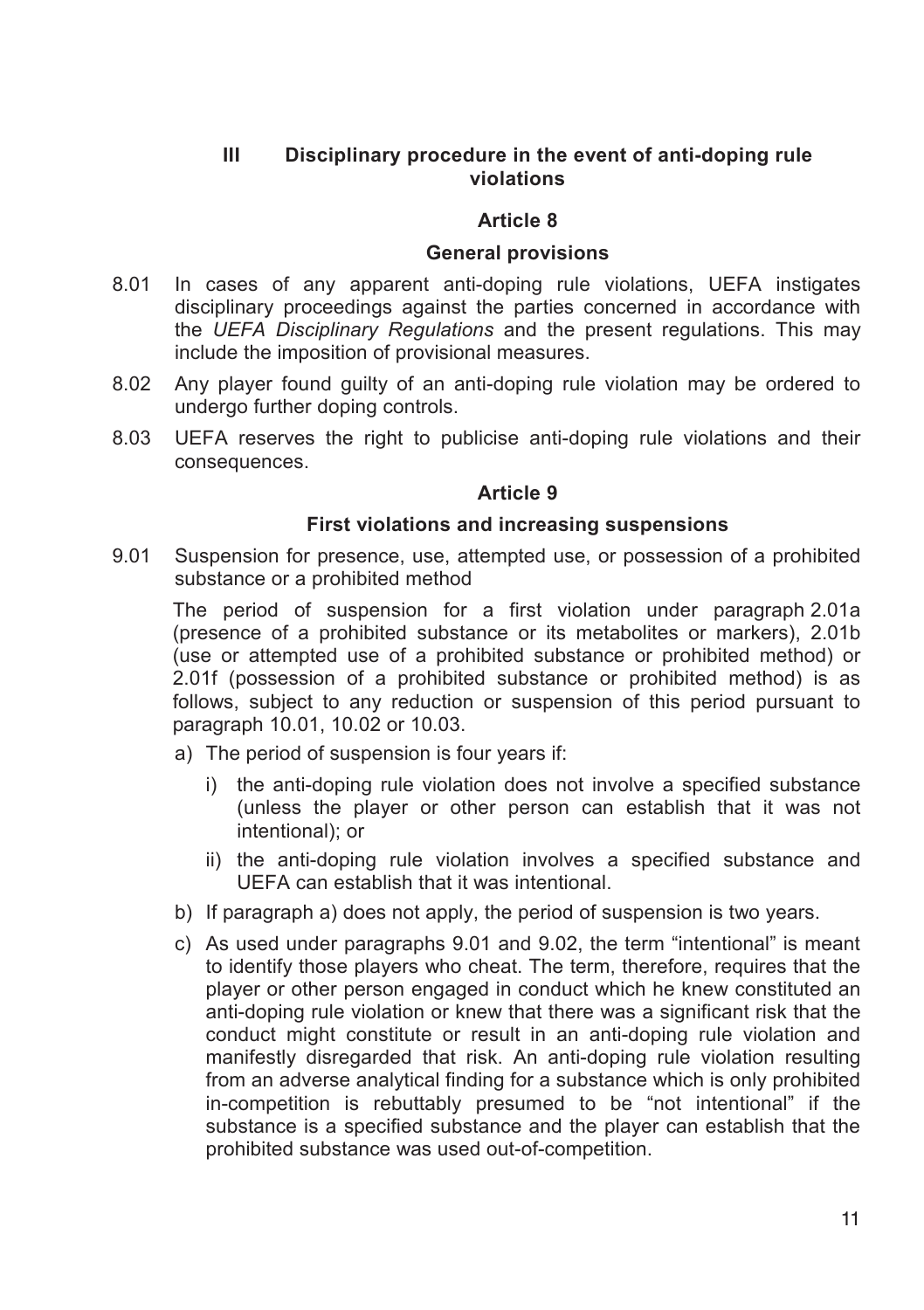#### **III Disciplinary procedure in the event of anti-doping rule violations**

#### **Article 8**

#### **General provisions**

- 8.01 In cases of any apparent anti-doping rule violations, UEFA instigates disciplinary proceedings against the parties concerned in accordance with the *UEFA Disciplinary Regulations* and the present regulations. This may include the imposition of provisional measures.
- 8.02 Any player found guilty of an anti-doping rule violation may be ordered to undergo further doping controls.
- 8.03 UEFA reserves the right to publicise anti-doping rule violations and their consequences.

#### **Article 9**

#### **First violations and increasing suspensions**

9.01 Suspension for presence, use, attempted use, or possession of a prohibited substance or a prohibited method

The period of suspension for a first violation under paragraph 2.01a (presence of a prohibited substance or its metabolites or markers), 2.01b (use or attempted use of a prohibited substance or prohibited method) or 2.01f (possession of a prohibited substance or prohibited method) is as follows, subject to any reduction or suspension of this period pursuant to paragraph 10.01, 10.02 or 10.03.

- a) The period of suspension is four years if:
	- i) the anti-doping rule violation does not involve a specified substance (unless the player or other person can establish that it was not intentional); or
	- ii) the anti-doping rule violation involves a specified substance and UEFA can establish that it was intentional.
- b) If paragraph a) does not apply, the period of suspension is two years.
- c) As used under paragraphs 9.01 and 9.02, the term "intentional" is meant to identify those players who cheat. The term, therefore, requires that the player or other person engaged in conduct which he knew constituted an anti-doping rule violation or knew that there was a significant risk that the conduct might constitute or result in an anti-doping rule violation and manifestly disregarded that risk. An anti-doping rule violation resulting from an adverse analytical finding for a substance which is only prohibited in-competition is rebuttably presumed to be "not intentional" if the substance is a specified substance and the player can establish that the prohibited substance was used out-of-competition.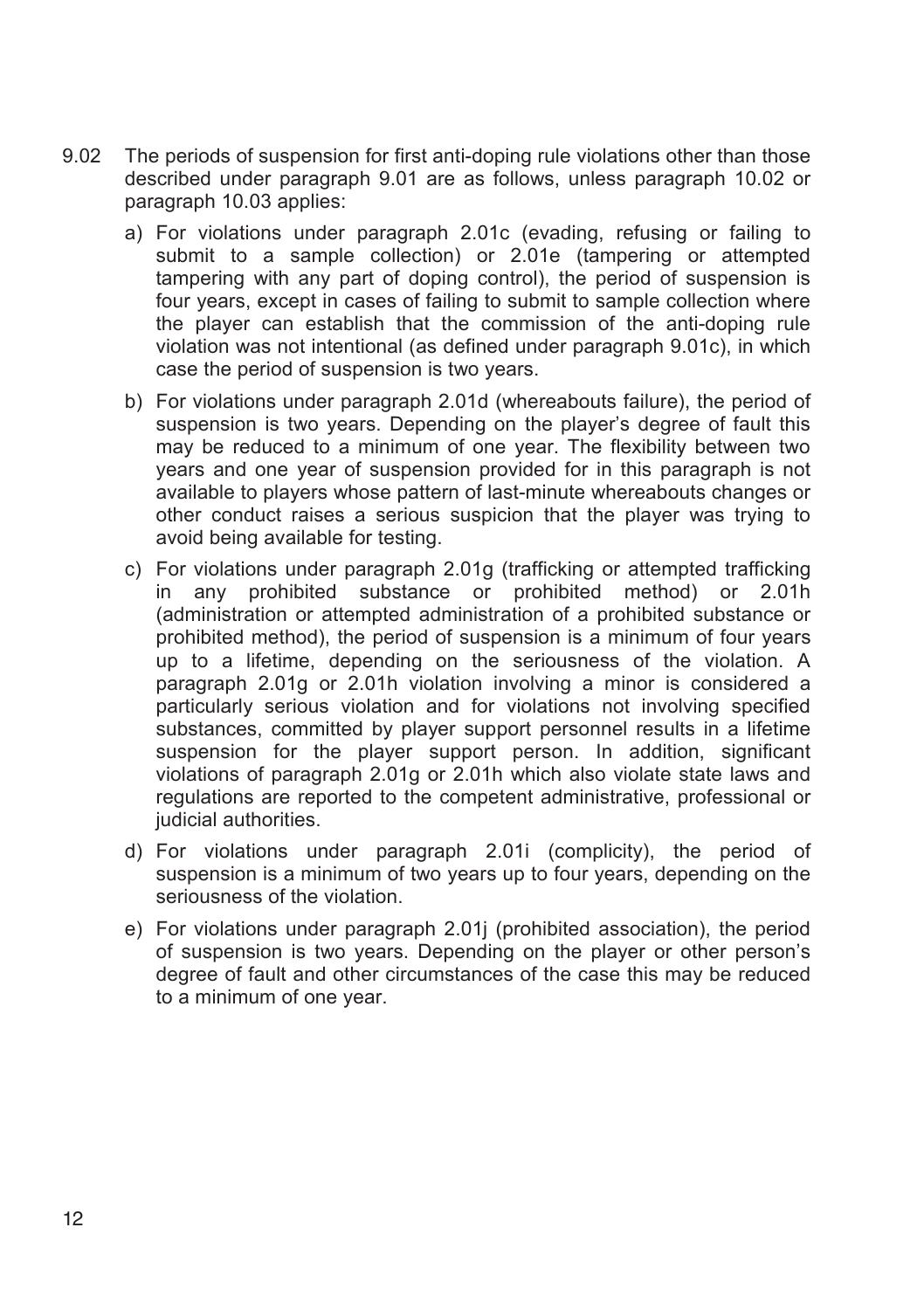- 9.02 The periods of suspension for first anti-doping rule violations other than those described under paragraph 9.01 are as follows, unless paragraph 10.02 or paragraph 10.03 applies:
	- a) For violations under paragraph 2.01c (evading, refusing or failing to submit to a sample collection) or 2.01e (tampering or attempted tampering with any part of doping control), the period of suspension is four years, except in cases of failing to submit to sample collection where the player can establish that the commission of the anti-doping rule violation was not intentional (as defined under paragraph 9.01c), in which case the period of suspension is two years.
	- b) For violations under paragraph 2.01d (whereabouts failure), the period of suspension is two years. Depending on the player's degree of fault this may be reduced to a minimum of one year. The flexibility between two years and one year of suspension provided for in this paragraph is not available to players whose pattern of last-minute whereabouts changes or other conduct raises a serious suspicion that the player was trying to avoid being available for testing.
	- c) For violations under paragraph 2.01g (trafficking or attempted trafficking in any prohibited substance or prohibited method) or 2.01h (administration or attempted administration of a prohibited substance or prohibited method), the period of suspension is a minimum of four years up to a lifetime, depending on the seriousness of the violation. A paragraph 2.01g or 2.01h violation involving a minor is considered a particularly serious violation and for violations not involving specified substances, committed by player support personnel results in a lifetime suspension for the player support person. In addition, significant violations of paragraph 2.01g or 2.01h which also violate state laws and regulations are reported to the competent administrative, professional or judicial authorities.
	- d) For violations under paragraph 2.01i (complicity), the period of suspension is a minimum of two years up to four years, depending on the seriousness of the violation.
	- e) For violations under paragraph 2.01j (prohibited association), the period of suspension is two years. Depending on the player or other person's degree of fault and other circumstances of the case this may be reduced to a minimum of one year.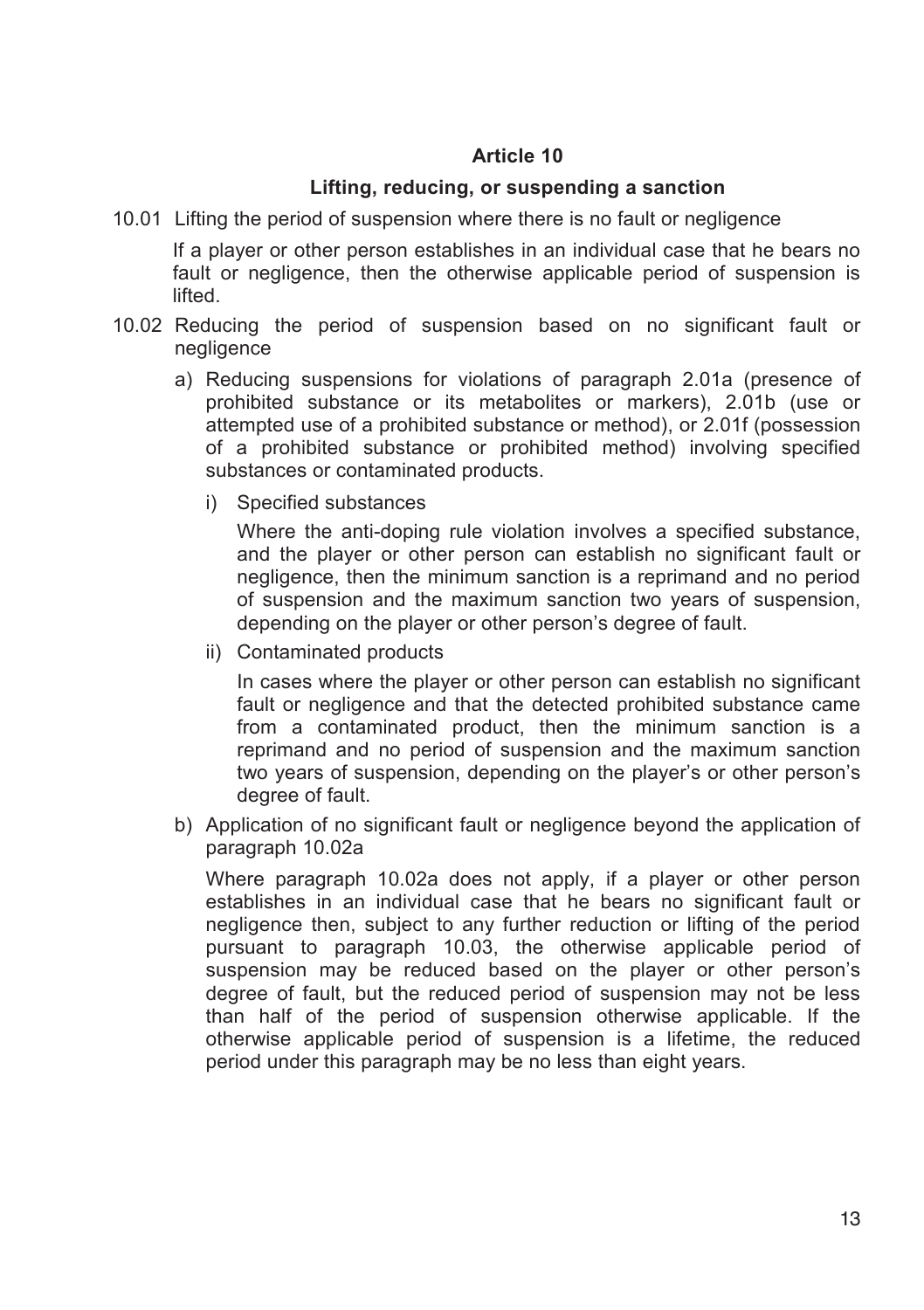#### **Article 10**

#### **Lifting, reducing, or suspending a sanction**

10.01 Lifting the period of suspension where there is no fault or negligence

If a player or other person establishes in an individual case that he bears no fault or negligence, then the otherwise applicable period of suspension is lifted.

- 10.02 Reducing the period of suspension based on no significant fault or negligence
	- a) Reducing suspensions for violations of paragraph 2.01a (presence of prohibited substance or its metabolites or markers), 2.01b (use or attempted use of a prohibited substance or method), or 2.01f (possession of a prohibited substance or prohibited method) involving specified substances or contaminated products.
		- i) Specified substances

Where the anti-doping rule violation involves a specified substance, and the player or other person can establish no significant fault or negligence, then the minimum sanction is a reprimand and no period of suspension and the maximum sanction two years of suspension, depending on the player or other person's degree of fault.

ii) Contaminated products

In cases where the player or other person can establish no significant fault or negligence and that the detected prohibited substance came from a contaminated product, then the minimum sanction is a reprimand and no period of suspension and the maximum sanction two years of suspension, depending on the player's or other person's degree of fault.

b) Application of no significant fault or negligence beyond the application of paragraph 10.02a

Where paragraph 10.02a does not apply, if a player or other person establishes in an individual case that he bears no significant fault or negligence then, subject to any further reduction or lifting of the period pursuant to paragraph 10.03, the otherwise applicable period of suspension may be reduced based on the player or other person's degree of fault, but the reduced period of suspension may not be less than half of the period of suspension otherwise applicable. If the otherwise applicable period of suspension is a lifetime, the reduced period under this paragraph may be no less than eight years.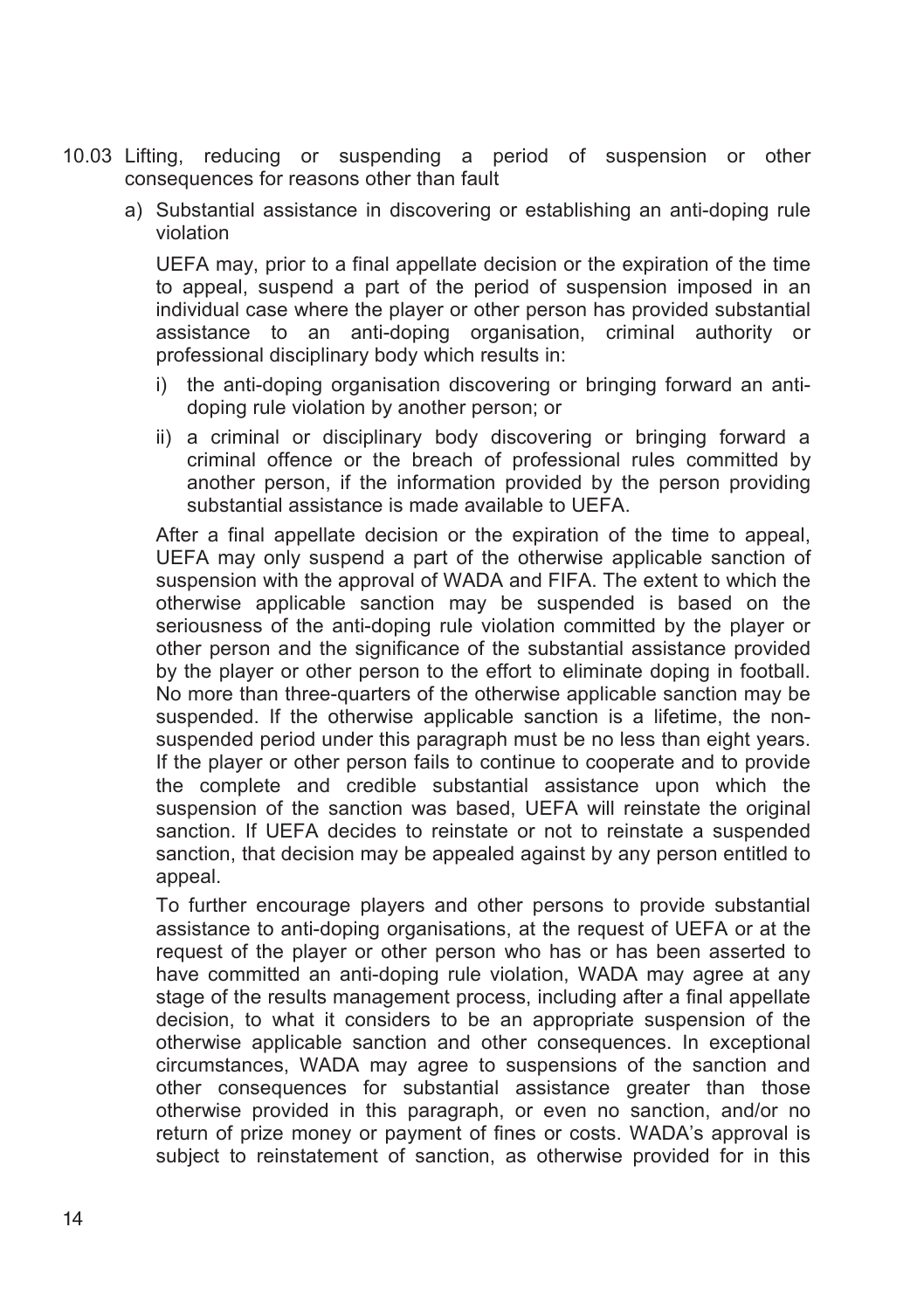- 10.03 Lifting, reducing or suspending a period of suspension or other consequences for reasons other than fault
	- a) Substantial assistance in discovering or establishing an anti-doping rule violation

UEFA may, prior to a final appellate decision or the expiration of the time to appeal, suspend a part of the period of suspension imposed in an individual case where the player or other person has provided substantial assistance to an anti-doping organisation, criminal authority or professional disciplinary body which results in:

- i) the anti-doping organisation discovering or bringing forward an antidoping rule violation by another person; or
- ii) a criminal or disciplinary body discovering or bringing forward a criminal offence or the breach of professional rules committed by another person, if the information provided by the person providing substantial assistance is made available to UEFA.

After a final appellate decision or the expiration of the time to appeal, UEFA may only suspend a part of the otherwise applicable sanction of suspension with the approval of WADA and FIFA. The extent to which the otherwise applicable sanction may be suspended is based on the seriousness of the anti-doping rule violation committed by the player or other person and the significance of the substantial assistance provided by the player or other person to the effort to eliminate doping in football. No more than three-quarters of the otherwise applicable sanction may be suspended. If the otherwise applicable sanction is a lifetime, the nonsuspended period under this paragraph must be no less than eight years. If the player or other person fails to continue to cooperate and to provide the complete and credible substantial assistance upon which the suspension of the sanction was based, UEFA will reinstate the original sanction. If UEFA decides to reinstate or not to reinstate a suspended sanction, that decision may be appealed against by any person entitled to appeal.

To further encourage players and other persons to provide substantial assistance to anti-doping organisations, at the request of UEFA or at the request of the player or other person who has or has been asserted to have committed an anti-doping rule violation, WADA may agree at any stage of the results management process, including after a final appellate decision, to what it considers to be an appropriate suspension of the otherwise applicable sanction and other consequences. In exceptional circumstances, WADA may agree to suspensions of the sanction and other consequences for substantial assistance greater than those otherwise provided in this paragraph, or even no sanction, and/or no return of prize money or payment of fines or costs. WADA's approval is subject to reinstatement of sanction, as otherwise provided for in this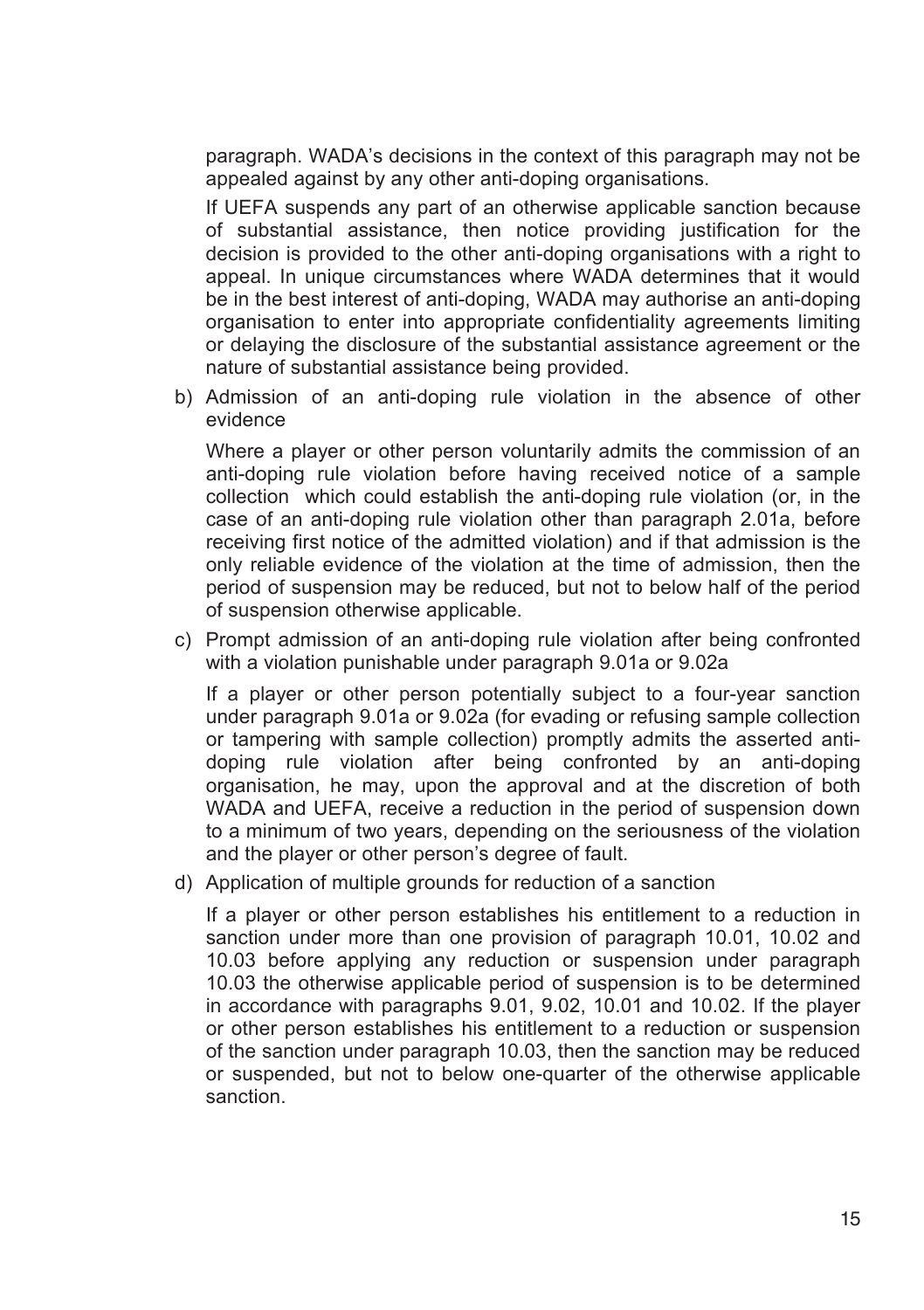paragraph. WADA's decisions in the context of this paragraph may not be appealed against by any other anti-doping organisations.

If UEFA suspends any part of an otherwise applicable sanction because of substantial assistance, then notice providing justification for the decision is provided to the other anti-doping organisations with a right to appeal. In unique circumstances where WADA determines that it would be in the best interest of anti-doping, WADA may authorise an anti-doping organisation to enter into appropriate confidentiality agreements limiting or delaying the disclosure of the substantial assistance agreement or the nature of substantial assistance being provided.

b) Admission of an anti-doping rule violation in the absence of other evidence

Where a player or other person voluntarily admits the commission of an anti-doping rule violation before having received notice of a sample collection which could establish the anti-doping rule violation (or, in the case of an anti-doping rule violation other than paragraph 2.01a, before receiving first notice of the admitted violation) and if that admission is the only reliable evidence of the violation at the time of admission, then the period of suspension may be reduced, but not to below half of the period of suspension otherwise applicable.

c) Prompt admission of an anti-doping rule violation after being confronted with a violation punishable under paragraph 9.01a or 9.02a

If a player or other person potentially subject to a four-year sanction under paragraph 9.01a or 9.02a (for evading or refusing sample collection or tampering with sample collection) promptly admits the asserted antidoping rule violation after being confronted by an anti-doping organisation, he may, upon the approval and at the discretion of both WADA and UEFA, receive a reduction in the period of suspension down to a minimum of two years, depending on the seriousness of the violation and the player or other person's degree of fault.

d) Application of multiple grounds for reduction of a sanction

If a player or other person establishes his entitlement to a reduction in sanction under more than one provision of paragraph 10.01, 10.02 and 10.03 before applying any reduction or suspension under paragraph 10.03 the otherwise applicable period of suspension is to be determined in accordance with paragraphs 9.01, 9.02, 10.01 and 10.02. If the player or other person establishes his entitlement to a reduction or suspension of the sanction under paragraph 10.03, then the sanction may be reduced or suspended, but not to below one-quarter of the otherwise applicable sanction.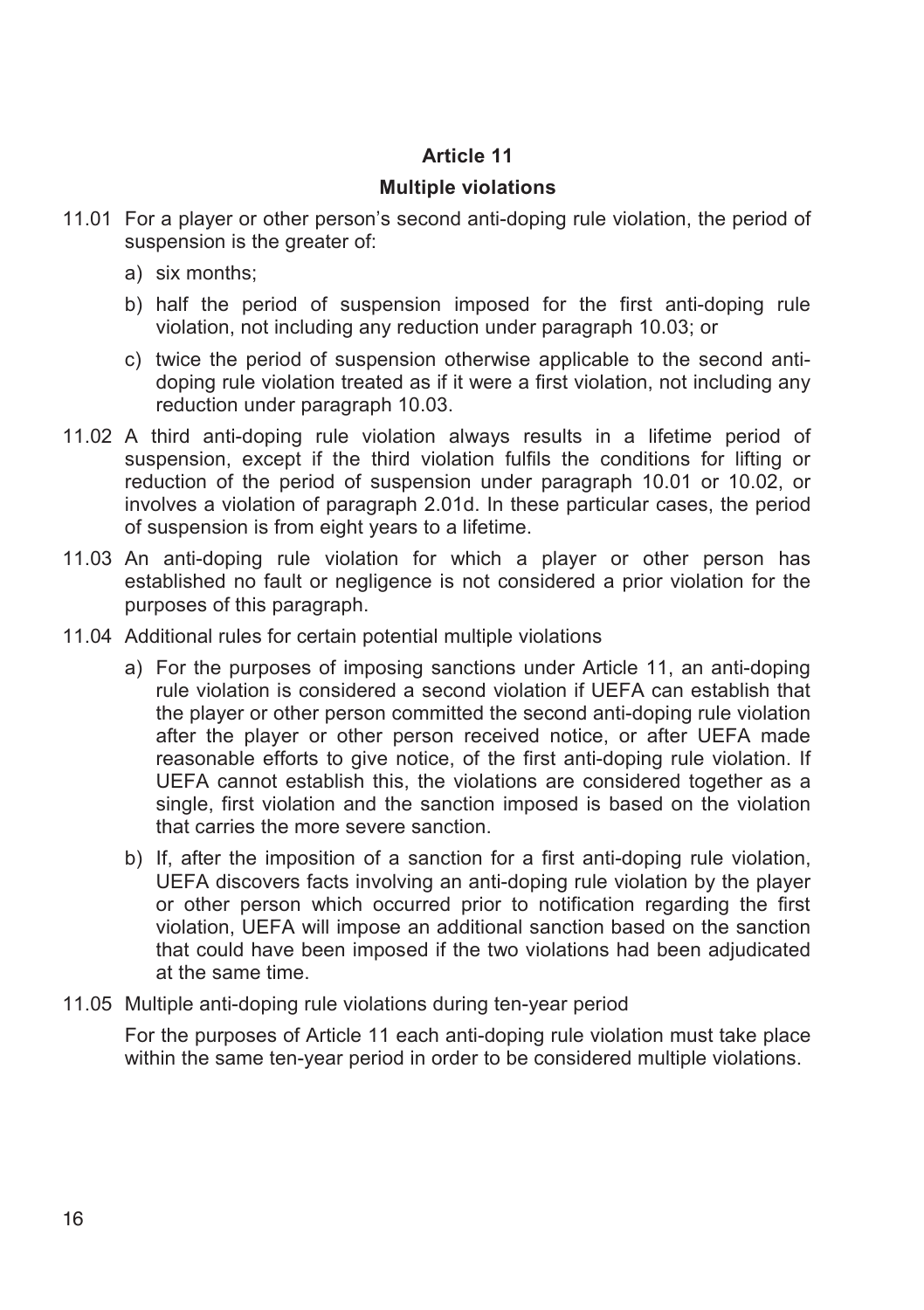## **Article 11**

#### **Multiple violations**

- 11.01 For a player or other person's second anti-doping rule violation, the period of suspension is the greater of:
	- a) six months;
	- b) half the period of suspension imposed for the first anti-doping rule violation, not including any reduction under paragraph 10.03; or
	- c) twice the period of suspension otherwise applicable to the second antidoping rule violation treated as if it were a first violation, not including any reduction under paragraph 10.03.
- 11.02 A third anti-doping rule violation always results in a lifetime period of suspension, except if the third violation fulfils the conditions for lifting or reduction of the period of suspension under paragraph 10.01 or 10.02, or involves a violation of paragraph 2.01d. In these particular cases, the period of suspension is from eight years to a lifetime.
- 11.03 An anti-doping rule violation for which a player or other person has established no fault or negligence is not considered a prior violation for the purposes of this paragraph.
- 11.04 Additional rules for certain potential multiple violations
	- a) For the purposes of imposing sanctions under Article 11, an anti-doping rule violation is considered a second violation if UEFA can establish that the player or other person committed the second anti-doping rule violation after the player or other person received notice, or after UEFA made reasonable efforts to give notice, of the first anti-doping rule violation. If UEFA cannot establish this, the violations are considered together as a single, first violation and the sanction imposed is based on the violation that carries the more severe sanction.
	- b) If, after the imposition of a sanction for a first anti-doping rule violation, UEFA discovers facts involving an anti-doping rule violation by the player or other person which occurred prior to notification regarding the first violation, UEFA will impose an additional sanction based on the sanction that could have been imposed if the two violations had been adjudicated at the same time.
- 11.05 Multiple anti-doping rule violations during ten-year period

For the purposes of Article 11 each anti-doping rule violation must take place within the same ten-year period in order to be considered multiple violations.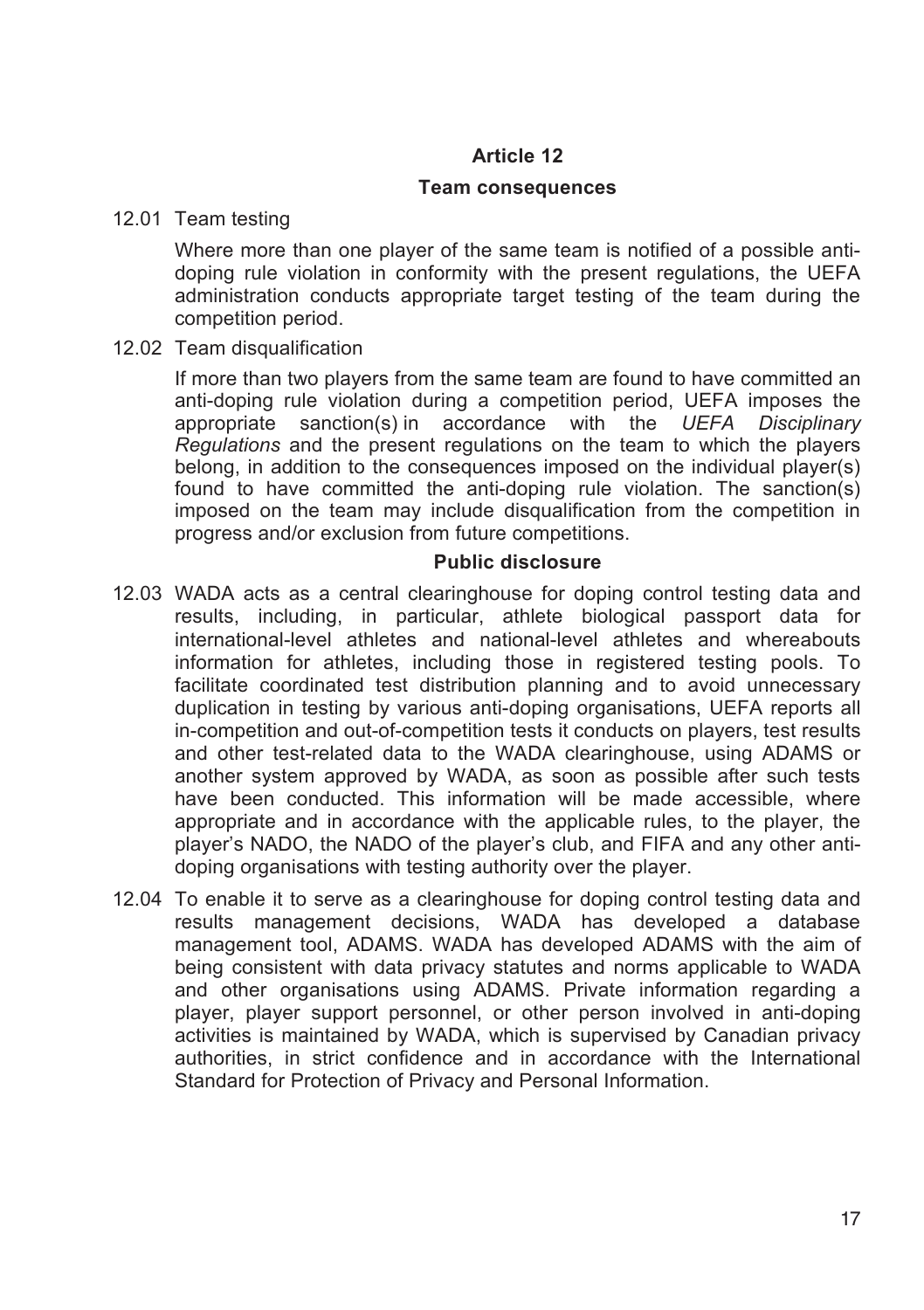#### **Article 12**

#### **Team consequences**

#### 12.01 Team testing

Where more than one player of the same team is notified of a possible antidoping rule violation in conformity with the present regulations, the UEFA administration conducts appropriate target testing of the team during the competition period.

12.02 Team disqualification

If more than two players from the same team are found to have committed an anti-doping rule violation during a competition period, UEFA imposes the appropriate sanction(s) in accordance with the *UEFA Disciplinary Regulations* and the present regulations on the team to which the players belong, in addition to the consequences imposed on the individual player(s) found to have committed the anti-doping rule violation. The sanction(s) imposed on the team may include disqualification from the competition in progress and/or exclusion from future competitions.

#### **Public disclosure**

- 12.03 WADA acts as a central clearinghouse for doping control testing data and results, including, in particular, athlete biological passport data for international-level athletes and national-level athletes and whereabouts information for athletes, including those in registered testing pools. To facilitate coordinated test distribution planning and to avoid unnecessary duplication in testing by various anti-doping organisations, UEFA reports all in-competition and out-of-competition tests it conducts on players, test results and other test-related data to the WADA clearinghouse, using ADAMS or another system approved by WADA, as soon as possible after such tests have been conducted. This information will be made accessible, where appropriate and in accordance with the applicable rules, to the player, the player's NADO, the NADO of the player's club, and FIFA and any other antidoping organisations with testing authority over the player.
- 12.04 To enable it to serve as a clearinghouse for doping control testing data and results management decisions, WADA has developed a database management tool, ADAMS. WADA has developed ADAMS with the aim of being consistent with data privacy statutes and norms applicable to WADA and other organisations using ADAMS. Private information regarding a player, player support personnel, or other person involved in anti-doping activities is maintained by WADA, which is supervised by Canadian privacy authorities, in strict confidence and in accordance with the International Standard for Protection of Privacy and Personal Information.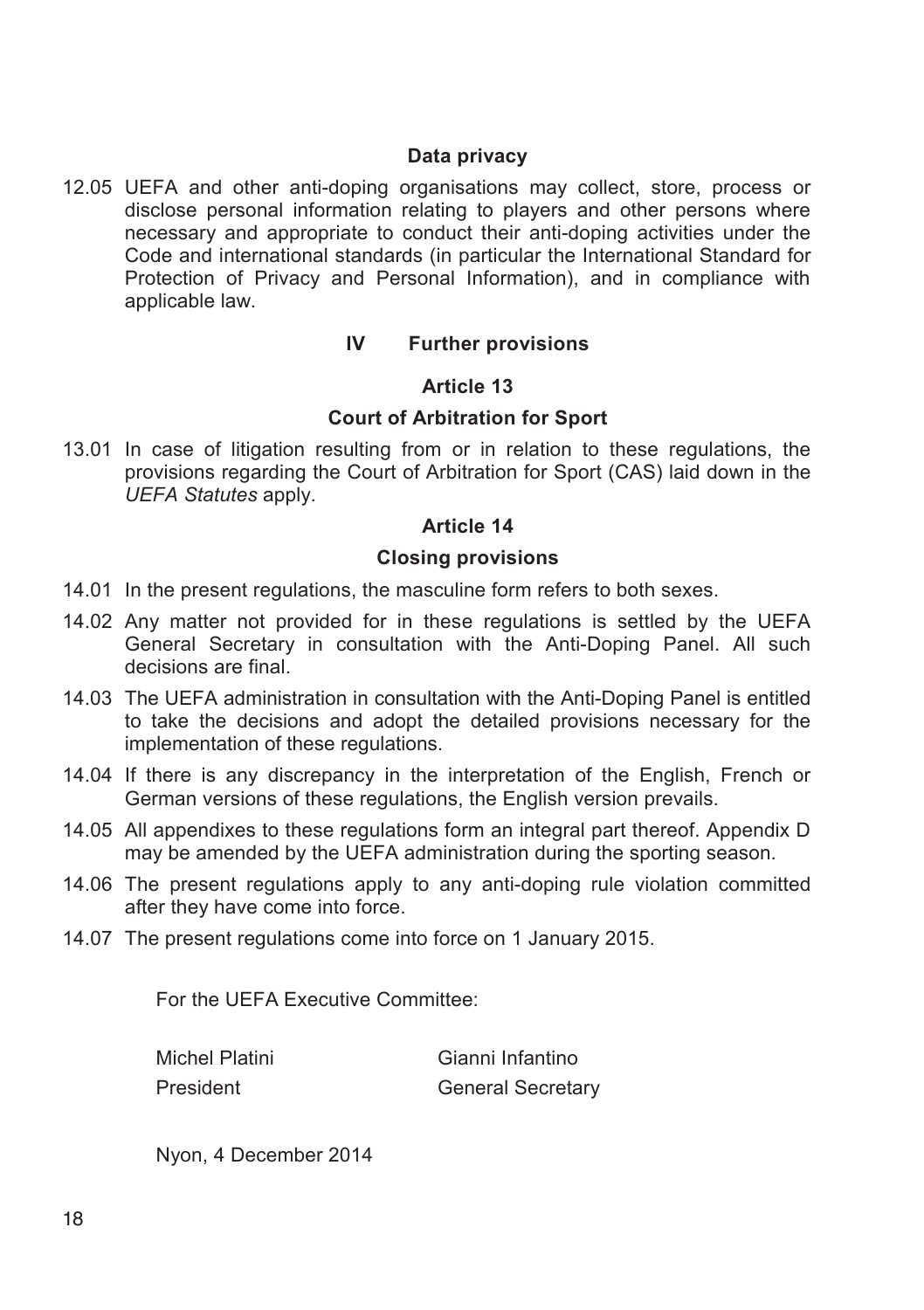#### **Data privacy**

12.05 UEFA and other anti-doping organisations may collect, store, process or disclose personal information relating to players and other persons where necessary and appropriate to conduct their anti-doping activities under the Code and international standards (in particular the International Standard for Protection of Privacy and Personal Information), and in compliance with applicable law.

#### **IV Further provisions**

#### **Article 13**

#### **Court of Arbitration for Sport**

13.01 In case of litigation resulting from or in relation to these regulations, the provisions regarding the Court of Arbitration for Sport (CAS) laid down in the *UEFA Statutes* apply.

#### **Article 14**

#### **Closing provisions**

- 14.01 In the present regulations, the masculine form refers to both sexes.
- 14.02 Any matter not provided for in these regulations is settled by the UEFA General Secretary in consultation with the Anti-Doping Panel. All such decisions are final.
- 14.03 The UEFA administration in consultation with the Anti-Doping Panel is entitled to take the decisions and adopt the detailed provisions necessary for the implementation of these regulations.
- 14.04 If there is any discrepancy in the interpretation of the English, French or German versions of these regulations, the English version prevails.
- 14.05 All appendixes to these regulations form an integral part thereof. Appendix D may be amended by the UEFA administration during the sporting season.
- 14.06 The present regulations apply to any anti-doping rule violation committed after they have come into force.
- 14.07 The present regulations come into force on 1 January 2015.

For the UEFA Executive Committee:

| Michel Platini | Gianni Infantino         |
|----------------|--------------------------|
| President      | <b>General Secretary</b> |

Nyon, 4 December 2014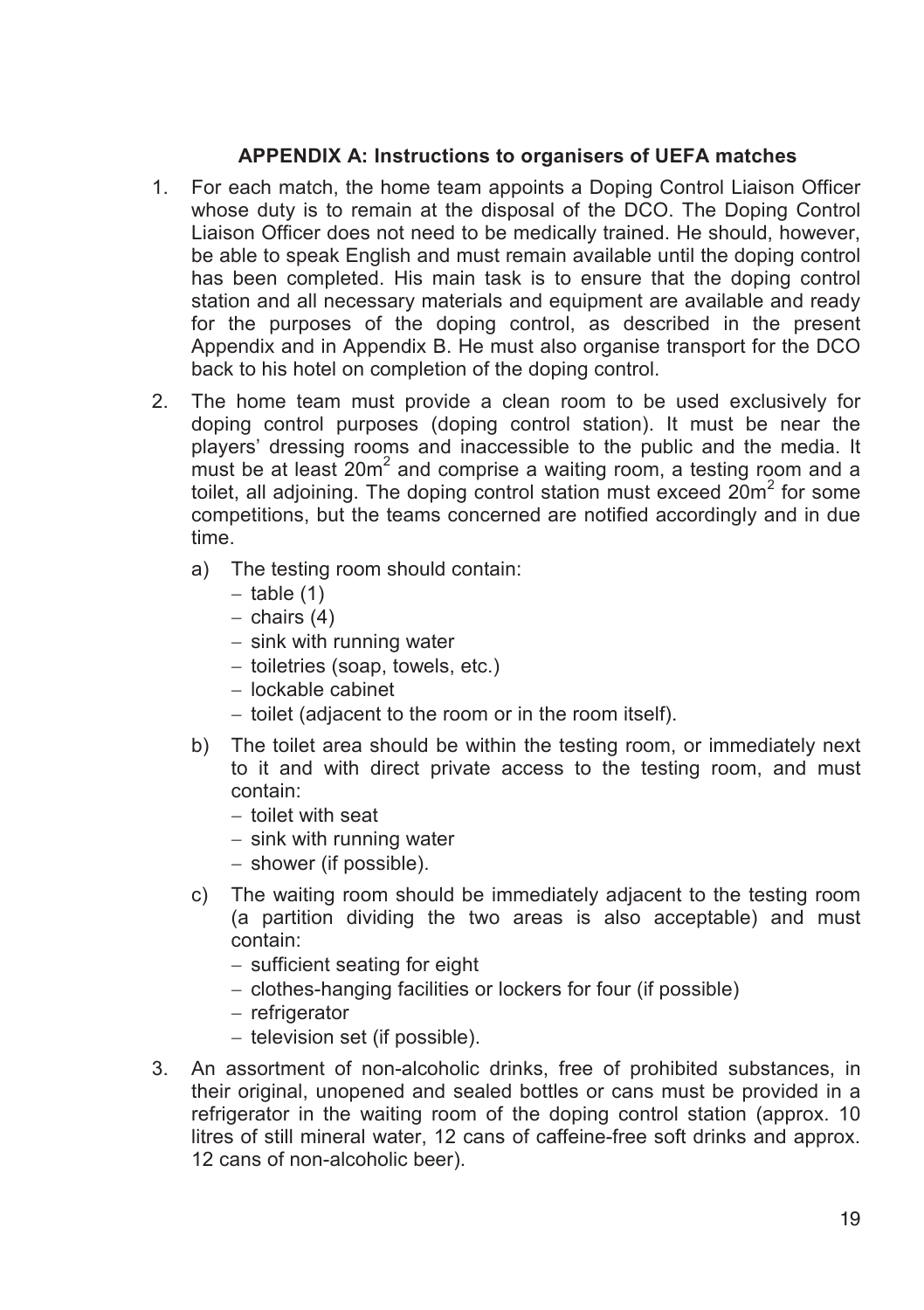#### **APPENDIX A: Instructions to organisers of UEFA matches**

- 1. For each match, the home team appoints a Doping Control Liaison Officer whose duty is to remain at the disposal of the DCO. The Doping Control Liaison Officer does not need to be medically trained. He should, however, be able to speak English and must remain available until the doping control has been completed. His main task is to ensure that the doping control station and all necessary materials and equipment are available and ready for the purposes of the doping control, as described in the present Appendix and in Appendix B. He must also organise transport for the DCO back to his hotel on completion of the doping control.
- 2. The home team must provide a clean room to be used exclusively for doping control purposes (doping control station). It must be near the players' dressing rooms and inaccessible to the public and the media. It must be at least  $20m^2$  and comprise a waiting room, a testing room and a toilet, all adjoining. The doping control station must exceed  $20m^2$  for some competitions, but the teams concerned are notified accordingly and in due time.
	- a) The testing room should contain:
		- $-$  table (1)
		- $-$  chairs  $(4)$
		- $-$  sink with running water
		- $-$  toiletries (soap, towels, etc.)
		- lockable cabinet
		- $-$  toilet (adjacent to the room or in the room itself).
	- b) The toilet area should be within the testing room, or immediately next to it and with direct private access to the testing room, and must contain:
		- $-$  toilet with seat
		- $-$  sink with running water
		- shower (if possible).
	- c) The waiting room should be immediately adjacent to the testing room (a partition dividing the two areas is also acceptable) and must contain:
		- $-$  sufficient seating for eight
		- clothes-hanging facilities or lockers for four (if possible)
		- $-$  refrigerator
		- $-$  television set (if possible).
- 3. An assortment of non-alcoholic drinks, free of prohibited substances, in their original, unopened and sealed bottles or cans must be provided in a refrigerator in the waiting room of the doping control station (approx. 10 litres of still mineral water, 12 cans of caffeine-free soft drinks and approx. 12 cans of non-alcoholic beer).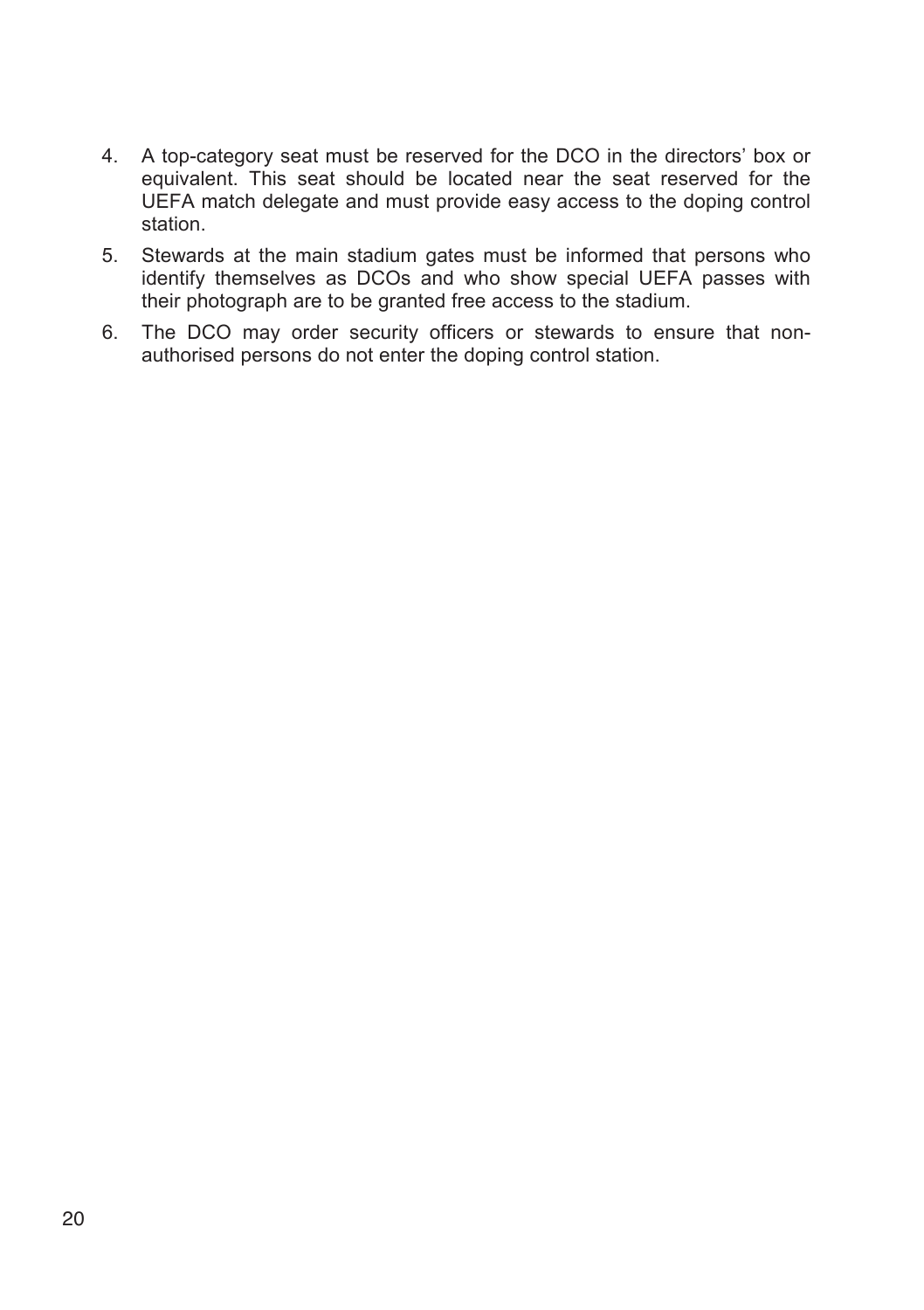- 4. A top-category seat must be reserved for the DCO in the directors' box or equivalent. This seat should be located near the seat reserved for the UEFA match delegate and must provide easy access to the doping control station.
- 5. Stewards at the main stadium gates must be informed that persons who identify themselves as DCOs and who show special UEFA passes with their photograph are to be granted free access to the stadium.
- 6. The DCO may order security officers or stewards to ensure that nonauthorised persons do not enter the doping control station.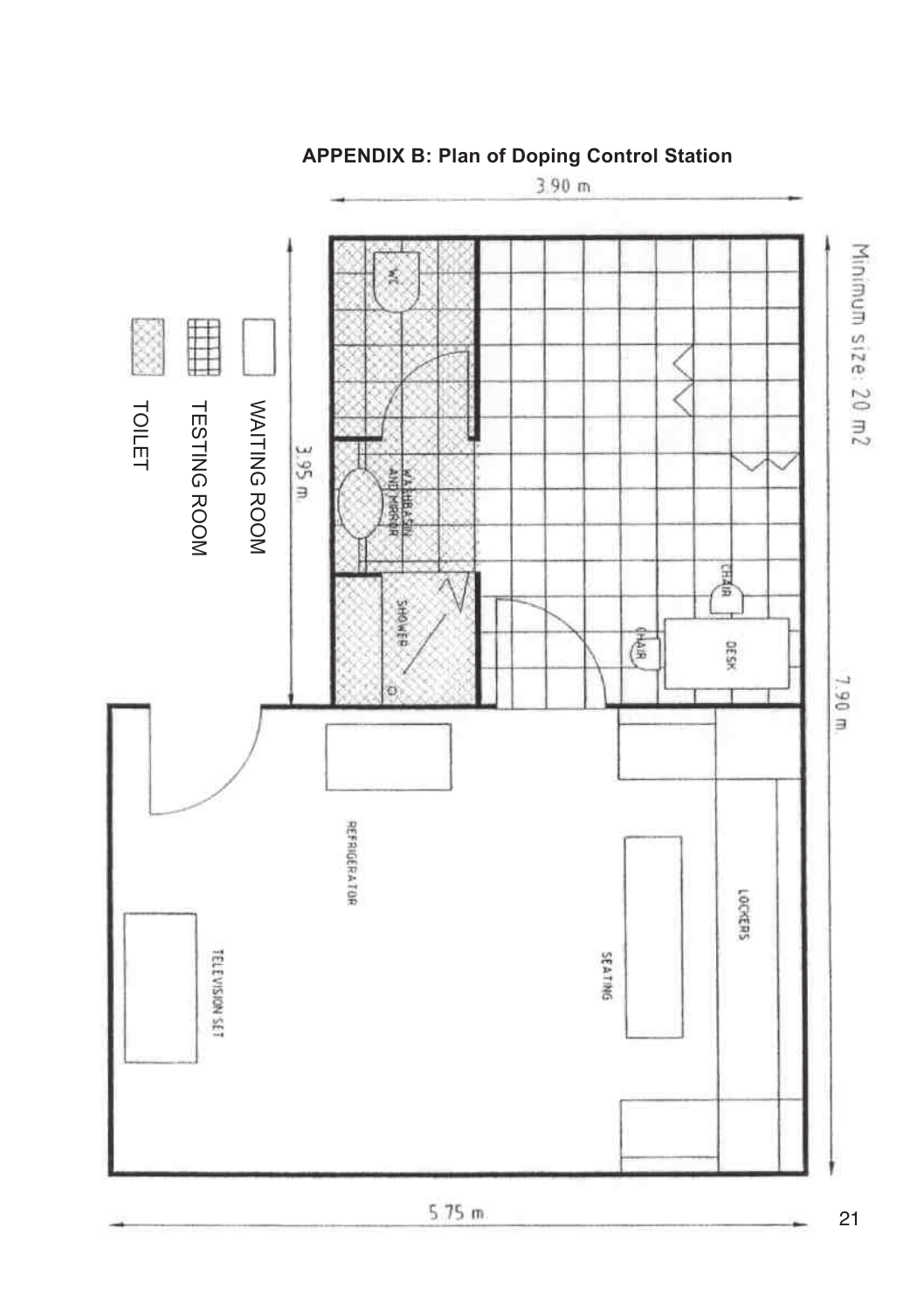Minimum size: 20 m2 E TESTING ROOM<br>TOILET  $\frac{395 \text{ m}}{N$ AITING ROOM **HA SHEATHER CHAIR BENOWS** 書 DESK u 06 L 6 REFRIGERATOR LOCKERS SEATING L35 NOISIA3731

 $575m$ 

# **APPENDIX B: Plan of Doping Control Station**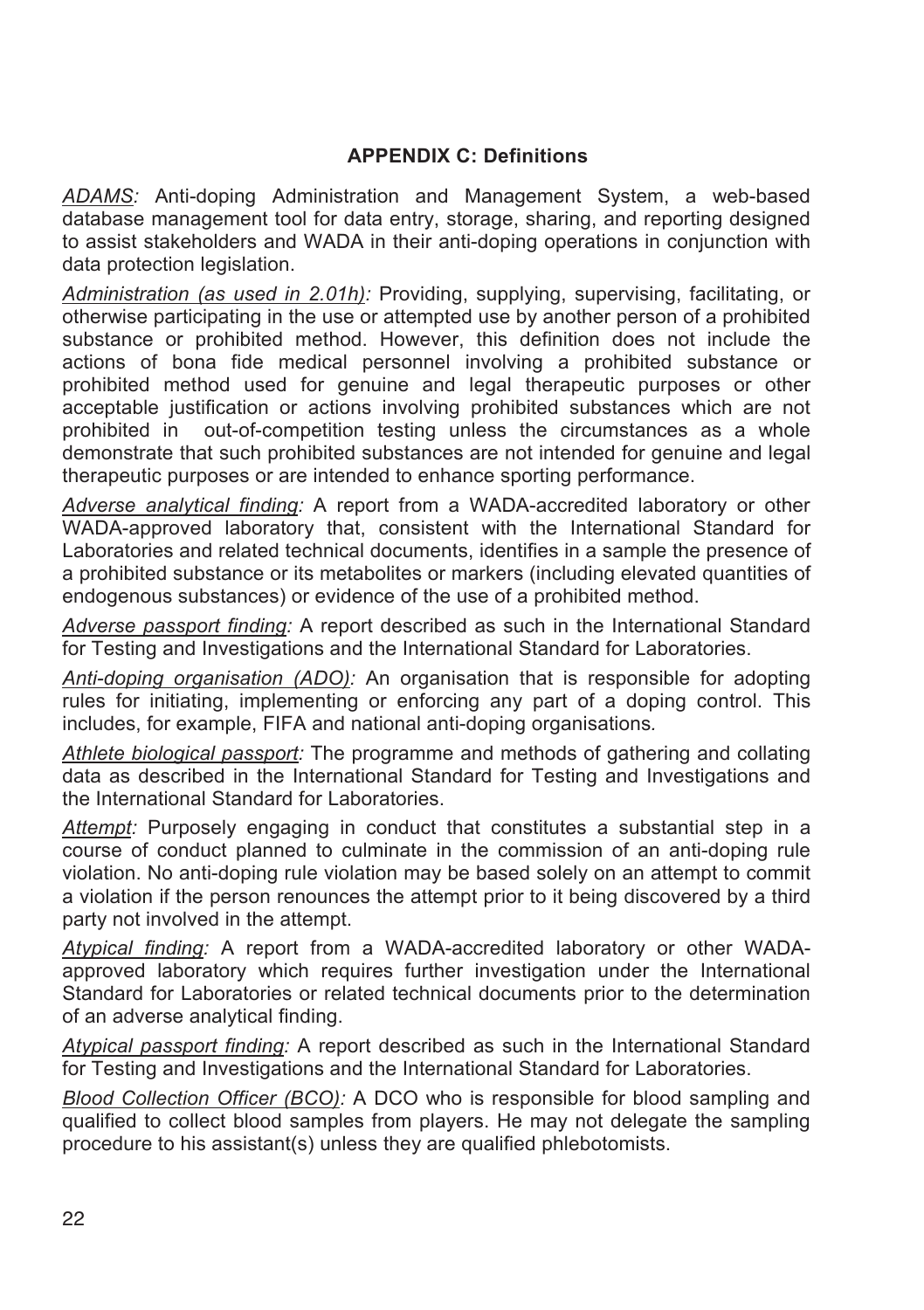#### **APPENDIX C: Definitions**

*ADAMS:* Anti-doping Administration and Management System, a web-based database management tool for data entry, storage, sharing, and reporting designed to assist stakeholders and WADA in their anti-doping operations in conjunction with data protection legislation.

*Administration (as used in 2.01h):* Providing, supplying, supervising, facilitating, or otherwise participating in the use or attempted use by another person of a prohibited substance or prohibited method. However, this definition does not include the actions of bona fide medical personnel involving a prohibited substance or prohibited method used for genuine and legal therapeutic purposes or other acceptable justification or actions involving prohibited substances which are not prohibited in out-of-competition testing unless the circumstances as a whole demonstrate that such prohibited substances are not intended for genuine and legal therapeutic purposes or are intended to enhance sporting performance.

*Adverse analytical finding:* A report from a WADA-accredited laboratory or other WADA-approved laboratory that, consistent with the International Standard for Laboratories and related technical documents, identifies in a sample the presence of a prohibited substance or its metabolites or markers (including elevated quantities of endogenous substances) or evidence of the use of a prohibited method.

*Adverse passport finding:* A report described as such in the International Standard for Testing and Investigations and the International Standard for Laboratories.

*Anti-doping organisation (ADO):* An organisation that is responsible for adopting rules for initiating, implementing or enforcing any part of a doping control. This includes, for example, FIFA and national anti-doping organisations*.*

*Athlete biological passport:* The programme and methods of gathering and collating data as described in the International Standard for Testing and Investigations and the International Standard for Laboratories.

*Attempt:* Purposely engaging in conduct that constitutes a substantial step in a course of conduct planned to culminate in the commission of an anti-doping rule violation. No anti-doping rule violation may be based solely on an attempt to commit a violation if the person renounces the attempt prior to it being discovered by a third party not involved in the attempt.

*Atypical finding:* A report from a WADA-accredited laboratory or other WADAapproved laboratory which requires further investigation under the International Standard for Laboratories or related technical documents prior to the determination of an adverse analytical finding.

*Atypical passport finding:* A report described as such in the International Standard for Testing and Investigations and the International Standard for Laboratories.

*Blood Collection Officer (BCO):* A DCO who is responsible for blood sampling and qualified to collect blood samples from players. He may not delegate the sampling procedure to his assistant(s) unless they are qualified phlebotomists.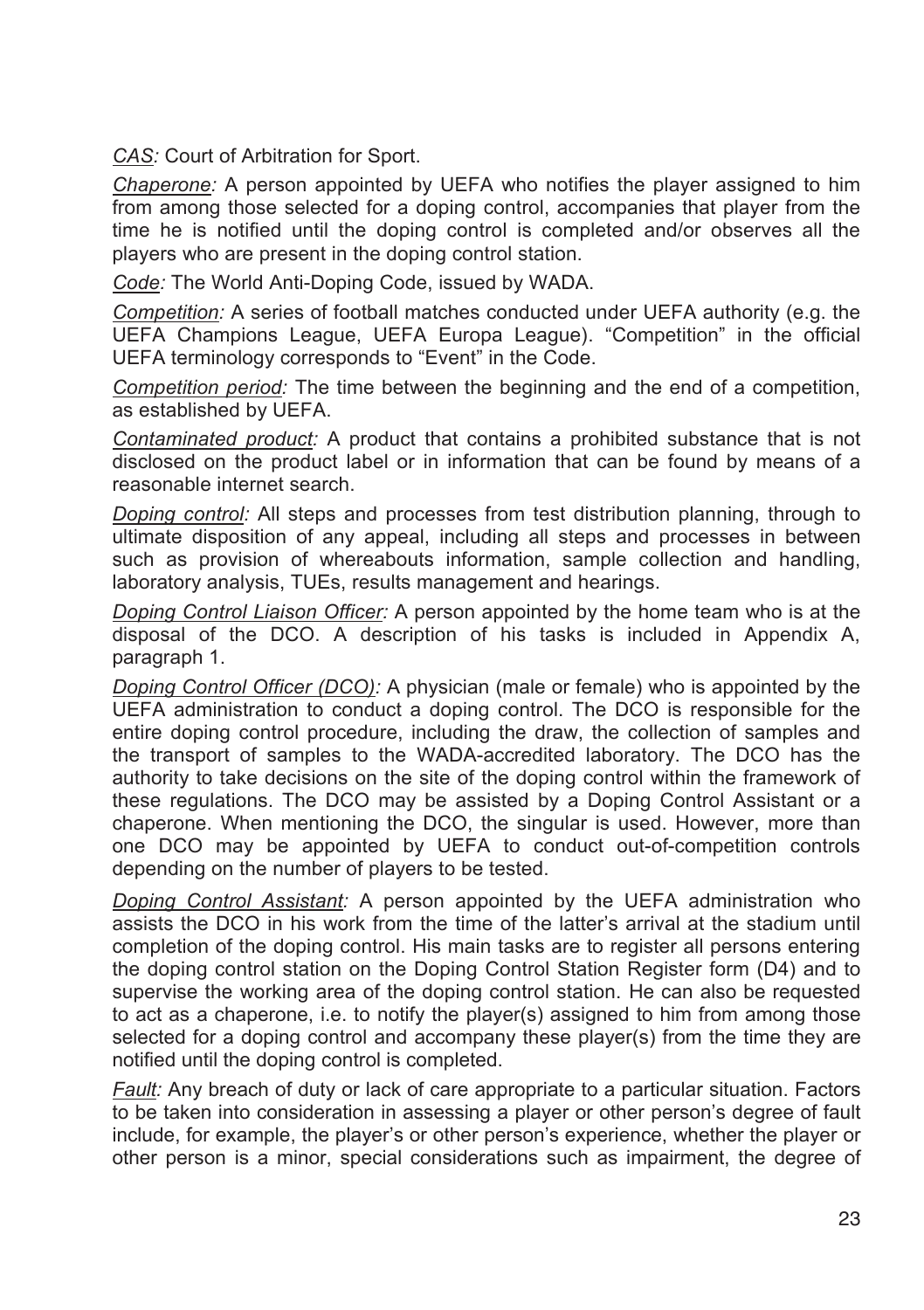*CAS:* Court of Arbitration for Sport.

*Chaperone:* A person appointed by UEFA who notifies the player assigned to him from among those selected for a doping control, accompanies that player from the time he is notified until the doping control is completed and/or observes all the players who are present in the doping control station.

*Code:* The World Anti-Doping Code, issued by WADA.

*Competition:* A series of football matches conducted under UEFA authority (e.g. the UEFA Champions League, UEFA Europa League). "Competition" in the official UEFA terminology corresponds to "Event" in the Code.

*Competition period:* The time between the beginning and the end of a competition, as established by UEFA.

*Contaminated product:* A product that contains a prohibited substance that is not disclosed on the product label or in information that can be found by means of a reasonable internet search.

*Doping control:* All steps and processes from test distribution planning, through to ultimate disposition of any appeal, including all steps and processes in between such as provision of whereabouts information, sample collection and handling, laboratory analysis, TUEs, results management and hearings.

*Doping Control Liaison Officer:* A person appointed by the home team who is at the disposal of the DCO. A description of his tasks is included in Appendix A, paragraph 1.

*Doping Control Officer (DCO):* A physician (male or female) who is appointed by the UEFA administration to conduct a doping control. The DCO is responsible for the entire doping control procedure, including the draw, the collection of samples and the transport of samples to the WADA-accredited laboratory. The DCO has the authority to take decisions on the site of the doping control within the framework of these regulations. The DCO may be assisted by a Doping Control Assistant or a chaperone. When mentioning the DCO, the singular is used. However, more than one DCO may be appointed by UEFA to conduct out-of-competition controls depending on the number of players to be tested.

*Doping Control Assistant:* A person appointed by the UEFA administration who assists the DCO in his work from the time of the latter's arrival at the stadium until completion of the doping control. His main tasks are to register all persons entering the doping control station on the Doping Control Station Register form (D4) and to supervise the working area of the doping control station. He can also be requested to act as a chaperone, i.e. to notify the player(s) assigned to him from among those selected for a doping control and accompany these player(s) from the time they are notified until the doping control is completed.

*Fault:* Any breach of duty or lack of care appropriate to a particular situation. Factors to be taken into consideration in assessing a player or other person's degree of fault include, for example, the player's or other person's experience, whether the player or other person is a minor, special considerations such as impairment, the degree of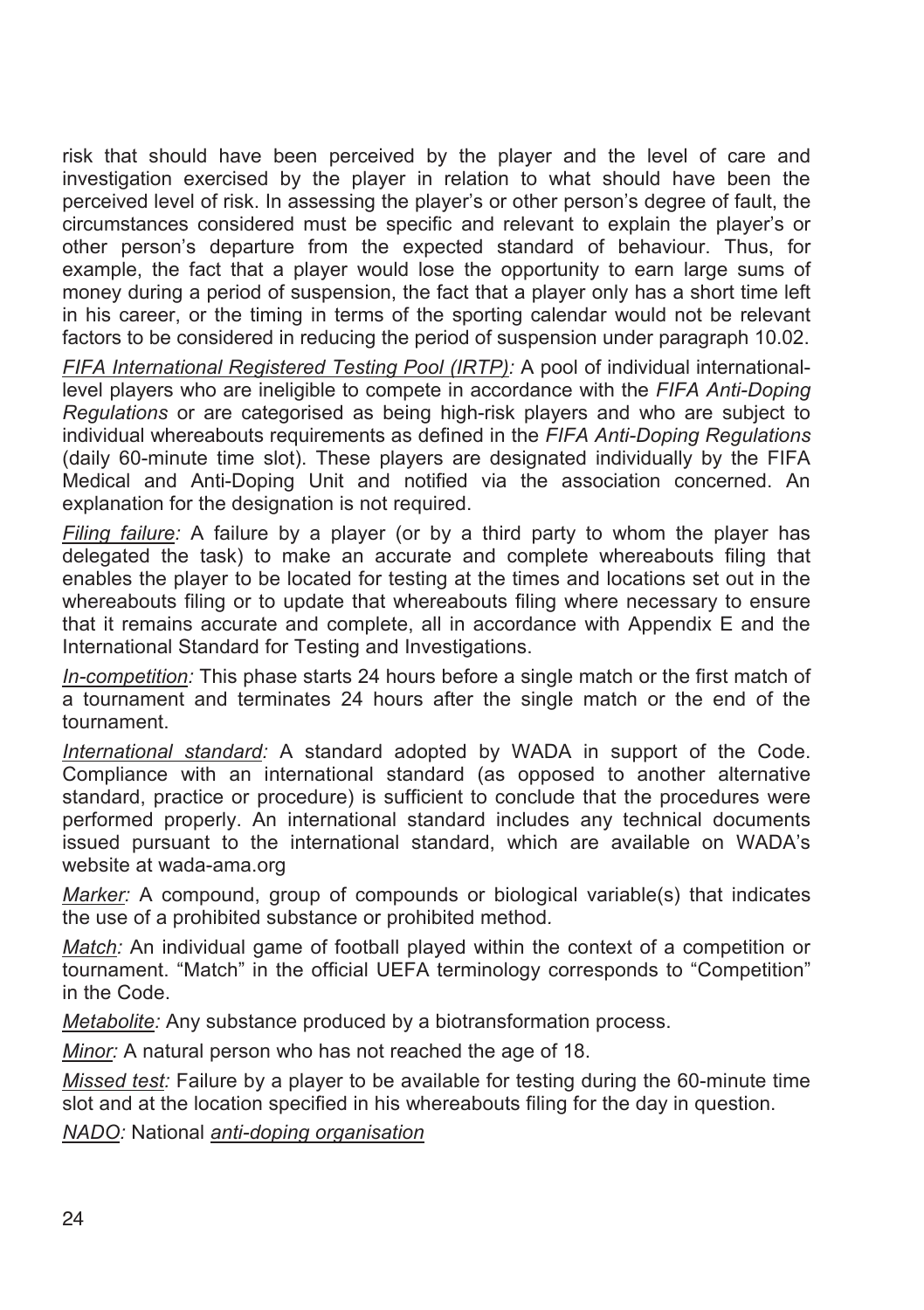risk that should have been perceived by the player and the level of care and investigation exercised by the player in relation to what should have been the perceived level of risk. In assessing the player's or other person's degree of fault, the circumstances considered must be specific and relevant to explain the player's or other person's departure from the expected standard of behaviour. Thus, for example, the fact that a player would lose the opportunity to earn large sums of money during a period of suspension, the fact that a player only has a short time left in his career, or the timing in terms of the sporting calendar would not be relevant factors to be considered in reducing the period of suspension under paragraph 10.02.

*FIFA International Registered Testing Pool (IRTP):* A pool of individual internationallevel players who are ineligible to compete in accordance with the *FIFA Anti-Doping Regulations* or are categorised as being high-risk players and who are subject to individual whereabouts requirements as defined in the *FIFA Anti-Doping Regulations*  (daily 60-minute time slot). These players are designated individually by the FIFA Medical and Anti-Doping Unit and notified via the association concerned. An explanation for the designation is not required.

*Filing failure:* A failure by a player (or by a third party to whom the player has delegated the task) to make an accurate and complete whereabouts filing that enables the player to be located for testing at the times and locations set out in the whereabouts filing or to update that whereabouts filing where necessary to ensure that it remains accurate and complete, all in accordance with Appendix E and the International Standard for Testing and Investigations.

*In-competition:* This phase starts 24 hours before a single match or the first match of a tournament and terminates 24 hours after the single match or the end of the tournament.

*International standard:* A standard adopted by WADA in support of the Code. Compliance with an international standard (as opposed to another alternative standard, practice or procedure) is sufficient to conclude that the procedures were performed properly. An international standard includes any technical documents issued pursuant to the international standard, which are available on WADA's website at wada-ama.org

*Marker:* A compound, group of compounds or biological variable(s) that indicates the use of a prohibited substance or prohibited method*.*

*Match:* An individual game of football played within the context of a competition or tournament. "Match" in the official UEFA terminology corresponds to "Competition" in the Code.

*Metabolite:* Any substance produced by a biotransformation process.

*Minor:* A natural person who has not reached the age of 18.

*Missed test:* Failure by a player to be available for testing during the 60-minute time slot and at the location specified in his whereabouts filing for the day in question.

*NADO:* National *anti-doping organisation*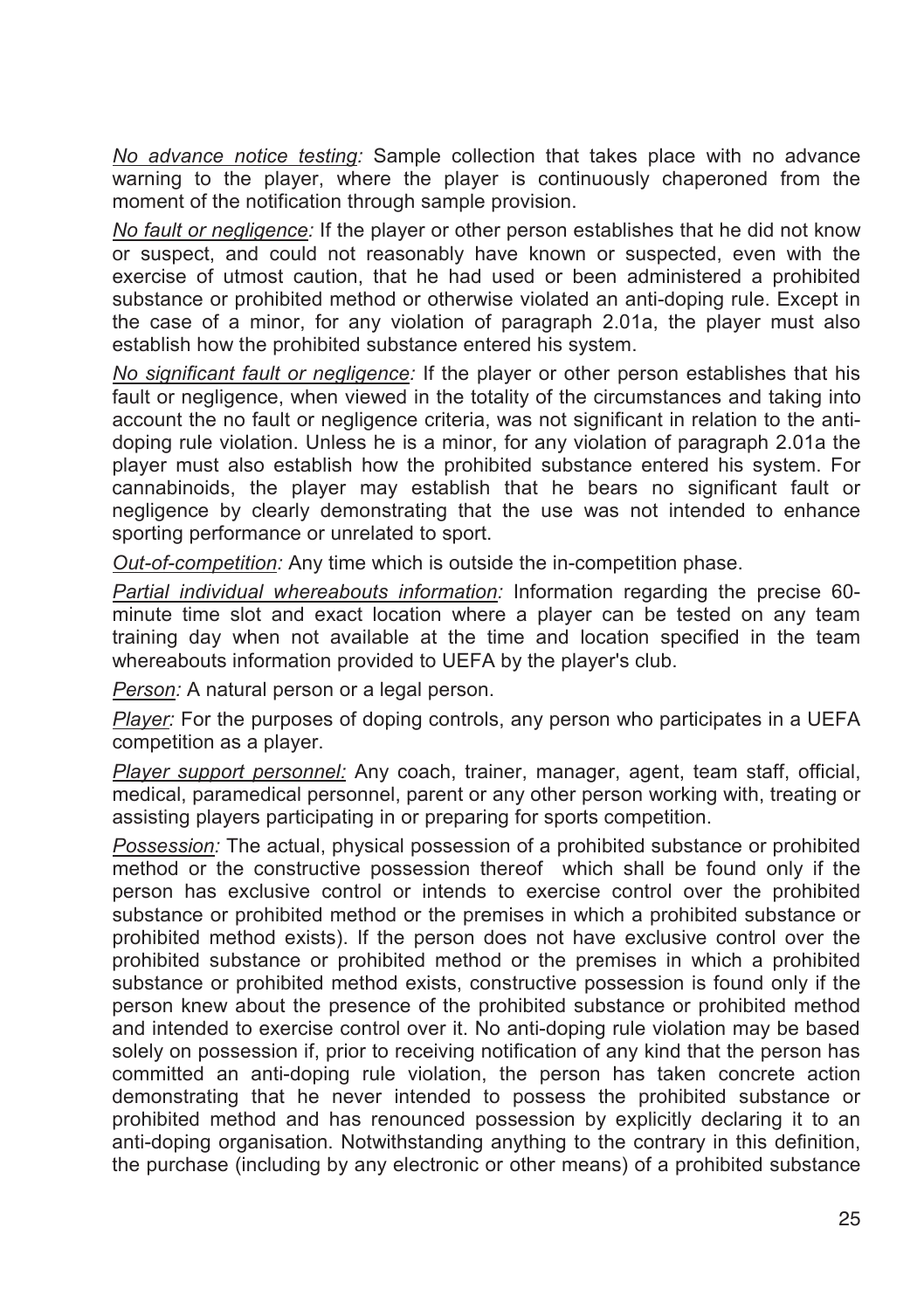*No advance notice testing:* Sample collection that takes place with no advance warning to the player, where the player is continuously chaperoned from the moment of the notification through sample provision.

*No fault or negligence:* If the player or other person establishes that he did not know or suspect, and could not reasonably have known or suspected, even with the exercise of utmost caution, that he had used or been administered a prohibited substance or prohibited method or otherwise violated an anti-doping rule. Except in the case of a minor, for any violation of paragraph 2.01a, the player must also establish how the prohibited substance entered his system.

*No significant fault or negligence:* If the player or other person establishes that his fault or negligence, when viewed in the totality of the circumstances and taking into account the no fault or negligence criteria, was not significant in relation to the antidoping rule violation. Unless he is a minor, for any violation of paragraph 2.01a the player must also establish how the prohibited substance entered his system. For cannabinoids, the player may establish that he bears no significant fault or negligence by clearly demonstrating that the use was not intended to enhance sporting performance or unrelated to sport.

*Out-of-competition:* Any time which is outside the in-competition phase.

*Partial individual whereabouts information:* Information regarding the precise 60 minute time slot and exact location where a player can be tested on any team training day when not available at the time and location specified in the team whereabouts information provided to UEFA by the player's club.

*Person:* A natural person or a legal person.

*Player:* For the purposes of doping controls, any person who participates in a UEFA competition as a player.

*Player support personnel:* Any coach, trainer, manager, agent, team staff, official, medical, paramedical personnel, parent or any other person working with, treating or assisting players participating in or preparing for sports competition.

*Possession:* The actual, physical possession of a prohibited substance or prohibited method or the constructive possession thereof which shall be found only if the person has exclusive control or intends to exercise control over the prohibited substance or prohibited method or the premises in which a prohibited substance or prohibited method exists). If the person does not have exclusive control over the prohibited substance or prohibited method or the premises in which a prohibited substance or prohibited method exists, constructive possession is found only if the person knew about the presence of the prohibited substance or prohibited method and intended to exercise control over it. No anti-doping rule violation may be based solely on possession if, prior to receiving notification of any kind that the person has committed an anti-doping rule violation, the person has taken concrete action demonstrating that he never intended to possess the prohibited substance or prohibited method and has renounced possession by explicitly declaring it to an anti-doping organisation. Notwithstanding anything to the contrary in this definition, the purchase (including by any electronic or other means) of a prohibited substance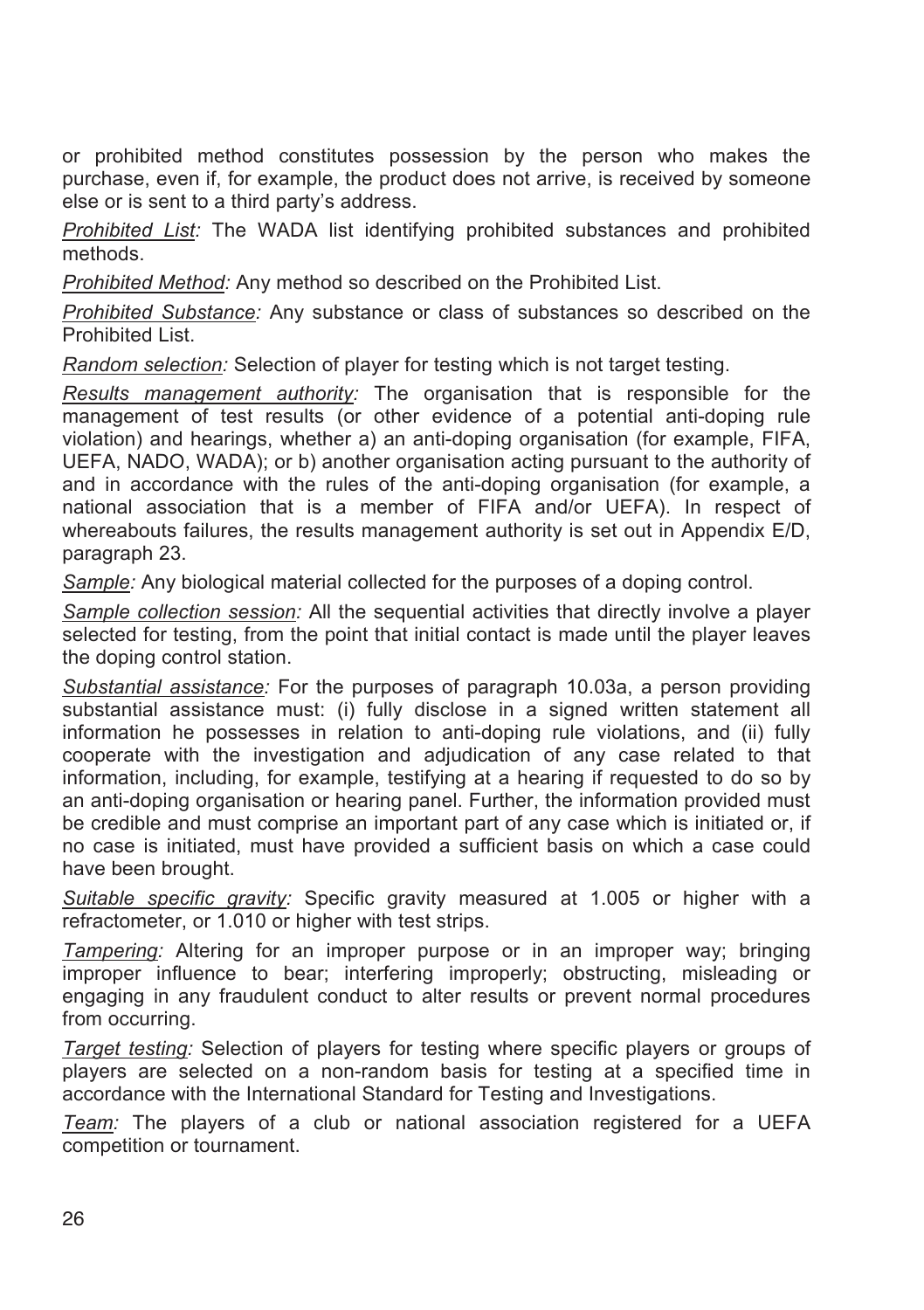or prohibited method constitutes possession by the person who makes the purchase, even if, for example, the product does not arrive, is received by someone else or is sent to a third party's address.

*Prohibited List:* The WADA list identifying prohibited substances and prohibited methods.

*Prohibited Method:* Any method so described on the Prohibited List.

*Prohibited Substance:* Any substance or class of substances so described on the Prohibited List.

*Random selection:* Selection of player for testing which is not target testing.

*Results management authority:* The organisation that is responsible for the management of test results (or other evidence of a potential anti-doping rule violation) and hearings, whether a) an anti-doping organisation (for example, FIFA, UEFA, NADO, WADA); or b) another organisation acting pursuant to the authority of and in accordance with the rules of the anti-doping organisation (for example, a national association that is a member of FIFA and/or UEFA). In respect of whereabouts failures, the results management authority is set out in Appendix E/D, paragraph 23.

*Sample:* Any biological material collected for the purposes of a doping control.

*Sample collection session:* All the sequential activities that directly involve a player selected for testing, from the point that initial contact is made until the player leaves the doping control station.

*Substantial assistance:* For the purposes of paragraph 10.03a, a person providing substantial assistance must: (i) fully disclose in a signed written statement all information he possesses in relation to anti-doping rule violations, and (ii) fully cooperate with the investigation and adjudication of any case related to that information, including, for example, testifying at a hearing if requested to do so by an anti-doping organisation or hearing panel. Further, the information provided must be credible and must comprise an important part of any case which is initiated or, if no case is initiated, must have provided a sufficient basis on which a case could have been brought.

*Suitable specific gravity:* Specific gravity measured at 1.005 or higher with a refractometer, or 1.010 or higher with test strips.

*Tampering:* Altering for an improper purpose or in an improper way; bringing improper influence to bear; interfering improperly; obstructing, misleading or engaging in any fraudulent conduct to alter results or prevent normal procedures from occurring.

*Target testing:* Selection of players for testing where specific players or groups of players are selected on a non-random basis for testing at a specified time in accordance with the International Standard for Testing and Investigations.

*Team:* The players of a club or national association registered for a UEFA competition or tournament.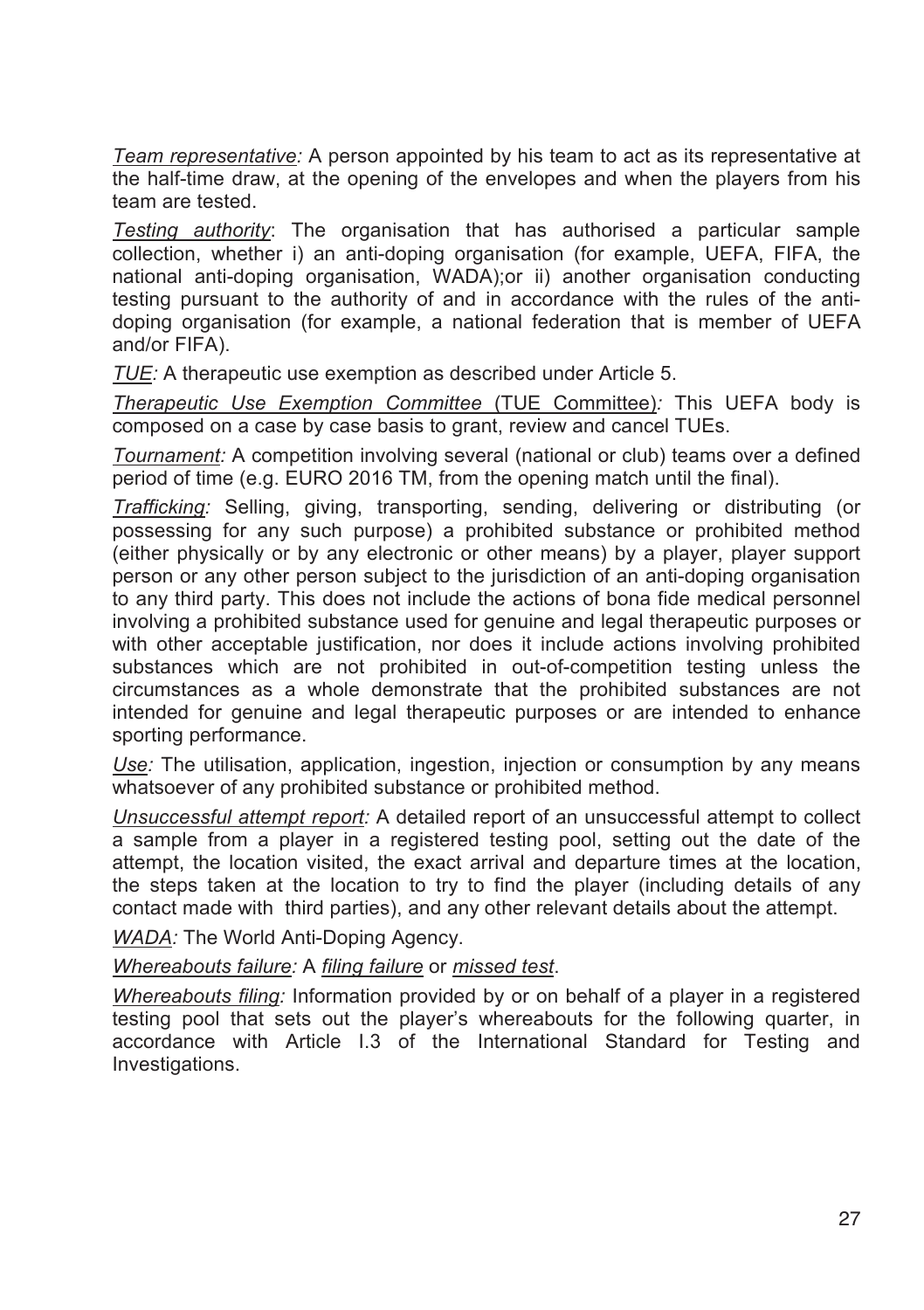*Team representative:* A person appointed by his team to act as its representative at the half-time draw, at the opening of the envelopes and when the players from his team are tested.

*Testing authority*: The organisation that has authorised a particular sample collection, whether i) an anti-doping organisation (for example, UEFA, FIFA, the national anti-doping organisation, WADA);or ii) another organisation conducting testing pursuant to the authority of and in accordance with the rules of the antidoping organisation (for example, a national federation that is member of UEFA and/or FIFA).

*TUE:* A therapeutic use exemption as described under Article 5.

*Therapeutic Use Exemption Committee* (TUE Committee)*:* This UEFA body is composed on a case by case basis to grant, review and cancel TUEs.

*Tournament:* A competition involving several (national or club) teams over a defined period of time (e.g. EURO 2016 TM, from the opening match until the final).

*Trafficking:* Selling, giving, transporting, sending, delivering or distributing (or possessing for any such purpose) a prohibited substance or prohibited method (either physically or by any electronic or other means) by a player, player support person or any other person subject to the jurisdiction of an anti-doping organisation to any third party. This does not include the actions of bona fide medical personnel involving a prohibited substance used for genuine and legal therapeutic purposes or with other acceptable justification, nor does it include actions involving prohibited substances which are not prohibited in out-of-competition testing unless the circumstances as a whole demonstrate that the prohibited substances are not intended for genuine and legal therapeutic purposes or are intended to enhance sporting performance.

*Use:* The utilisation, application, ingestion, injection or consumption by any means whatsoever of any prohibited substance or prohibited method.

*Unsuccessful attempt report:* A detailed report of an unsuccessful attempt to collect a sample from a player in a registered testing pool, setting out the date of the attempt, the location visited, the exact arrival and departure times at the location, the steps taken at the location to try to find the player (including details of any contact made with third parties), and any other relevant details about the attempt.

*WADA:* The World Anti-Doping Agency.

*Whereabouts failure:* A *filing failure* or *missed test*.

*Whereabouts filing:* Information provided by or on behalf of a player in a registered testing pool that sets out the player's whereabouts for the following quarter, in accordance with Article I.3 of the International Standard for Testing and Investigations.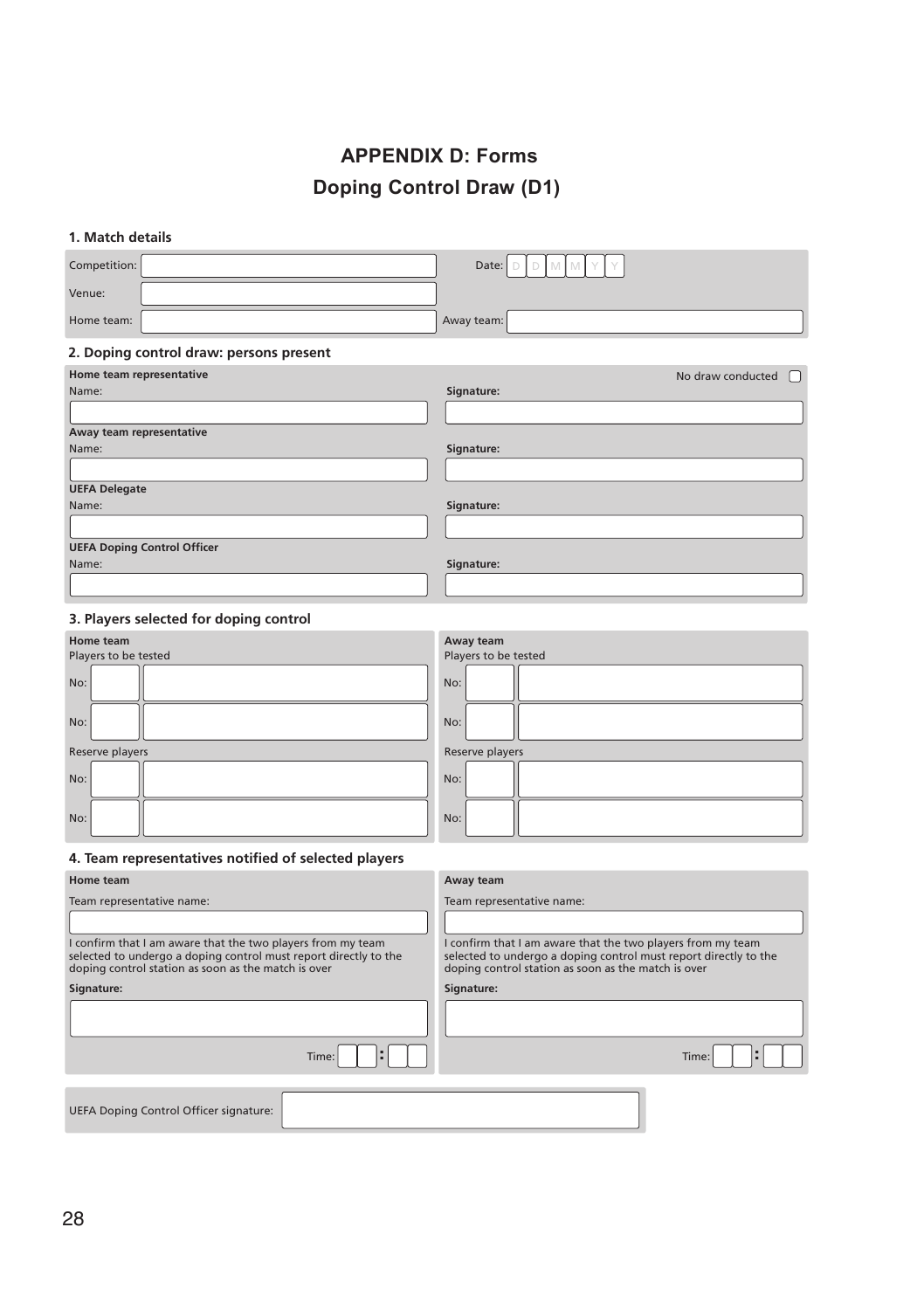## **APPENDIX D: Forms**

## **Doping Control Draw (D1)**

#### **1. Match details**

| Competition:                                                                                                                                                                           | Date:<br>D<br>D<br>M                                                                                                                                                                   |
|----------------------------------------------------------------------------------------------------------------------------------------------------------------------------------------|----------------------------------------------------------------------------------------------------------------------------------------------------------------------------------------|
| Venue:                                                                                                                                                                                 |                                                                                                                                                                                        |
| Home team:                                                                                                                                                                             | Away team:                                                                                                                                                                             |
| 2. Doping control draw: persons present                                                                                                                                                |                                                                                                                                                                                        |
| Home team representative                                                                                                                                                               | No draw conducted<br>H                                                                                                                                                                 |
| Name:                                                                                                                                                                                  | Signature:                                                                                                                                                                             |
|                                                                                                                                                                                        |                                                                                                                                                                                        |
| Away team representative<br>Name:                                                                                                                                                      | Signature:                                                                                                                                                                             |
|                                                                                                                                                                                        |                                                                                                                                                                                        |
| <b>UEFA Delegate</b>                                                                                                                                                                   |                                                                                                                                                                                        |
| Name:                                                                                                                                                                                  | Signature:                                                                                                                                                                             |
|                                                                                                                                                                                        |                                                                                                                                                                                        |
| <b>UEFA Doping Control Officer</b>                                                                                                                                                     |                                                                                                                                                                                        |
| Name:                                                                                                                                                                                  | Signature:                                                                                                                                                                             |
|                                                                                                                                                                                        |                                                                                                                                                                                        |
| 3. Players selected for doping control                                                                                                                                                 |                                                                                                                                                                                        |
| Home team                                                                                                                                                                              | Away team                                                                                                                                                                              |
| Players to be tested                                                                                                                                                                   | Players to be tested                                                                                                                                                                   |
| No:                                                                                                                                                                                    | No:                                                                                                                                                                                    |
| No:                                                                                                                                                                                    | No:                                                                                                                                                                                    |
| Reserve players                                                                                                                                                                        | Reserve players                                                                                                                                                                        |
| No:                                                                                                                                                                                    | No:                                                                                                                                                                                    |
| No:                                                                                                                                                                                    | No:                                                                                                                                                                                    |
|                                                                                                                                                                                        |                                                                                                                                                                                        |
| 4. Team representatives notified of selected players                                                                                                                                   |                                                                                                                                                                                        |
| <b>Home team</b>                                                                                                                                                                       | Away team                                                                                                                                                                              |
| Team representative name:                                                                                                                                                              | Team representative name:                                                                                                                                                              |
|                                                                                                                                                                                        |                                                                                                                                                                                        |
| I confirm that I am aware that the two players from my team<br>selected to undergo a doping control must report directly to the<br>doping control station as soon as the match is over | I confirm that I am aware that the two players from my team<br>selected to undergo a doping control must report directly to the<br>doping control station as soon as the match is over |
| Signature:                                                                                                                                                                             | Signature:                                                                                                                                                                             |
|                                                                                                                                                                                        |                                                                                                                                                                                        |
| ÷<br>Time:                                                                                                                                                                             | ÷<br>Time:                                                                                                                                                                             |
|                                                                                                                                                                                        |                                                                                                                                                                                        |
| <b>UEFA Doping Control Officer signature:</b>                                                                                                                                          |                                                                                                                                                                                        |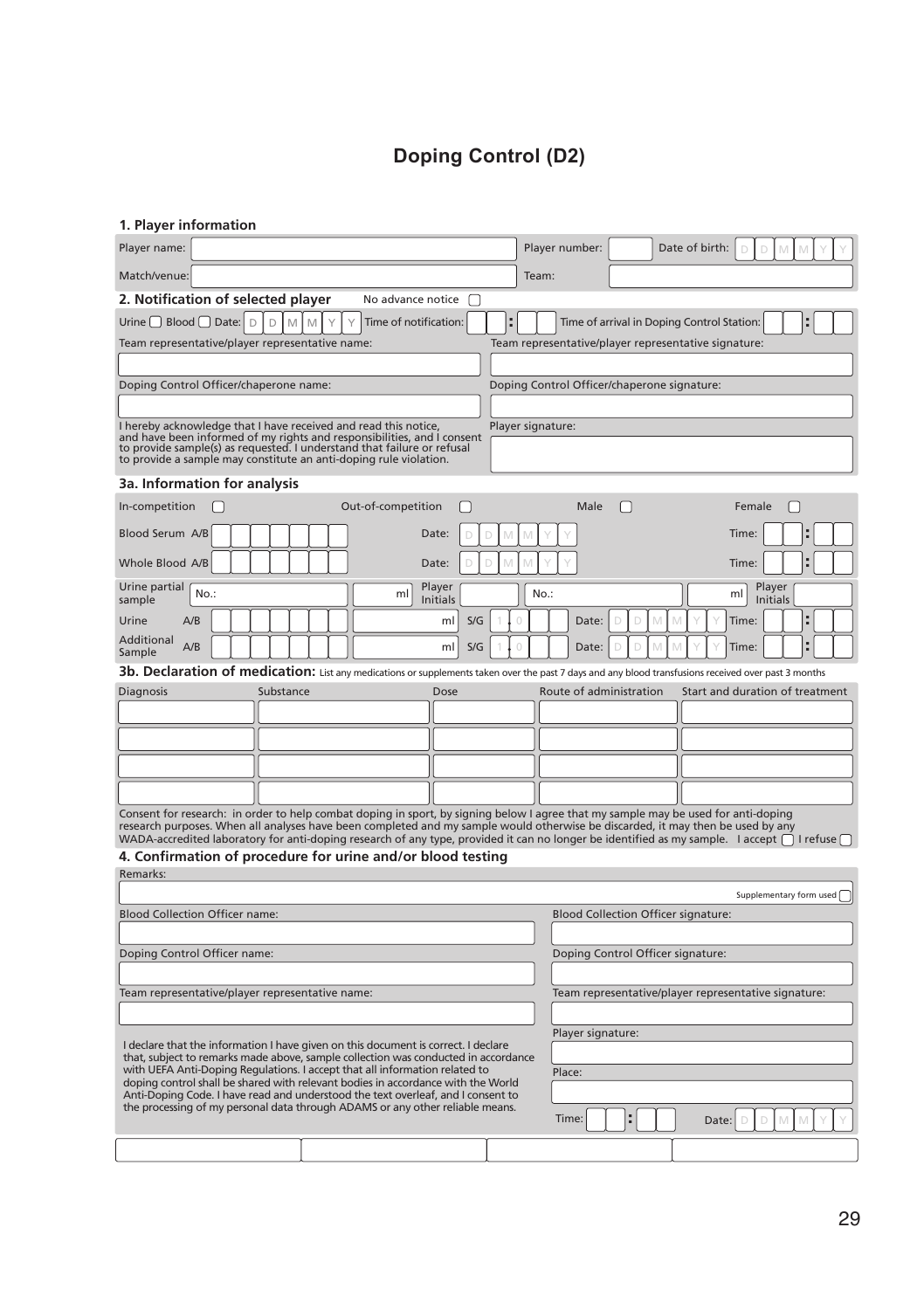## **Doping Control (D2)**

#### **1. Player information**

| Player name:                                                                                                                                                                                                                                                                               | Player number:<br>Date of birth:                           |  |  |
|--------------------------------------------------------------------------------------------------------------------------------------------------------------------------------------------------------------------------------------------------------------------------------------------|------------------------------------------------------------|--|--|
| Match/venue:                                                                                                                                                                                                                                                                               | Team:                                                      |  |  |
| 2. Notification of selected player<br>No advance notice<br>$\sqrt{2}$                                                                                                                                                                                                                      |                                                            |  |  |
| Urine $\Box$ Blood $\Box$ Date:<br>Time of notification:<br>D<br>D<br>M<br>M                                                                                                                                                                                                               | Time of arrival in Doping Control Station:                 |  |  |
| Team representative/player representative name:                                                                                                                                                                                                                                            | Team representative/player representative signature:       |  |  |
|                                                                                                                                                                                                                                                                                            |                                                            |  |  |
| Doping Control Officer/chaperone name:                                                                                                                                                                                                                                                     | Doping Control Officer/chaperone signature:                |  |  |
|                                                                                                                                                                                                                                                                                            |                                                            |  |  |
| I hereby acknowledge that I have received and read this notice,<br>and have been informed of my rights and responsibilities, and I consent<br>to provide sample(s) as requested. I understand that failure or refusal<br>to provide a sample may constitute an anti-doping rule violation. | Player signature:                                          |  |  |
| <b>3a. Information for analysis</b>                                                                                                                                                                                                                                                        |                                                            |  |  |
| Out-of-competition<br>In-competition<br>П                                                                                                                                                                                                                                                  | Male<br>П<br>Female                                        |  |  |
| <b>Blood Serum A/B</b><br>Date:                                                                                                                                                                                                                                                            | Time:                                                      |  |  |
| Whole Blood A/B<br>Date:                                                                                                                                                                                                                                                                   | Time:                                                      |  |  |
| Urine partial<br>Player<br>No.:<br>ml<br>sample<br>Initials                                                                                                                                                                                                                                | Player<br>No.:<br>ml<br>Initials                           |  |  |
| S/G<br>Urine<br>A/B<br>ml                                                                                                                                                                                                                                                                  | Time:<br>Date:                                             |  |  |
| Additional<br>A/B<br>ml<br>S/G<br>Sample                                                                                                                                                                                                                                                   | Date:<br>Time:                                             |  |  |
| 3b. Declaration of medication: List any medications or supplements taken over the past 7 days and any blood transfusions received over past 3 months                                                                                                                                       |                                                            |  |  |
| <b>Diagnosis</b><br>Substance<br>Dose                                                                                                                                                                                                                                                      | Route of administration<br>Start and duration of treatment |  |  |
|                                                                                                                                                                                                                                                                                            |                                                            |  |  |
|                                                                                                                                                                                                                                                                                            |                                                            |  |  |
|                                                                                                                                                                                                                                                                                            |                                                            |  |  |
|                                                                                                                                                                                                                                                                                            |                                                            |  |  |
| Consent for research: in order to help combat doping in sport, by signing below I agree that my sample may be used for anti-doping                                                                                                                                                         |                                                            |  |  |
| research purposes. When all analyses have been completed and my sample would otherwise be discarded, it may then be used by any                                                                                                                                                            |                                                            |  |  |
| WADA-accredited laboratory for anti-doping research of any type, provided it can no longer be identified as my sample. I accept $\bigcap$ I refuse<br>4. Confirmation of procedure for urine and/or blood testing                                                                          |                                                            |  |  |
| Remarks:                                                                                                                                                                                                                                                                                   |                                                            |  |  |
|                                                                                                                                                                                                                                                                                            | Supplementary form used                                    |  |  |
| <b>Blood Collection Officer name:</b>                                                                                                                                                                                                                                                      | <b>Blood Collection Officer signature:</b>                 |  |  |
|                                                                                                                                                                                                                                                                                            |                                                            |  |  |
| Doping Control Officer name:                                                                                                                                                                                                                                                               | Doping Control Officer signature:                          |  |  |
|                                                                                                                                                                                                                                                                                            |                                                            |  |  |
| Team representative/player representative name:                                                                                                                                                                                                                                            | Team representative/player representative signature:       |  |  |
|                                                                                                                                                                                                                                                                                            | Player signature:                                          |  |  |
| I declare that the information I have given on this document is correct. I declare<br>that, subject to remarks made above, sample collection was conducted in accordance                                                                                                                   |                                                            |  |  |
| with UEFA Anti-Doping Regulations. I accept that all information related to                                                                                                                                                                                                                | Place:                                                     |  |  |
| doping control shall be shared with relevant bodies in accordance with the World<br>Anti-Doping Code. I have read and understood the text overleaf, and I consent to                                                                                                                       |                                                            |  |  |
| the processing of my personal data through ADAMS or any other reliable means.                                                                                                                                                                                                              | ÷<br>Time:<br>Date:                                        |  |  |
|                                                                                                                                                                                                                                                                                            |                                                            |  |  |
|                                                                                                                                                                                                                                                                                            |                                                            |  |  |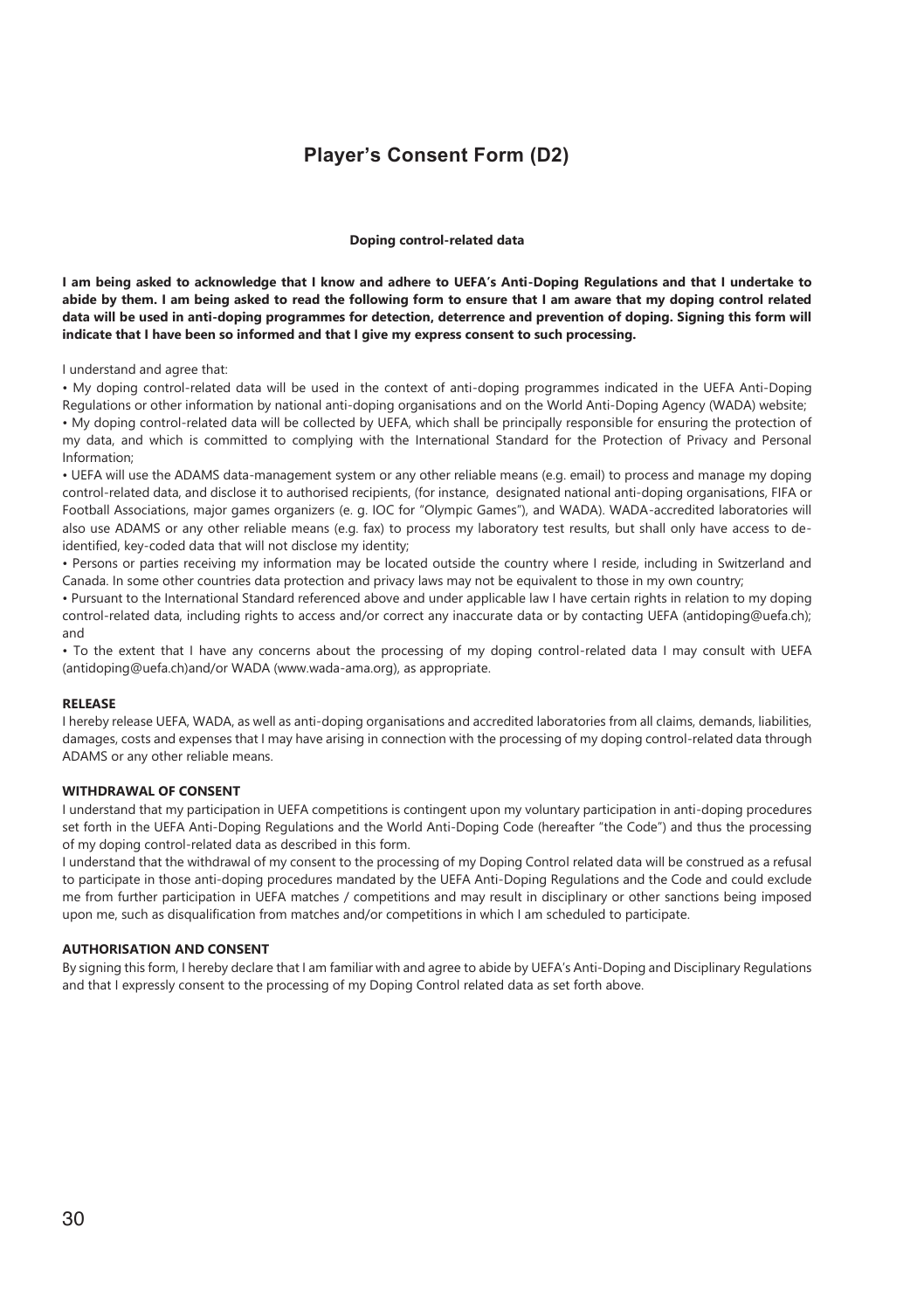#### **Player's Consent Form (D2)**

#### **Doping control-related data**

**I am being asked to acknowledge that I know and adhere to UEFA's Anti-Doping Regulations and that I undertake to abide by them. I am being asked to read the following form to ensure that I am aware that my doping control related data will be used in anti-doping programmes for detection, deterrence and prevention of doping. Signing this form will indicate that I have been so informed and that I give my express consent to such processing.**

I understand and agree that:

• My doping control-related data will be used in the context of anti-doping programmes indicated in the UEFA Anti-Doping Regulations or other information by national anti-doping organisations and on the World Anti-Doping Agency (WADA) website; • My doping control-related data will be collected by UEFA, which shall be principally responsible for ensuring the protection of my data, and which is committed to complying with the International Standard for the Protection of Privacy and Personal Information;

• UEFA will use the ADAMS data-management system or any other reliable means (e.g. email) to process and manage my doping control-related data, and disclose it to authorised recipients, (for instance, designated national anti-doping organisations, FIFA or Football Associations, major games organizers (e. g. IOC for "Olympic Games"), and WADA). WADA-accredited laboratories will also use ADAMS or any other reliable means (e.g. fax) to process my laboratory test results, but shall only have access to deidentified, key-coded data that will not disclose my identity;

• Persons or parties receiving my information may be located outside the country where I reside, including in Switzerland and Canada. In some other countries data protection and privacy laws may not be equivalent to those in my own country;

• Pursuant to the International Standard referenced above and under applicable law I have certain rights in relation to my doping control-related data, including rights to access and/or correct any inaccurate data or by contacting UEFA (antidoping@uefa.ch); and

• To the extent that I have any concerns about the processing of my doping control-related data I may consult with UEFA (antidoping@uefa.ch)and/or WADA (www.wada-ama.org), as appropriate.

#### **RELEASE**

I hereby release UEFA, WADA, as well as anti-doping organisations and accredited laboratories from all claims, demands, liabilities, damages, costs and expenses that I may have arising in connection with the processing of my doping control-related data through ADAMS or any other reliable means.

#### **WITHDRAWAL OF CONSENT**

I understand that my participation in UEFA competitions is contingent upon my voluntary participation in anti-doping procedures set forth in the UEFA Anti-Doping Regulations and the World Anti-Doping Code (hereafter "the Code") and thus the processing of my doping control-related data as described in this form.

I understand that the withdrawal of my consent to the processing of my Doping Control related data will be construed as a refusal to participate in those anti-doping procedures mandated by the UEFA Anti-Doping Regulations and the Code and could exclude me from further participation in UEFA matches / competitions and may result in disciplinary or other sanctions being imposed upon me, such as disqualification from matches and/or competitions in which I am scheduled to participate.

#### **AUTHORISATION AND CONSENT**

By signing this form, I hereby declare that I am familiar with and agree to abide by UEFA's Anti-Doping and Disciplinary Regulations and that I expressly consent to the processing of my Doping Control related data as set forth above.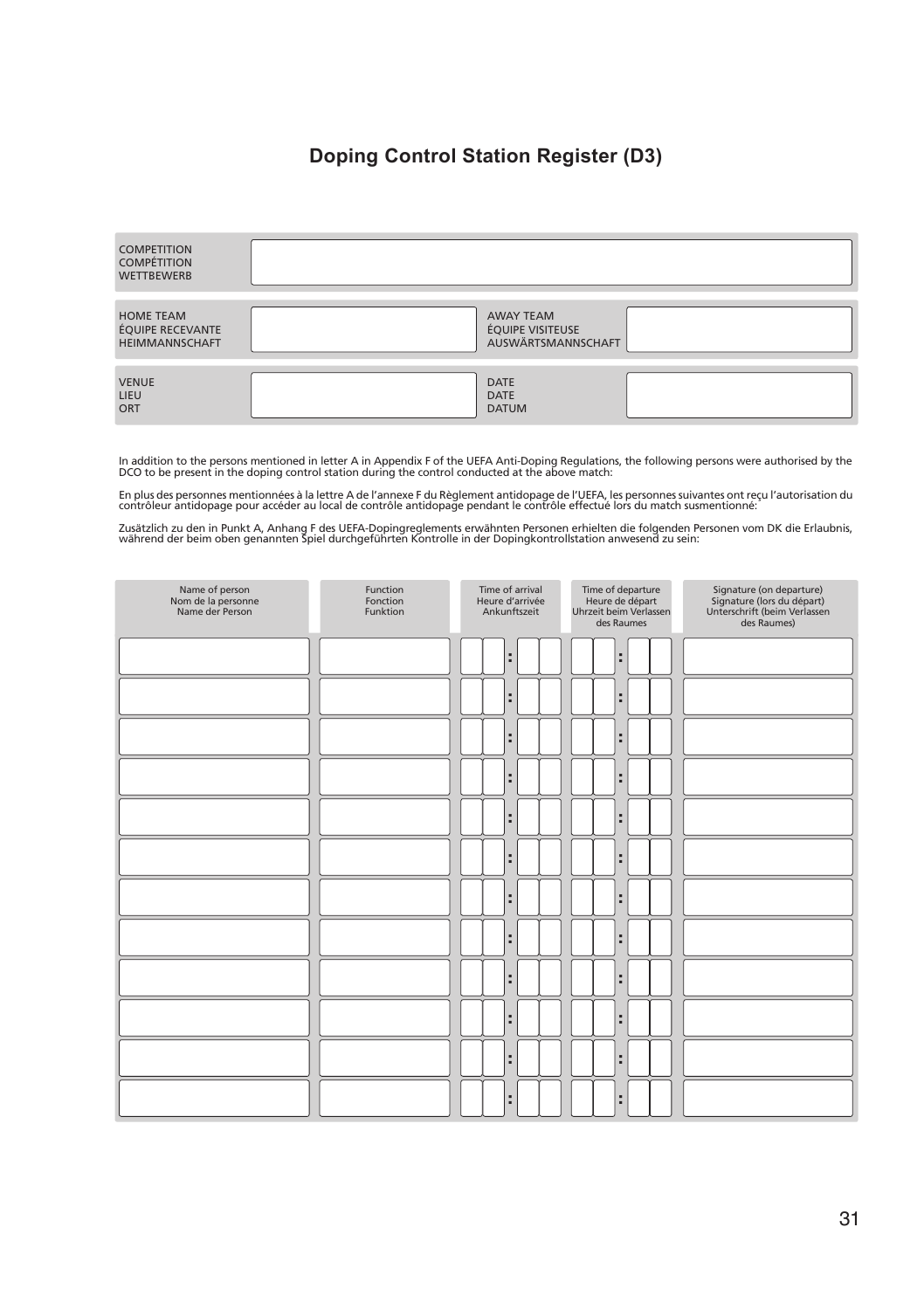#### **Doping Control Station Register (D3)**

| <b>COMPETITION</b><br><b>COMPÉTITION</b><br><b>WETTBEWERB</b> |                                                            |  |
|---------------------------------------------------------------|------------------------------------------------------------|--|
| <b>HOME TEAM</b><br>ÉQUIPE RECEVANTE<br>HEIMMANNSCHAFT        | <b>AWAY TEAM</b><br>ÉQUIPE VISITEUSE<br>AUSWÄRTSMANNSCHAFT |  |
| <b>VENUE</b><br>LIEU<br>ORT                                   | <b>DATE</b><br><b>DATE</b><br><b>DATUM</b>                 |  |

In addition to the persons mentioned in letter A in Appendix F of the UEFA Anti-Doping Regulations, the following persons were authorised by the<br>DCO to be present in the doping control station during the control conducted

En plus des personnes mentionnées à la lettre A de l'annexe F du Règlement antidopage de l'UEFA, les personnes suivantes ont reçu l'autorisation du<br>contrôleur antidopage pour accéder au local de contrôle antidopage pendant

Zusätzlich zu den in Punkt A, Anhang F des UEFA-Dopingreglements erwähnten Personen erhielten die folgenden Personen vom DK die Erlaubnis,<br>während der beim oben genannten Spiel durchgeführten Kontrolle in der Dopingkontrol

| Name of person<br>Nom de la personne<br>Name der Person | Function<br>Fonction<br>Funktion | Time of arrival<br>Heure d'arrivée<br>Ankunftszeit | Time of departure<br>Heure de départ<br>Uhrzeit beim Verlassen<br>des Raumes | Signature (on departure)<br>Signature (lors du départ)<br>Unterschrift (beim Verlassen<br>des Raumes) |
|---------------------------------------------------------|----------------------------------|----------------------------------------------------|------------------------------------------------------------------------------|-------------------------------------------------------------------------------------------------------|
|                                                         |                                  | ÷                                                  | ÷                                                                            |                                                                                                       |
|                                                         |                                  | ÷                                                  | ÷                                                                            |                                                                                                       |
|                                                         |                                  | ÷                                                  | ÷                                                                            |                                                                                                       |
|                                                         |                                  | ÷                                                  | ÷                                                                            |                                                                                                       |
|                                                         |                                  | ÷                                                  | ÷                                                                            |                                                                                                       |
|                                                         |                                  | ÷                                                  | ÷                                                                            |                                                                                                       |
|                                                         |                                  | ÷                                                  | ÷                                                                            |                                                                                                       |
|                                                         |                                  | ÷                                                  | ÷                                                                            |                                                                                                       |
|                                                         |                                  | ÷                                                  | ÷                                                                            |                                                                                                       |
|                                                         |                                  | ÷                                                  | ÷                                                                            |                                                                                                       |
|                                                         |                                  | ÷                                                  | ÷                                                                            |                                                                                                       |
|                                                         |                                  | ÷                                                  | ÷                                                                            |                                                                                                       |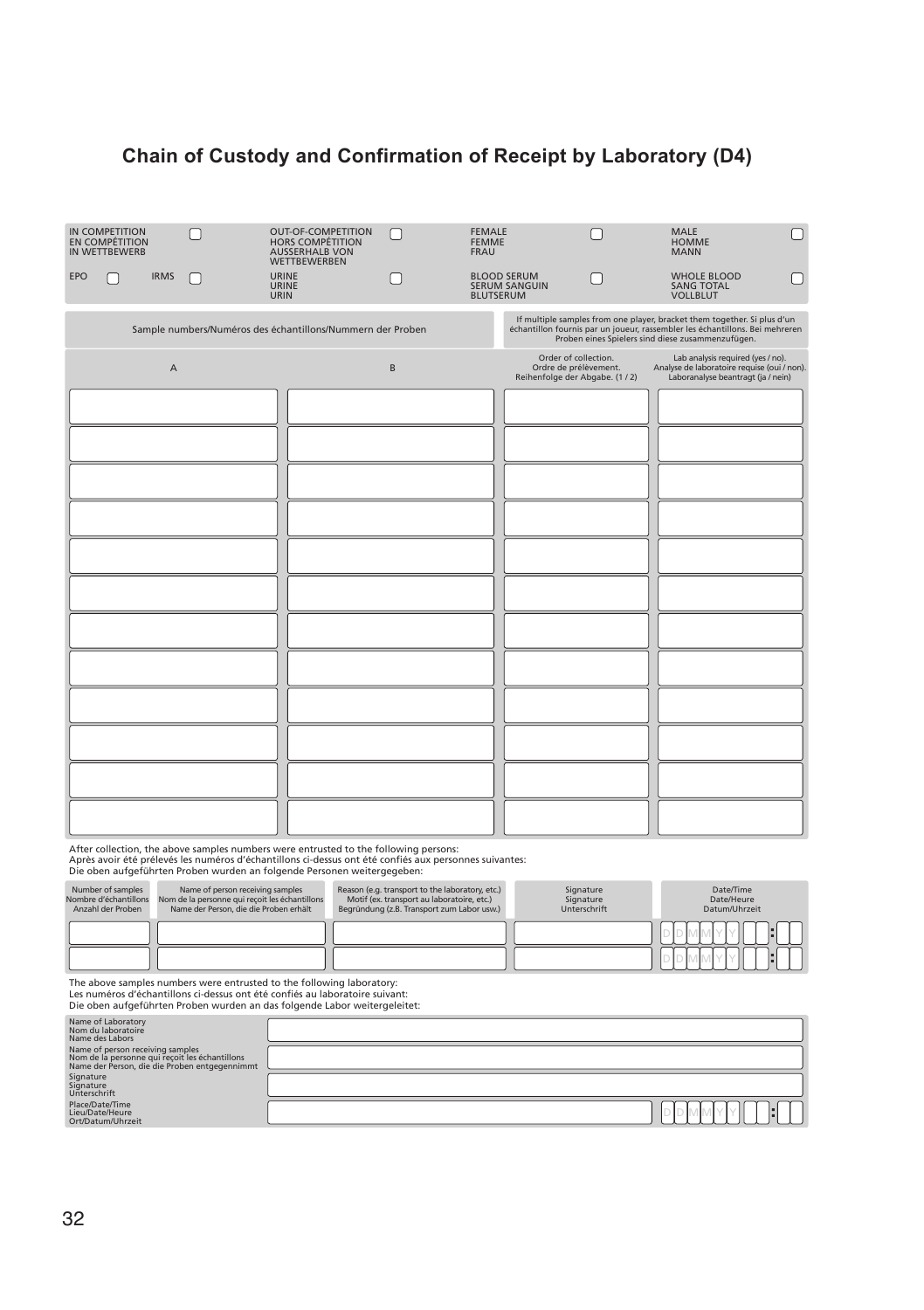## **Chain of Custody and Confirmation of Receipt by Laboratory (D4)**

| IN COMPETITION<br>EN COMPÉTITION<br>IN WETTBEWERB |    | OUT-OF-COMPETITION<br><b>HORS COMPÉTITION</b><br>AUSSERHALB VON<br><b>WETTBEWERBEN</b> |          | <b>FEMALE</b><br><b>FEMME</b><br><b>FRAU</b> |                                                                                | <b>MALE</b><br><b>HOMME</b><br><b>MANN</b>                                                                                                                                                                    |  |
|---------------------------------------------------|----|----------------------------------------------------------------------------------------|----------|----------------------------------------------|--------------------------------------------------------------------------------|---------------------------------------------------------------------------------------------------------------------------------------------------------------------------------------------------------------|--|
| EPO<br><b>IRMS</b>                                | ΓI | URINE<br><b>URINE</b><br><b>URIN</b>                                                   | П        | <b>BLUTSERUM</b>                             | <b>BLOOD SERUM</b><br><b>SERUM SANGUIN</b>                                     | <b>WHOLE BLOOD</b><br><b>SANG TOTAL</b><br><b>VOLLBLUT</b>                                                                                                                                                    |  |
|                                                   |    | Sample numbers/Numéros des échantillons/Nummern der Proben                             |          |                                              |                                                                                | If multiple samples from one player, bracket them together. Si plus d'un<br>échantillon fournis par un joueur, rassembler les échantillons. Bei mehreren<br>Proben eines Spielers sind diese zusammenzufügen. |  |
| А                                                 |    |                                                                                        | $\sf{B}$ |                                              | Order of collection.<br>Ordre de prélèvement.<br>Reihenfolge der Abgabe. (1/2) | Lab analysis required (yes / no).<br>Analyse de laboratoire requise (oui / non).<br>Laboranalyse beantragt (ja / nein)                                                                                        |  |
|                                                   |    |                                                                                        |          |                                              |                                                                                |                                                                                                                                                                                                               |  |
|                                                   |    |                                                                                        |          |                                              |                                                                                |                                                                                                                                                                                                               |  |
|                                                   |    |                                                                                        |          |                                              |                                                                                |                                                                                                                                                                                                               |  |
|                                                   |    |                                                                                        |          |                                              |                                                                                |                                                                                                                                                                                                               |  |
|                                                   |    |                                                                                        |          |                                              |                                                                                |                                                                                                                                                                                                               |  |
|                                                   |    |                                                                                        |          |                                              |                                                                                |                                                                                                                                                                                                               |  |
|                                                   |    |                                                                                        |          |                                              |                                                                                |                                                                                                                                                                                                               |  |
|                                                   |    |                                                                                        |          |                                              |                                                                                |                                                                                                                                                                                                               |  |
|                                                   |    |                                                                                        |          |                                              |                                                                                |                                                                                                                                                                                                               |  |
|                                                   |    |                                                                                        |          |                                              |                                                                                |                                                                                                                                                                                                               |  |
|                                                   |    |                                                                                        |          |                                              |                                                                                |                                                                                                                                                                                                               |  |
|                                                   |    |                                                                                        |          |                                              |                                                                                |                                                                                                                                                                                                               |  |

After collection, the above samples numbers were entrusted to the following persons:<br>Après avoir été prélevés les numéros d'échantillons ci-dessus ont été confiés aux personnes suivantes:<br>Die oben aufgeführten Proben wurde

| Number of samples<br>Nombre d'échantillons<br>Anzahl der Proben | Name of person receiving samples<br>Nom de la personne qui recoit les échantillons<br>Name der Person, die die Proben erhält | Reason (e.g. transport to the laboratory, etc.)<br>Motif (ex. transport au laboratoire, etc.)<br>Begründung (z.B. Transport zum Labor usw.) | Signature<br>Signature<br>Unterschrift | Date/Time<br>Date/Heure<br>Datum/Uhrzeit |
|-----------------------------------------------------------------|------------------------------------------------------------------------------------------------------------------------------|---------------------------------------------------------------------------------------------------------------------------------------------|----------------------------------------|------------------------------------------|
|                                                                 |                                                                                                                              |                                                                                                                                             |                                        |                                          |
|                                                                 |                                                                                                                              |                                                                                                                                             |                                        |                                          |

The above samples numbers were entrusted to the following laboratory:<br>Les numéros d'échantillons ci-dessus ont été confiés au laboratoire suivant:<br>Die oben aufgeführten Proben wurden an das folgende Labor weitergeleitet:

| Name of Laboratory<br>Nom du laboratoire<br>Name des Labors                                                                         |  |
|-------------------------------------------------------------------------------------------------------------------------------------|--|
| Name of person receiving samples<br>Nom de la personne qui reçoit les échantillons<br>Name der Person, die die Proben entgegennimmt |  |
| Signature<br>Signature<br>Unterschrift                                                                                              |  |
| Place/Date/Time<br>Lieu/Date/Heure<br>Ort/Datum/Uhrzeit                                                                             |  |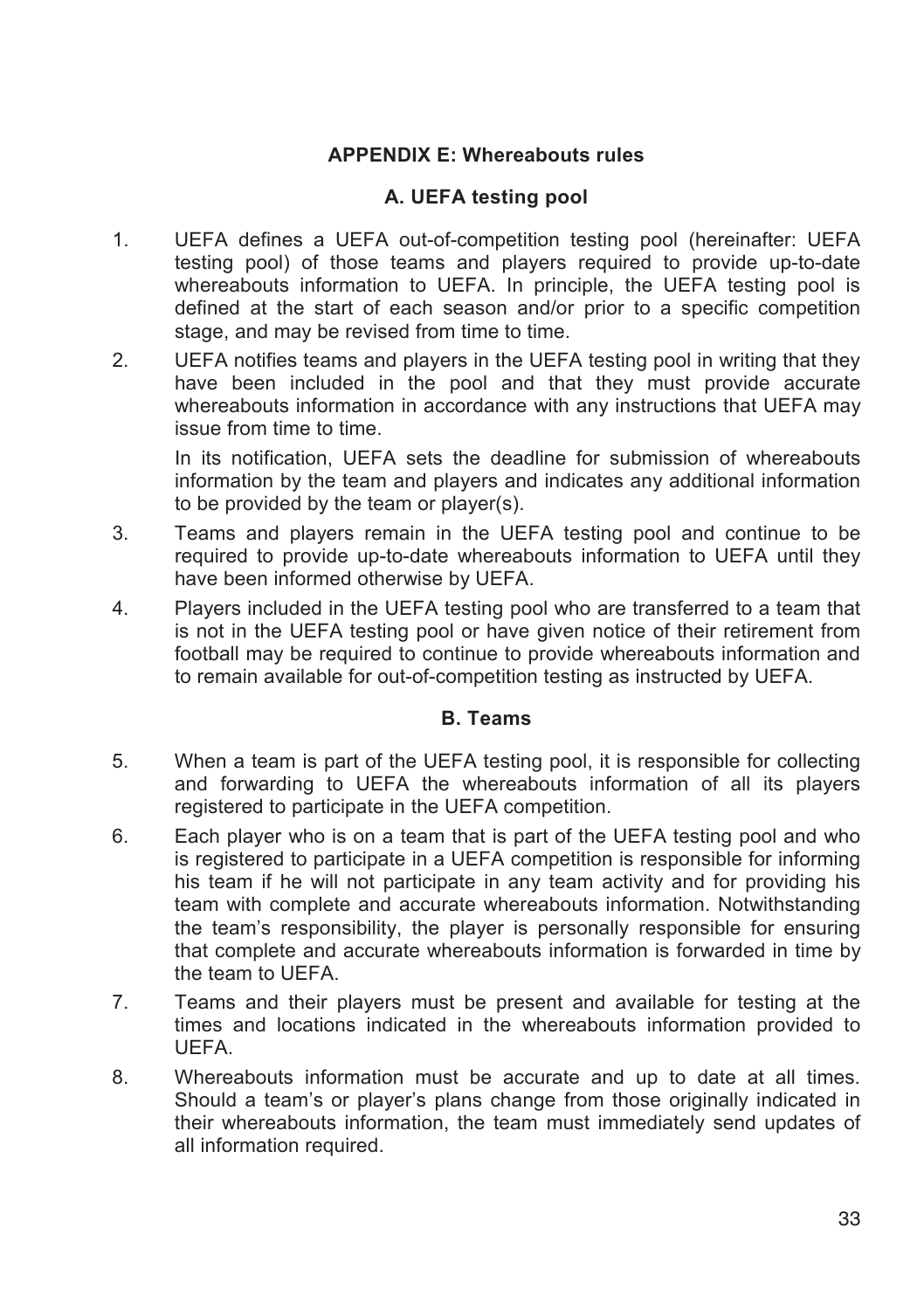#### **APPENDIX E: Whereabouts rules**

#### **A. UEFA testing pool**

- 1. UEFA defines a UEFA out-of-competition testing pool (hereinafter: UEFA testing pool) of those teams and players required to provide up-to-date whereabouts information to UEFA. In principle, the UEFA testing pool is defined at the start of each season and/or prior to a specific competition stage, and may be revised from time to time.
- 2. UEFA notifies teams and players in the UEFA testing pool in writing that they have been included in the pool and that they must provide accurate whereabouts information in accordance with any instructions that UEFA may issue from time to time.

In its notification, UEFA sets the deadline for submission of whereabouts information by the team and players and indicates any additional information to be provided by the team or player(s).

- 3. Teams and players remain in the UEFA testing pool and continue to be required to provide up-to-date whereabouts information to UEFA until they have been informed otherwise by UEFA.
- 4. Players included in the UEFA testing pool who are transferred to a team that is not in the UEFA testing pool or have given notice of their retirement from football may be required to continue to provide whereabouts information and to remain available for out-of-competition testing as instructed by UEFA.

#### **B. Teams**

- 5. When a team is part of the UEFA testing pool, it is responsible for collecting and forwarding to UEFA the whereabouts information of all its players registered to participate in the UEFA competition.
- 6. Each player who is on a team that is part of the UEFA testing pool and who is registered to participate in a UEFA competition is responsible for informing his team if he will not participate in any team activity and for providing his team with complete and accurate whereabouts information. Notwithstanding the team's responsibility, the player is personally responsible for ensuring that complete and accurate whereabouts information is forwarded in time by the team to UEFA.
- 7. Teams and their players must be present and available for testing at the times and locations indicated in the whereabouts information provided to UEFA.
- 8. Whereabouts information must be accurate and up to date at all times. Should a team's or player's plans change from those originally indicated in their whereabouts information, the team must immediately send updates of all information required.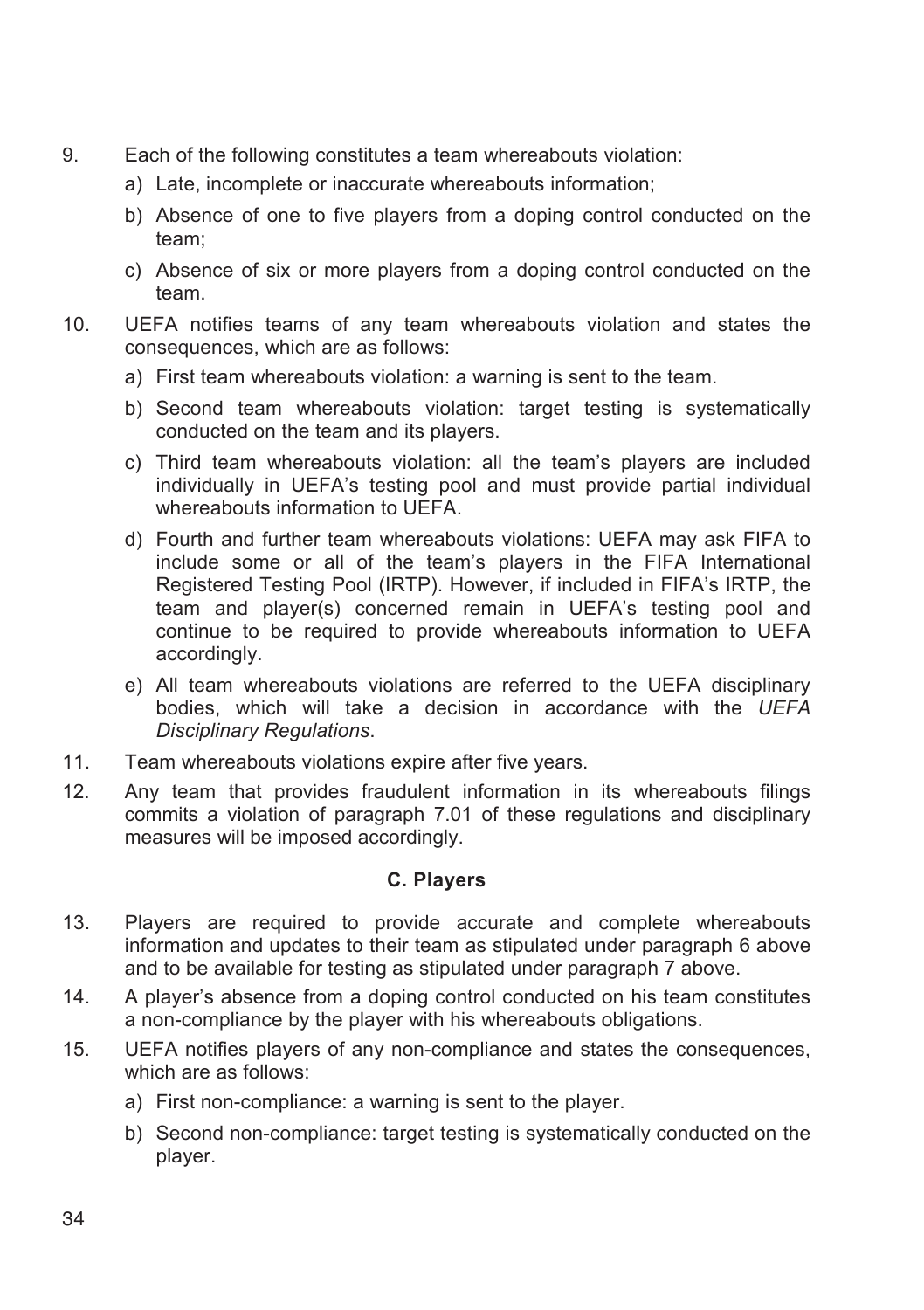- 9. Each of the following constitutes a team whereabouts violation:
	- a) Late, incomplete or inaccurate whereabouts information;
	- b) Absence of one to five players from a doping control conducted on the team;
	- c) Absence of six or more players from a doping control conducted on the team.
- 10. UEFA notifies teams of any team whereabouts violation and states the consequences, which are as follows:
	- a) First team whereabouts violation: a warning is sent to the team.
	- b) Second team whereabouts violation: target testing is systematically conducted on the team and its players.
	- c) Third team whereabouts violation: all the team's players are included individually in UEFA's testing pool and must provide partial individual whereabouts information to UEFA.
	- d) Fourth and further team whereabouts violations: UEFA may ask FIFA to include some or all of the team's players in the FIFA International Registered Testing Pool (IRTP). However, if included in FIFA's IRTP, the team and player(s) concerned remain in UEFA's testing pool and continue to be required to provide whereabouts information to UEFA accordingly.
	- e) All team whereabouts violations are referred to the UEFA disciplinary bodies, which will take a decision in accordance with the *UEFA Disciplinary Regulations*.
- 11. Team whereabouts violations expire after five years.
- 12. Any team that provides fraudulent information in its whereabouts filings commits a violation of paragraph 7.01 of these regulations and disciplinary measures will be imposed accordingly.

#### **C. Players**

- 13. Players are required to provide accurate and complete whereabouts information and updates to their team as stipulated under paragraph 6 above and to be available for testing as stipulated under paragraph 7 above.
- 14. A player's absence from a doping control conducted on his team constitutes a non-compliance by the player with his whereabouts obligations.
- 15. UEFA notifies players of any non-compliance and states the consequences, which are as follows:
	- a) First non-compliance: a warning is sent to the player.
	- b) Second non-compliance: target testing is systematically conducted on the player.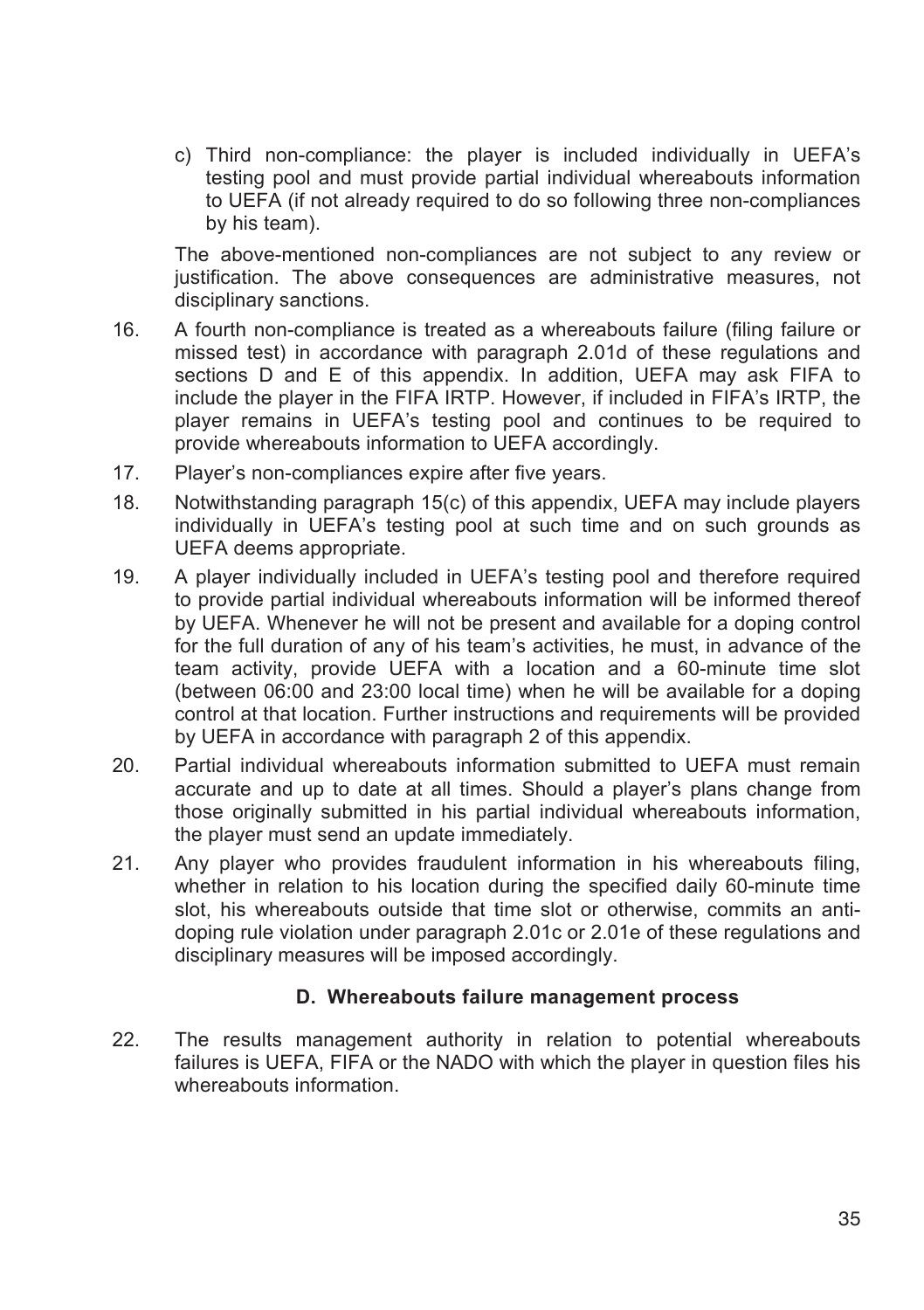c) Third non-compliance: the player is included individually in UEFA's testing pool and must provide partial individual whereabouts information to UEFA (if not already required to do so following three non-compliances by his team).

The above-mentioned non-compliances are not subject to any review or justification. The above consequences are administrative measures, not disciplinary sanctions.

- 16. A fourth non-compliance is treated as a whereabouts failure (filing failure or missed test) in accordance with paragraph 2.01d of these regulations and sections D and E of this appendix. In addition, UEFA may ask FIFA to include the player in the FIFA IRTP. However, if included in FIFA's IRTP, the player remains in UEFA's testing pool and continues to be required to provide whereabouts information to UEFA accordingly.
- 17. Player's non-compliances expire after five years.
- 18. Notwithstanding paragraph 15(c) of this appendix, UEFA may include players individually in UEFA's testing pool at such time and on such grounds as UEFA deems appropriate.
- 19. A player individually included in UEFA's testing pool and therefore required to provide partial individual whereabouts information will be informed thereof by UEFA. Whenever he will not be present and available for a doping control for the full duration of any of his team's activities, he must, in advance of the team activity, provide UEFA with a location and a 60-minute time slot (between 06:00 and 23:00 local time) when he will be available for a doping control at that location. Further instructions and requirements will be provided by UEFA in accordance with paragraph 2 of this appendix.
- 20. Partial individual whereabouts information submitted to UEFA must remain accurate and up to date at all times. Should a player's plans change from those originally submitted in his partial individual whereabouts information, the player must send an update immediately.
- 21. Any player who provides fraudulent information in his whereabouts filing, whether in relation to his location during the specified daily 60-minute time slot, his whereabouts outside that time slot or otherwise, commits an antidoping rule violation under paragraph 2.01c or 2.01e of these regulations and disciplinary measures will be imposed accordingly.

#### **D. Whereabouts failure management process**

22. The results management authority in relation to potential whereabouts failures is UEFA, FIFA or the NADO with which the player in question files his whereabouts information.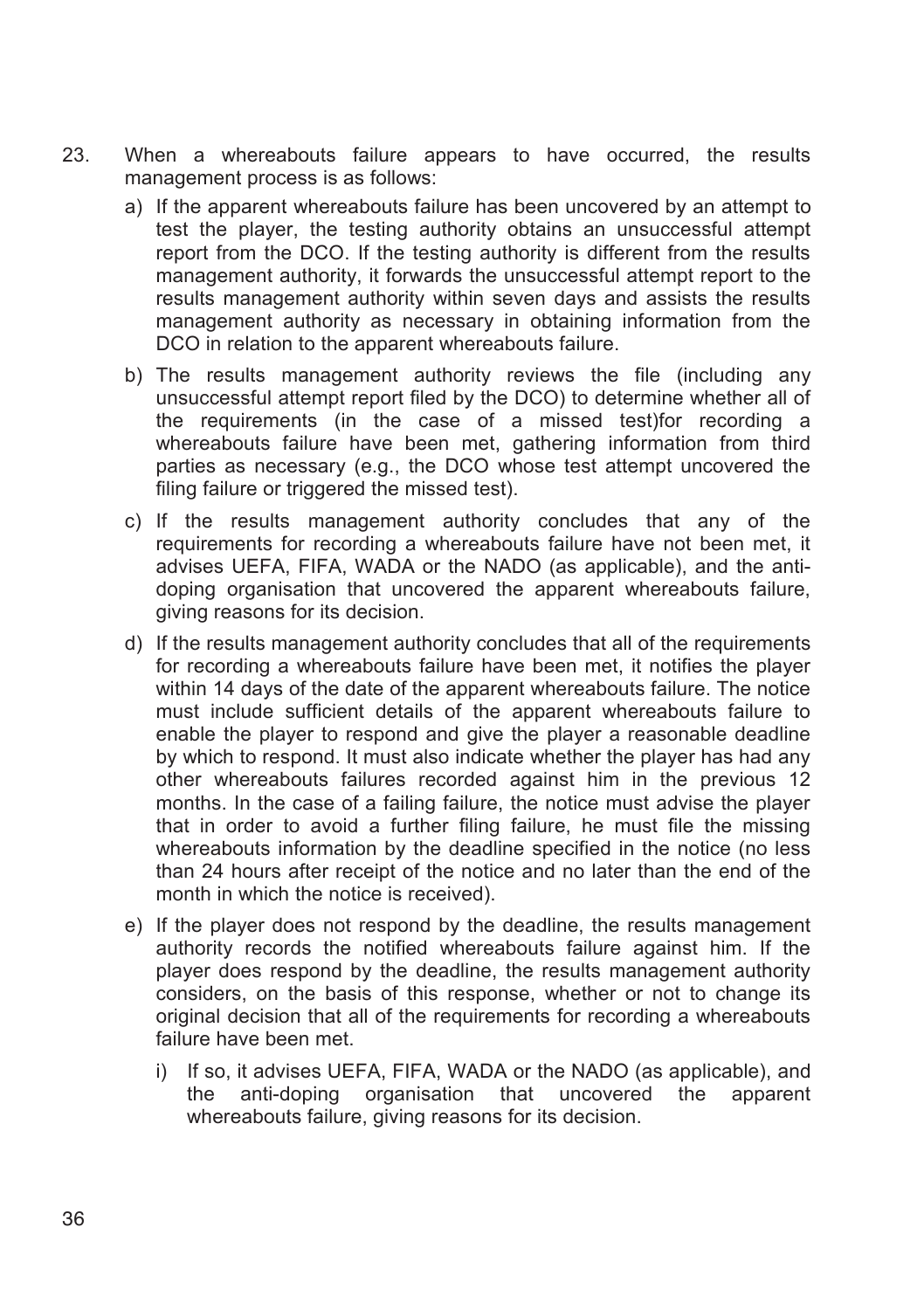- 23. When a whereabouts failure appears to have occurred, the results management process is as follows:
	- a) If the apparent whereabouts failure has been uncovered by an attempt to test the player, the testing authority obtains an unsuccessful attempt report from the DCO. If the testing authority is different from the results management authority, it forwards the unsuccessful attempt report to the results management authority within seven days and assists the results management authority as necessary in obtaining information from the DCO in relation to the apparent whereabouts failure.
	- b) The results management authority reviews the file (including any unsuccessful attempt report filed by the DCO) to determine whether all of the requirements (in the case of a missed test)for recording a whereabouts failure have been met, gathering information from third parties as necessary (e.g., the DCO whose test attempt uncovered the filing failure or triggered the missed test).
	- c) If the results management authority concludes that any of the requirements for recording a whereabouts failure have not been met, it advises UEFA, FIFA, WADA or the NADO (as applicable), and the antidoping organisation that uncovered the apparent whereabouts failure, giving reasons for its decision.
	- d) If the results management authority concludes that all of the requirements for recording a whereabouts failure have been met, it notifies the player within 14 days of the date of the apparent whereabouts failure. The notice must include sufficient details of the apparent whereabouts failure to enable the player to respond and give the player a reasonable deadline by which to respond. It must also indicate whether the player has had any other whereabouts failures recorded against him in the previous 12 months. In the case of a failing failure, the notice must advise the player that in order to avoid a further filing failure, he must file the missing whereabouts information by the deadline specified in the notice (no less than 24 hours after receipt of the notice and no later than the end of the month in which the notice is received).
	- e) If the player does not respond by the deadline, the results management authority records the notified whereabouts failure against him. If the player does respond by the deadline, the results management authority considers, on the basis of this response, whether or not to change its original decision that all of the requirements for recording a whereabouts failure have been met.
		- i) If so, it advises UEFA, FIFA, WADA or the NADO (as applicable), and the anti-doping organisation that uncovered the apparent whereabouts failure, giving reasons for its decision.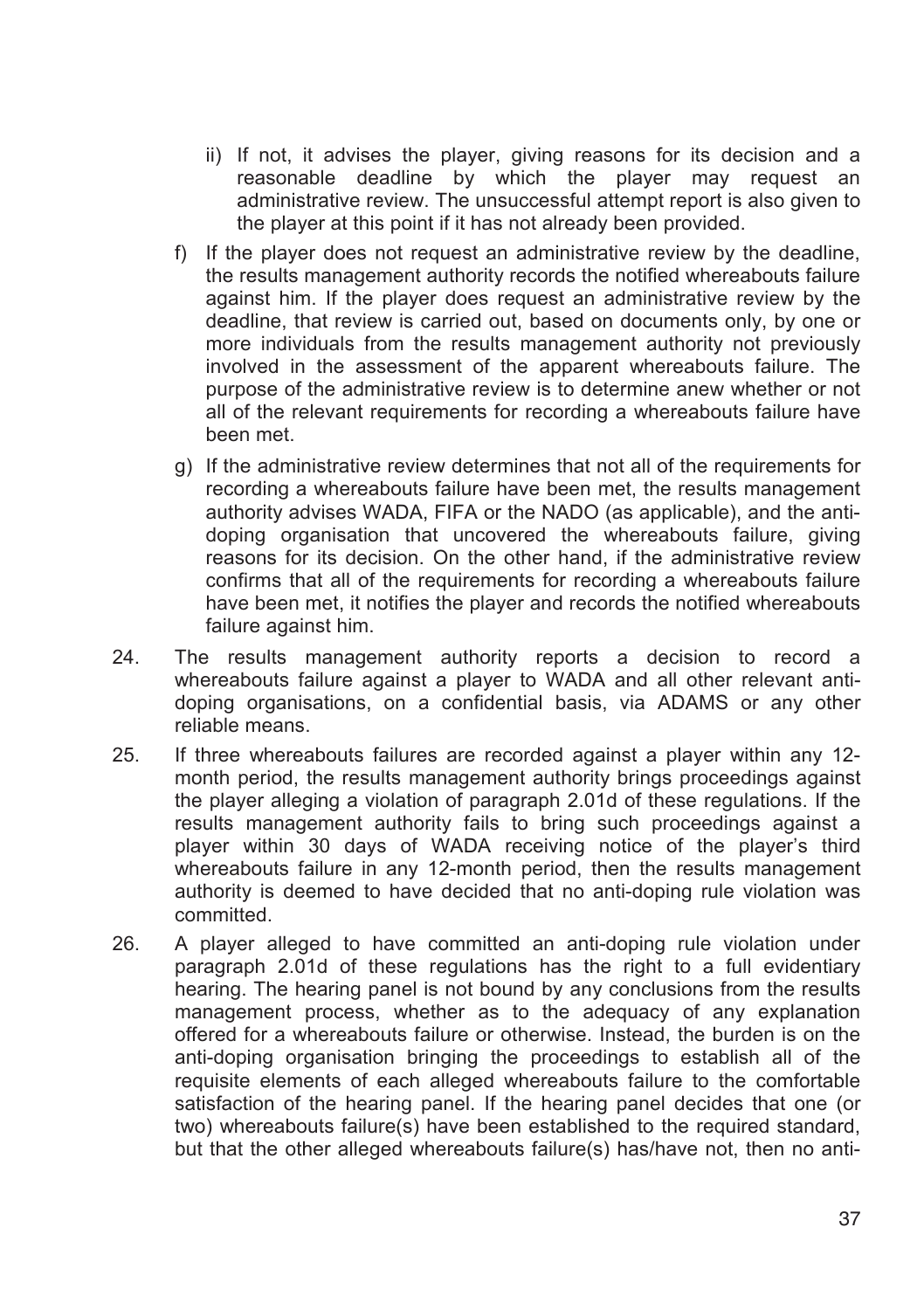- ii) If not, it advises the player, giving reasons for its decision and a reasonable deadline by which the player may request an administrative review. The unsuccessful attempt report is also given to the player at this point if it has not already been provided.
- f) If the player does not request an administrative review by the deadline, the results management authority records the notified whereabouts failure against him. If the player does request an administrative review by the deadline, that review is carried out, based on documents only, by one or more individuals from the results management authority not previously involved in the assessment of the apparent whereabouts failure. The purpose of the administrative review is to determine anew whether or not all of the relevant requirements for recording a whereabouts failure have been met.
- g) If the administrative review determines that not all of the requirements for recording a whereabouts failure have been met, the results management authority advises WADA, FIFA or the NADO (as applicable), and the antidoping organisation that uncovered the whereabouts failure, giving reasons for its decision. On the other hand, if the administrative review confirms that all of the requirements for recording a whereabouts failure have been met, it notifies the player and records the notified whereabouts failure against him.
- 24. The results management authority reports a decision to record a whereabouts failure against a player to WADA and all other relevant antidoping organisations, on a confidential basis, via ADAMS or any other reliable means.
- 25. If three whereabouts failures are recorded against a player within any 12 month period, the results management authority brings proceedings against the player alleging a violation of paragraph 2.01d of these regulations. If the results management authority fails to bring such proceedings against a player within 30 days of WADA receiving notice of the player's third whereabouts failure in any 12-month period, then the results management authority is deemed to have decided that no anti-doping rule violation was committed.
- 26. A player alleged to have committed an anti-doping rule violation under paragraph 2.01d of these regulations has the right to a full evidentiary hearing. The hearing panel is not bound by any conclusions from the results management process, whether as to the adequacy of any explanation offered for a whereabouts failure or otherwise. Instead, the burden is on the anti-doping organisation bringing the proceedings to establish all of the requisite elements of each alleged whereabouts failure to the comfortable satisfaction of the hearing panel. If the hearing panel decides that one (or two) whereabouts failure(s) have been established to the required standard, but that the other alleged whereabouts failure(s) has/have not, then no anti-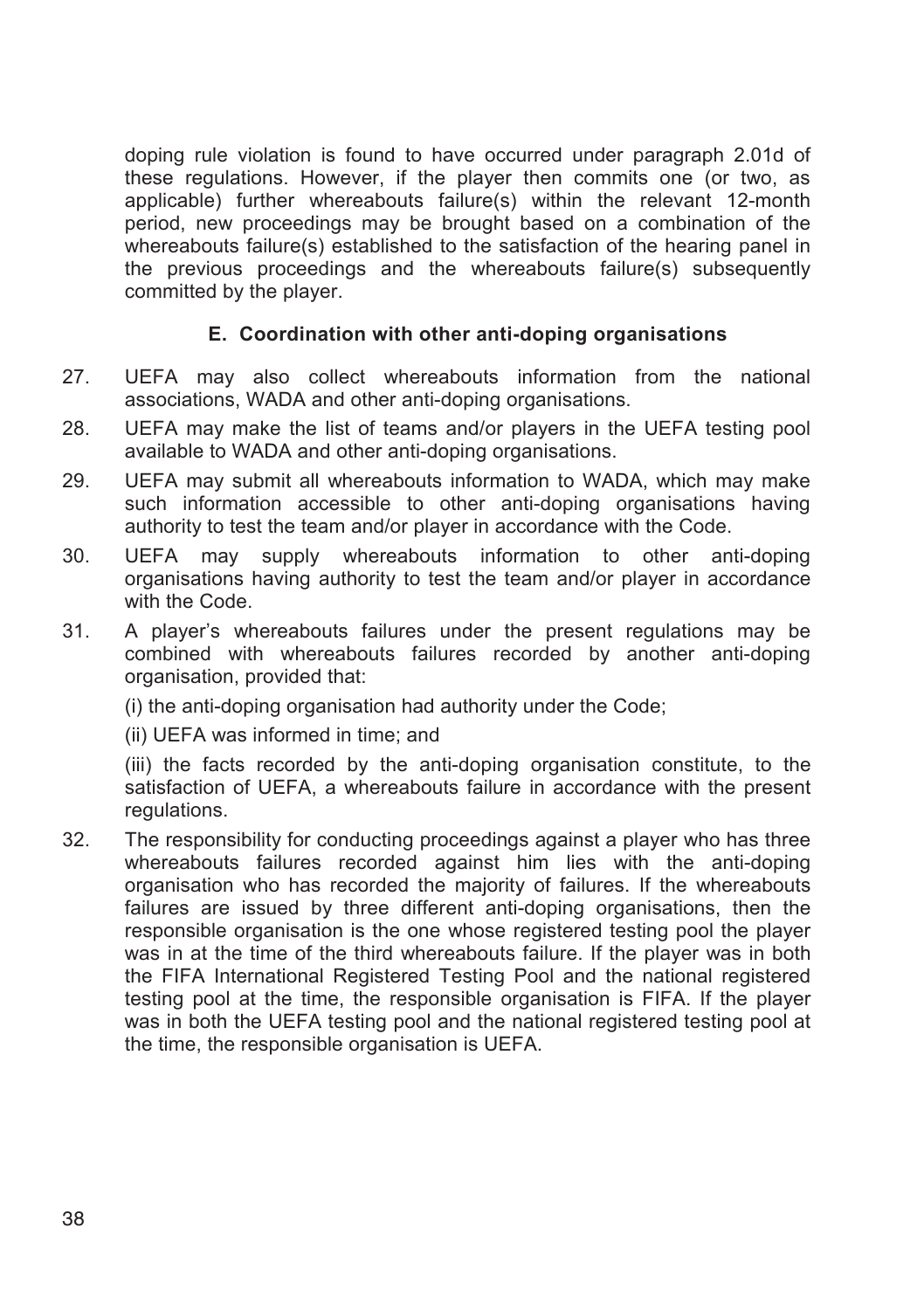doping rule violation is found to have occurred under paragraph 2.01d of these regulations. However, if the player then commits one (or two, as applicable) further whereabouts failure(s) within the relevant 12-month period, new proceedings may be brought based on a combination of the whereabouts failure(s) established to the satisfaction of the hearing panel in the previous proceedings and the whereabouts failure(s) subsequently committed by the player.

#### **E. Coordination with other anti-doping organisations**

- 27. UEFA may also collect whereabouts information from the national associations, WADA and other anti-doping organisations.
- 28. UEFA may make the list of teams and/or players in the UEFA testing pool available to WADA and other anti-doping organisations.
- 29. UEFA may submit all whereabouts information to WADA, which may make such information accessible to other anti-doping organisations having authority to test the team and/or player in accordance with the Code.
- 30. UEFA may supply whereabouts information to other anti-doping organisations having authority to test the team and/or player in accordance with the Code.
- 31. A player's whereabouts failures under the present regulations may be combined with whereabouts failures recorded by another anti-doping organisation, provided that:

(i) the anti-doping organisation had authority under the Code;

(ii) UEFA was informed in time; and

(iii) the facts recorded by the anti-doping organisation constitute, to the satisfaction of UEFA, a whereabouts failure in accordance with the present regulations.

32. The responsibility for conducting proceedings against a player who has three whereabouts failures recorded against him lies with the anti-doping organisation who has recorded the majority of failures. If the whereabouts failures are issued by three different anti-doping organisations, then the responsible organisation is the one whose registered testing pool the player was in at the time of the third whereabouts failure. If the player was in both the FIFA International Registered Testing Pool and the national registered testing pool at the time, the responsible organisation is FIFA. If the player was in both the UEFA testing pool and the national registered testing pool at the time, the responsible organisation is UEFA.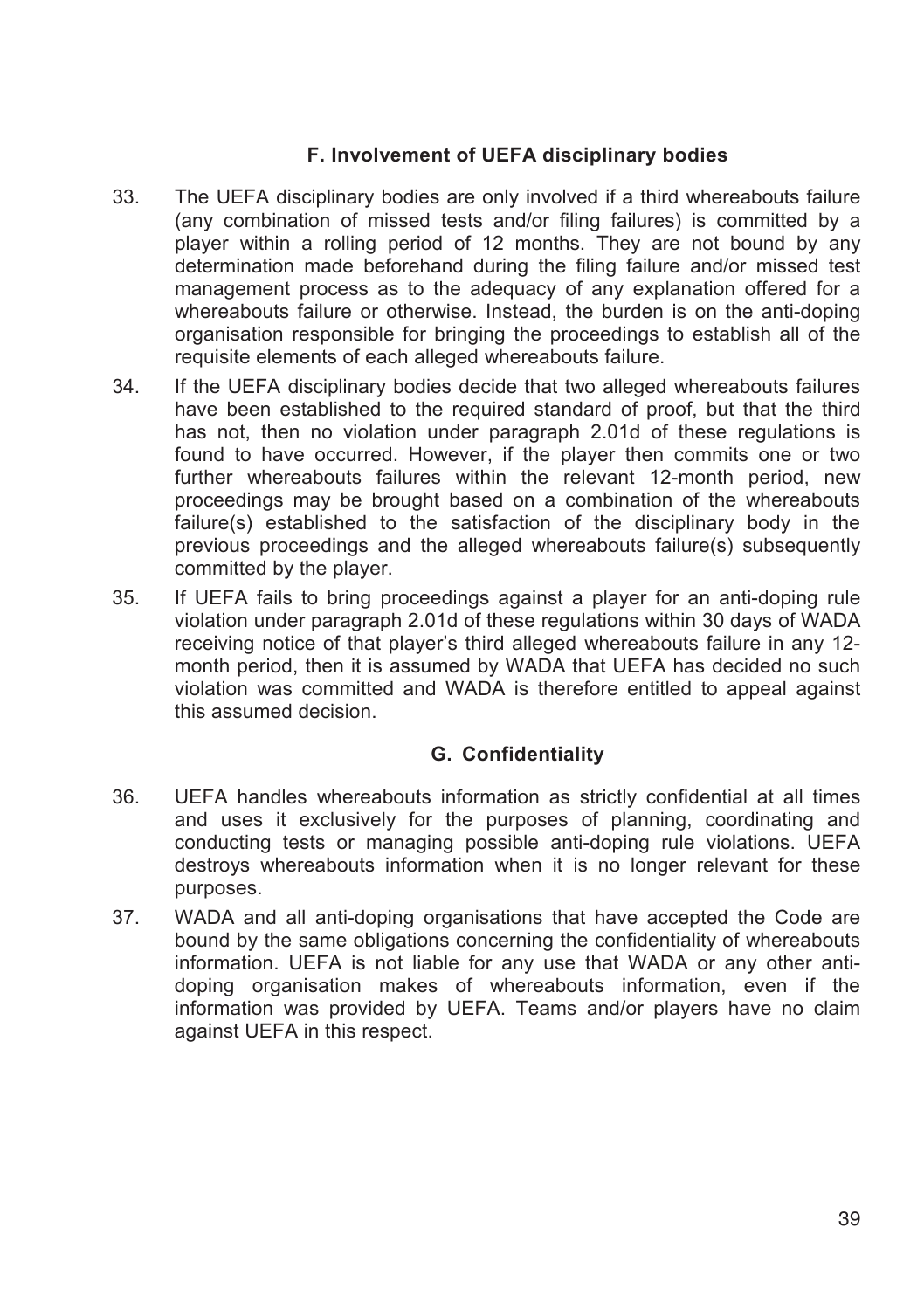#### **F. Involvement of UEFA disciplinary bodies**

- 33. The UEFA disciplinary bodies are only involved if a third whereabouts failure (any combination of missed tests and/or filing failures) is committed by a player within a rolling period of 12 months. They are not bound by any determination made beforehand during the filing failure and/or missed test management process as to the adequacy of any explanation offered for a whereabouts failure or otherwise. Instead, the burden is on the anti-doping organisation responsible for bringing the proceedings to establish all of the requisite elements of each alleged whereabouts failure.
- 34. If the UEFA disciplinary bodies decide that two alleged whereabouts failures have been established to the required standard of proof, but that the third has not, then no violation under paragraph 2.01d of these regulations is found to have occurred. However, if the player then commits one or two further whereabouts failures within the relevant 12-month period, new proceedings may be brought based on a combination of the whereabouts failure(s) established to the satisfaction of the disciplinary body in the previous proceedings and the alleged whereabouts failure(s) subsequently committed by the player.
- 35. If UEFA fails to bring proceedings against a player for an anti-doping rule violation under paragraph 2.01d of these regulations within 30 days of WADA receiving notice of that player's third alleged whereabouts failure in any 12 month period, then it is assumed by WADA that UEFA has decided no such violation was committed and WADA is therefore entitled to appeal against this assumed decision.

#### **G. Confidentiality**

- 36. UEFA handles whereabouts information as strictly confidential at all times and uses it exclusively for the purposes of planning, coordinating and conducting tests or managing possible anti-doping rule violations. UEFA destroys whereabouts information when it is no longer relevant for these purposes.
- 37. WADA and all anti-doping organisations that have accepted the Code are bound by the same obligations concerning the confidentiality of whereabouts information. UEFA is not liable for any use that WADA or any other antidoping organisation makes of whereabouts information, even if the information was provided by UEFA. Teams and/or players have no claim against UEFA in this respect.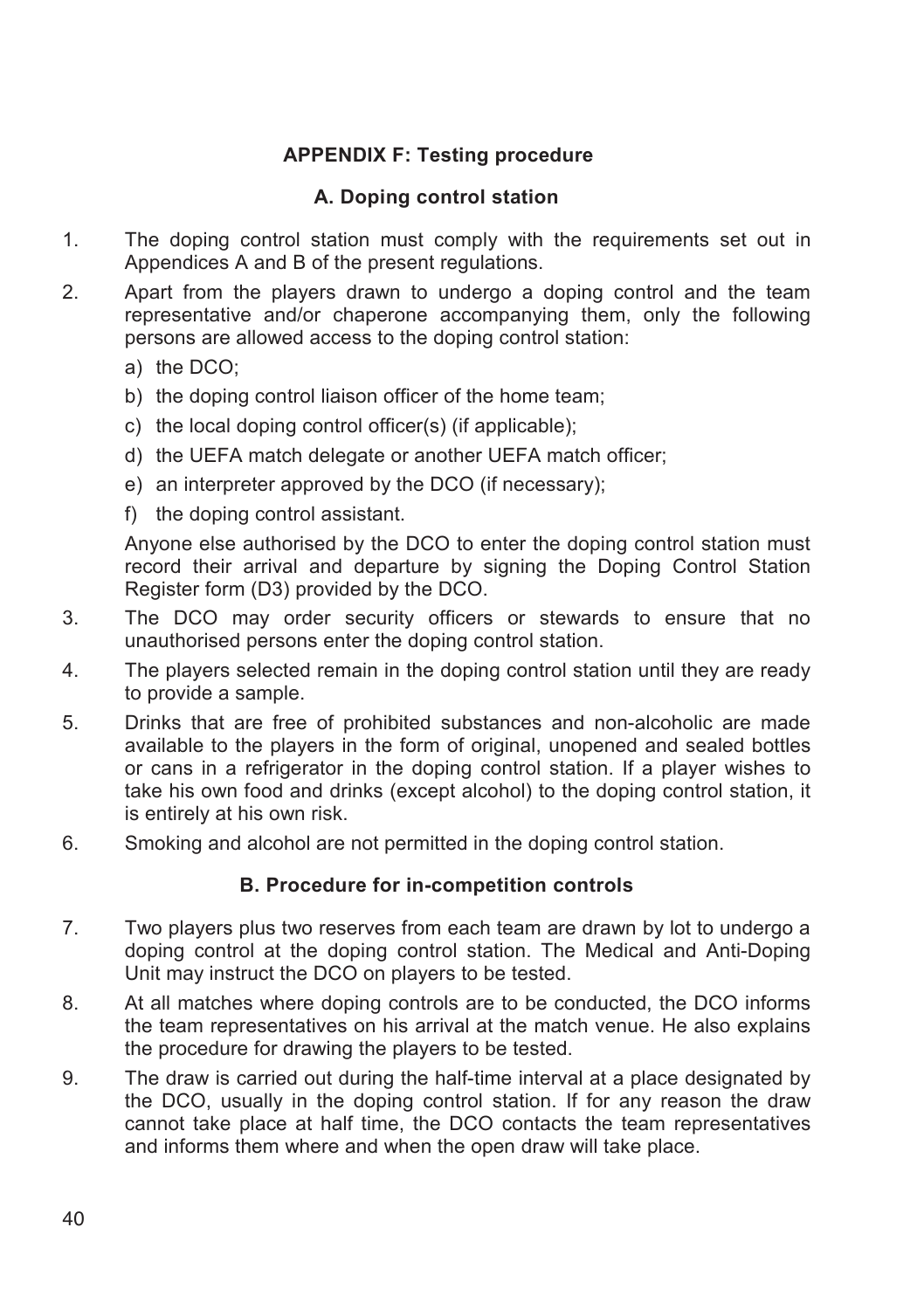## **APPENDIX F: Testing procedure**

#### **A. Doping control station**

- 1. The doping control station must comply with the requirements set out in Appendices A and B of the present regulations.
- 2. Apart from the players drawn to undergo a doping control and the team representative and/or chaperone accompanying them, only the following persons are allowed access to the doping control station:
	- a) the DCO;
	- b) the doping control liaison officer of the home team;
	- c) the local doping control officer(s) (if applicable);
	- d) the UEFA match delegate or another UEFA match officer;
	- e) an interpreter approved by the DCO (if necessary);
	- f) the doping control assistant.

Anyone else authorised by the DCO to enter the doping control station must record their arrival and departure by signing the Doping Control Station Register form (D3) provided by the DCO.

- 3. The DCO may order security officers or stewards to ensure that no unauthorised persons enter the doping control station.
- 4. The players selected remain in the doping control station until they are ready to provide a sample.
- 5. Drinks that are free of prohibited substances and non-alcoholic are made available to the players in the form of original, unopened and sealed bottles or cans in a refrigerator in the doping control station. If a player wishes to take his own food and drinks (except alcohol) to the doping control station, it is entirely at his own risk.
- 6. Smoking and alcohol are not permitted in the doping control station.

#### **B. Procedure for in-competition controls**

- 7. Two players plus two reserves from each team are drawn by lot to undergo a doping control at the doping control station. The Medical and Anti-Doping Unit may instruct the DCO on players to be tested.
- 8. At all matches where doping controls are to be conducted, the DCO informs the team representatives on his arrival at the match venue. He also explains the procedure for drawing the players to be tested.
- 9. The draw is carried out during the half-time interval at a place designated by the DCO, usually in the doping control station. If for any reason the draw cannot take place at half time, the DCO contacts the team representatives and informs them where and when the open draw will take place.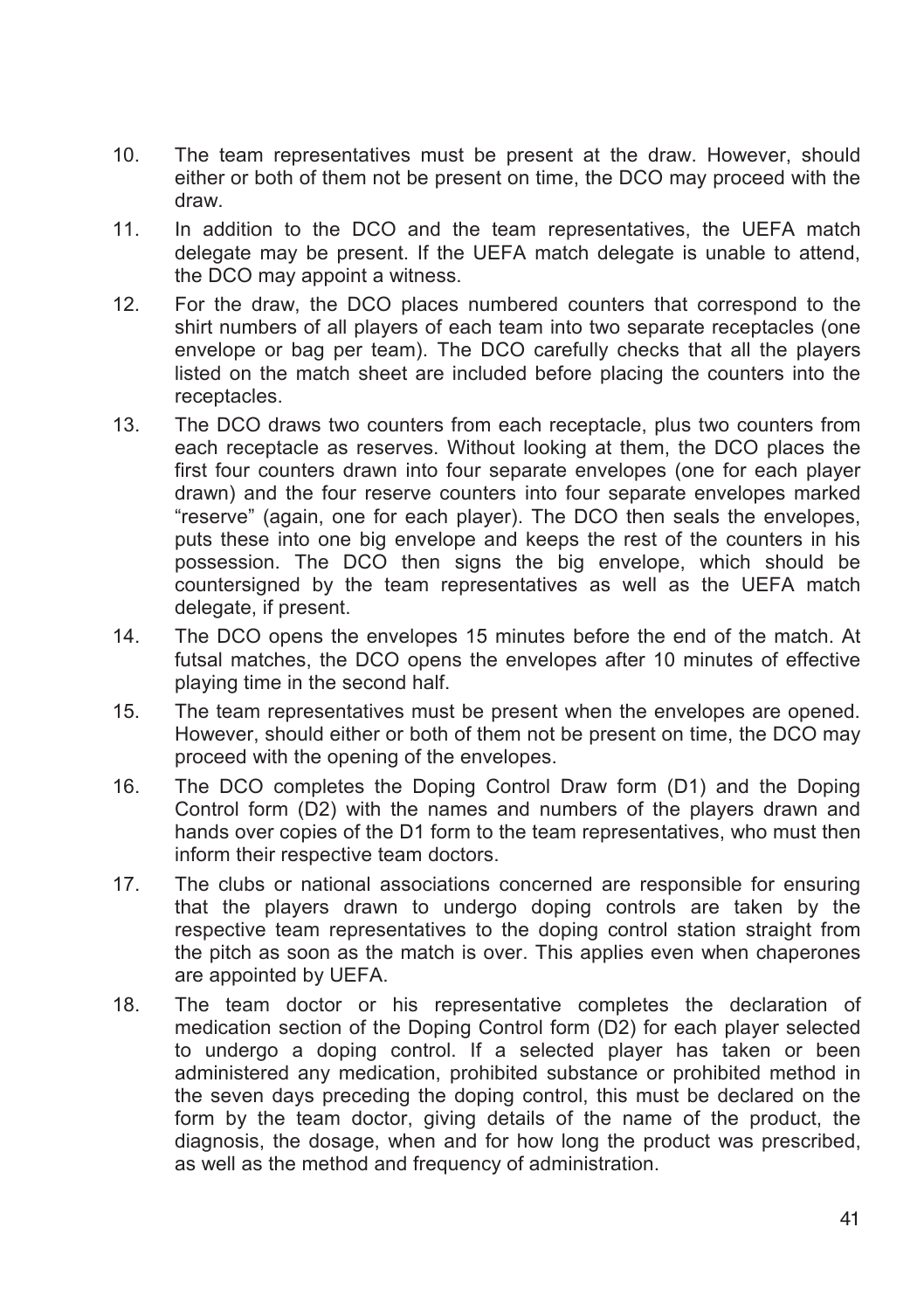- 10. The team representatives must be present at the draw. However, should either or both of them not be present on time, the DCO may proceed with the draw.
- 11. In addition to the DCO and the team representatives, the UEFA match delegate may be present. If the UEFA match delegate is unable to attend, the DCO may appoint a witness.
- 12. For the draw, the DCO places numbered counters that correspond to the shirt numbers of all players of each team into two separate receptacles (one envelope or bag per team). The DCO carefully checks that all the players listed on the match sheet are included before placing the counters into the receptacles.
- 13. The DCO draws two counters from each receptacle, plus two counters from each receptacle as reserves. Without looking at them, the DCO places the first four counters drawn into four separate envelopes (one for each player drawn) and the four reserve counters into four separate envelopes marked "reserve" (again, one for each player). The DCO then seals the envelopes, puts these into one big envelope and keeps the rest of the counters in his possession. The DCO then signs the big envelope, which should be countersigned by the team representatives as well as the UEFA match delegate, if present.
- 14. The DCO opens the envelopes 15 minutes before the end of the match. At futsal matches, the DCO opens the envelopes after 10 minutes of effective playing time in the second half.
- 15. The team representatives must be present when the envelopes are opened. However, should either or both of them not be present on time, the DCO may proceed with the opening of the envelopes.
- 16. The DCO completes the Doping Control Draw form (D1) and the Doping Control form (D2) with the names and numbers of the players drawn and hands over copies of the D1 form to the team representatives, who must then inform their respective team doctors.
- 17. The clubs or national associations concerned are responsible for ensuring that the players drawn to undergo doping controls are taken by the respective team representatives to the doping control station straight from the pitch as soon as the match is over. This applies even when chaperones are appointed by UEFA.
- 18. The team doctor or his representative completes the declaration of medication section of the Doping Control form (D2) for each player selected to undergo a doping control. If a selected player has taken or been administered any medication, prohibited substance or prohibited method in the seven days preceding the doping control, this must be declared on the form by the team doctor, giving details of the name of the product, the diagnosis, the dosage, when and for how long the product was prescribed, as well as the method and frequency of administration.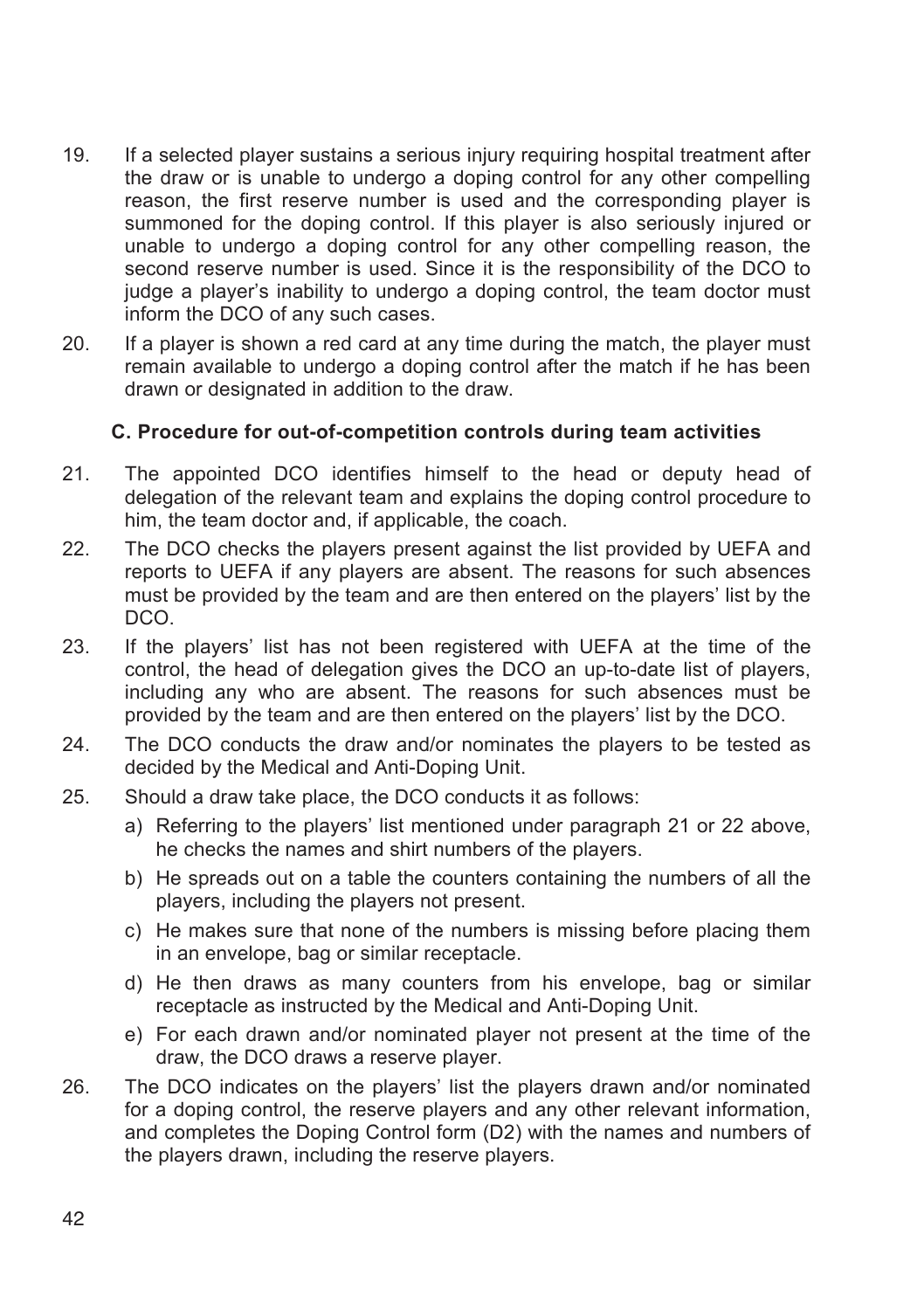- 19. If a selected player sustains a serious injury requiring hospital treatment after the draw or is unable to undergo a doping control for any other compelling reason, the first reserve number is used and the corresponding player is summoned for the doping control. If this player is also seriously injured or unable to undergo a doping control for any other compelling reason, the second reserve number is used. Since it is the responsibility of the DCO to judge a player's inability to undergo a doping control, the team doctor must inform the DCO of any such cases.
- 20. If a player is shown a red card at any time during the match, the player must remain available to undergo a doping control after the match if he has been drawn or designated in addition to the draw.

#### **C. Procedure for out-of-competition controls during team activities**

- 21. The appointed DCO identifies himself to the head or deputy head of delegation of the relevant team and explains the doping control procedure to him, the team doctor and, if applicable, the coach.
- 22. The DCO checks the players present against the list provided by UEFA and reports to UEFA if any players are absent. The reasons for such absences must be provided by the team and are then entered on the players' list by the DCO.
- 23. If the players' list has not been registered with UEFA at the time of the control, the head of delegation gives the DCO an up-to-date list of players, including any who are absent. The reasons for such absences must be provided by the team and are then entered on the players' list by the DCO.
- 24. The DCO conducts the draw and/or nominates the players to be tested as decided by the Medical and Anti-Doping Unit.
- 25. Should a draw take place, the DCO conducts it as follows:
	- a) Referring to the players' list mentioned under paragraph 21 or 22 above, he checks the names and shirt numbers of the players.
	- b) He spreads out on a table the counters containing the numbers of all the players, including the players not present.
	- c) He makes sure that none of the numbers is missing before placing them in an envelope, bag or similar receptacle.
	- d) He then draws as many counters from his envelope, bag or similar receptacle as instructed by the Medical and Anti-Doping Unit.
	- e) For each drawn and/or nominated player not present at the time of the draw, the DCO draws a reserve player.
- 26. The DCO indicates on the players' list the players drawn and/or nominated for a doping control, the reserve players and any other relevant information, and completes the Doping Control form (D2) with the names and numbers of the players drawn, including the reserve players.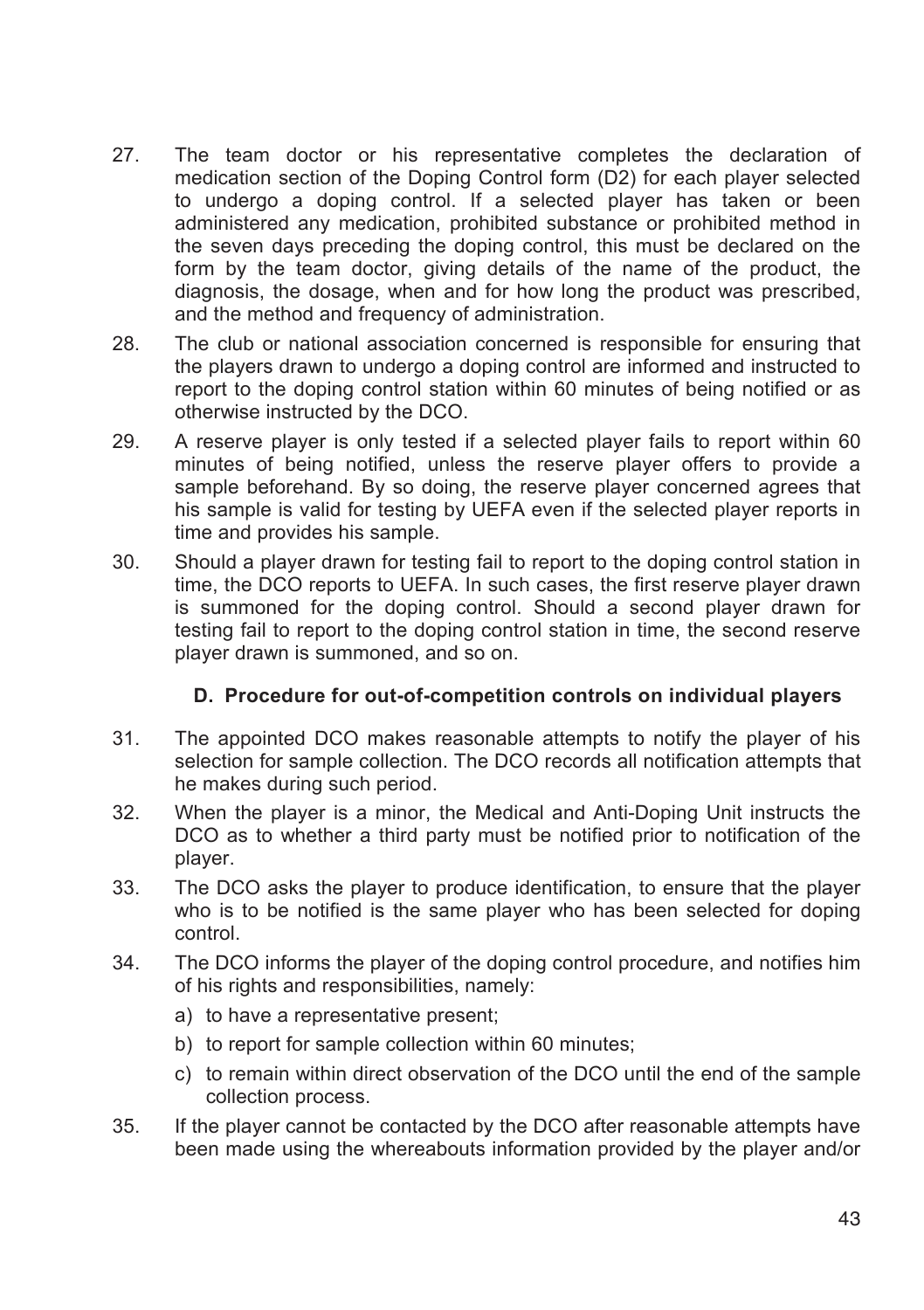- 27. The team doctor or his representative completes the declaration of medication section of the Doping Control form (D2) for each player selected to undergo a doping control. If a selected player has taken or been administered any medication, prohibited substance or prohibited method in the seven days preceding the doping control, this must be declared on the form by the team doctor, giving details of the name of the product, the diagnosis, the dosage, when and for how long the product was prescribed, and the method and frequency of administration.
- 28. The club or national association concerned is responsible for ensuring that the players drawn to undergo a doping control are informed and instructed to report to the doping control station within 60 minutes of being notified or as otherwise instructed by the DCO.
- 29. A reserve player is only tested if a selected player fails to report within 60 minutes of being notified, unless the reserve player offers to provide a sample beforehand. By so doing, the reserve player concerned agrees that his sample is valid for testing by UEFA even if the selected player reports in time and provides his sample.
- 30. Should a player drawn for testing fail to report to the doping control station in time, the DCO reports to UEFA. In such cases, the first reserve player drawn is summoned for the doping control. Should a second player drawn for testing fail to report to the doping control station in time, the second reserve player drawn is summoned, and so on.

#### **D. Procedure for out-of-competition controls on individual players**

- 31. The appointed DCO makes reasonable attempts to notify the player of his selection for sample collection. The DCO records all notification attempts that he makes during such period.
- 32. When the player is a minor, the Medical and Anti-Doping Unit instructs the DCO as to whether a third party must be notified prior to notification of the player.
- 33. The DCO asks the player to produce identification, to ensure that the player who is to be notified is the same player who has been selected for doping control.
- 34. The DCO informs the player of the doping control procedure, and notifies him of his rights and responsibilities, namely:
	- a) to have a representative present;
	- b) to report for sample collection within 60 minutes;
	- c) to remain within direct observation of the DCO until the end of the sample collection process.
- 35. If the player cannot be contacted by the DCO after reasonable attempts have been made using the whereabouts information provided by the player and/or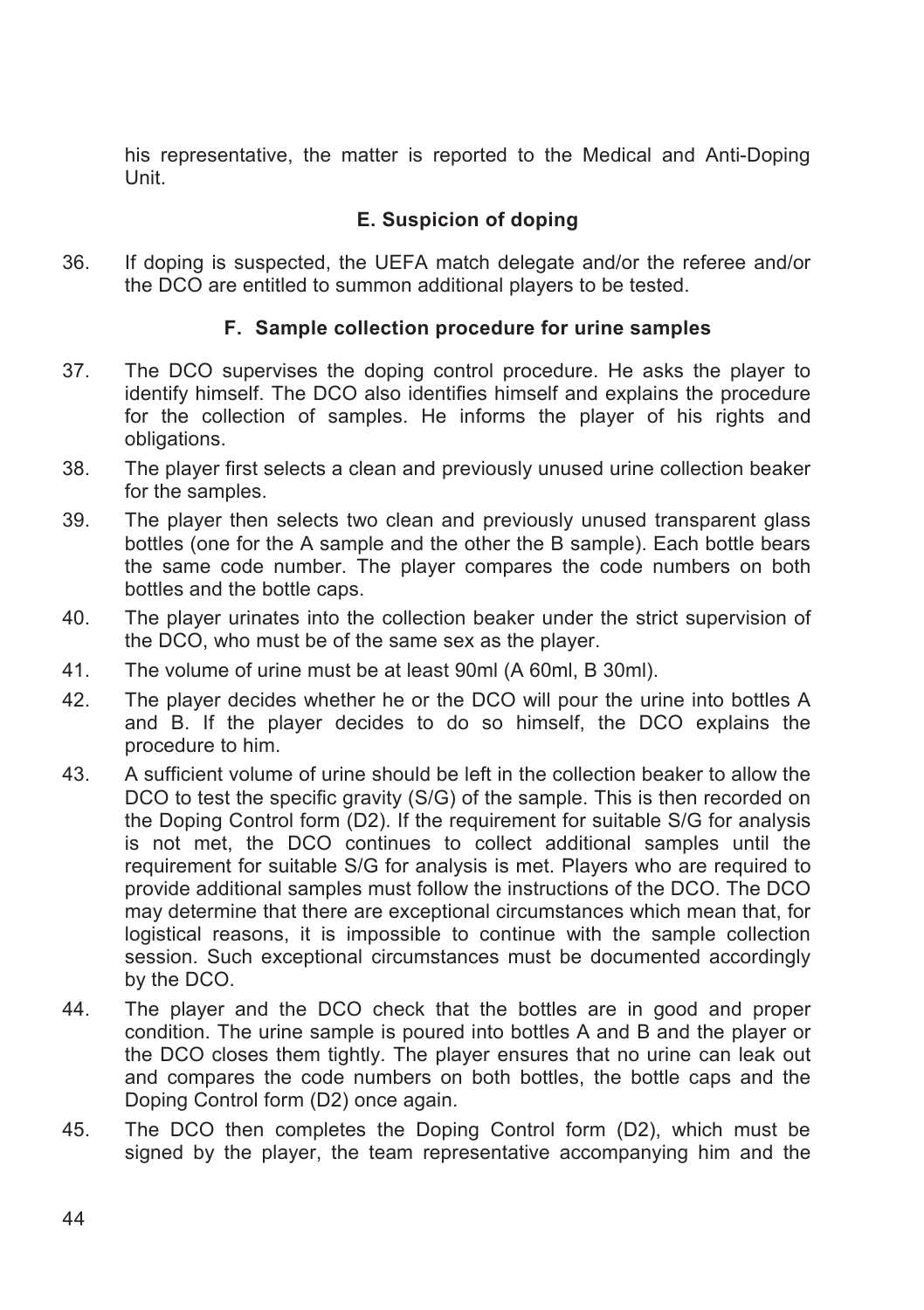his representative, the matter is reported to the Medical and Anti-Doping Unit.

#### **E. Suspicion of doping**

36. If doping is suspected, the UEFA match delegate and/or the referee and/or the DCO are entitled to summon additional players to be tested.

#### **F. Sample collection procedure for urine samples**

- 37. The DCO supervises the doping control procedure. He asks the player to identify himself. The DCO also identifies himself and explains the procedure for the collection of samples. He informs the player of his rights and obligations.
- 38. The player first selects a clean and previously unused urine collection beaker for the samples.
- 39. The player then selects two clean and previously unused transparent glass bottles (one for the A sample and the other the B sample). Each bottle bears the same code number. The player compares the code numbers on both bottles and the bottle caps.
- 40. The player urinates into the collection beaker under the strict supervision of the DCO, who must be of the same sex as the player.
- 41. The volume of urine must be at least 90ml (A 60ml, B 30ml).
- 42. The player decides whether he or the DCO will pour the urine into bottles A and B. If the player decides to do so himself, the DCO explains the procedure to him.
- 43. A sufficient volume of urine should be left in the collection beaker to allow the DCO to test the specific gravity (S/G) of the sample. This is then recorded on the Doping Control form (D2). If the requirement for suitable S/G for analysis is not met, the DCO continues to collect additional samples until the requirement for suitable S/G for analysis is met. Players who are required to provide additional samples must follow the instructions of the DCO. The DCO may determine that there are exceptional circumstances which mean that, for logistical reasons, it is impossible to continue with the sample collection session. Such exceptional circumstances must be documented accordingly by the DCO.
- 44. The player and the DCO check that the bottles are in good and proper condition. The urine sample is poured into bottles A and B and the player or the DCO closes them tightly. The player ensures that no urine can leak out and compares the code numbers on both bottles, the bottle caps and the Doping Control form (D2) once again.
- 45. The DCO then completes the Doping Control form (D2), which must be signed by the player, the team representative accompanying him and the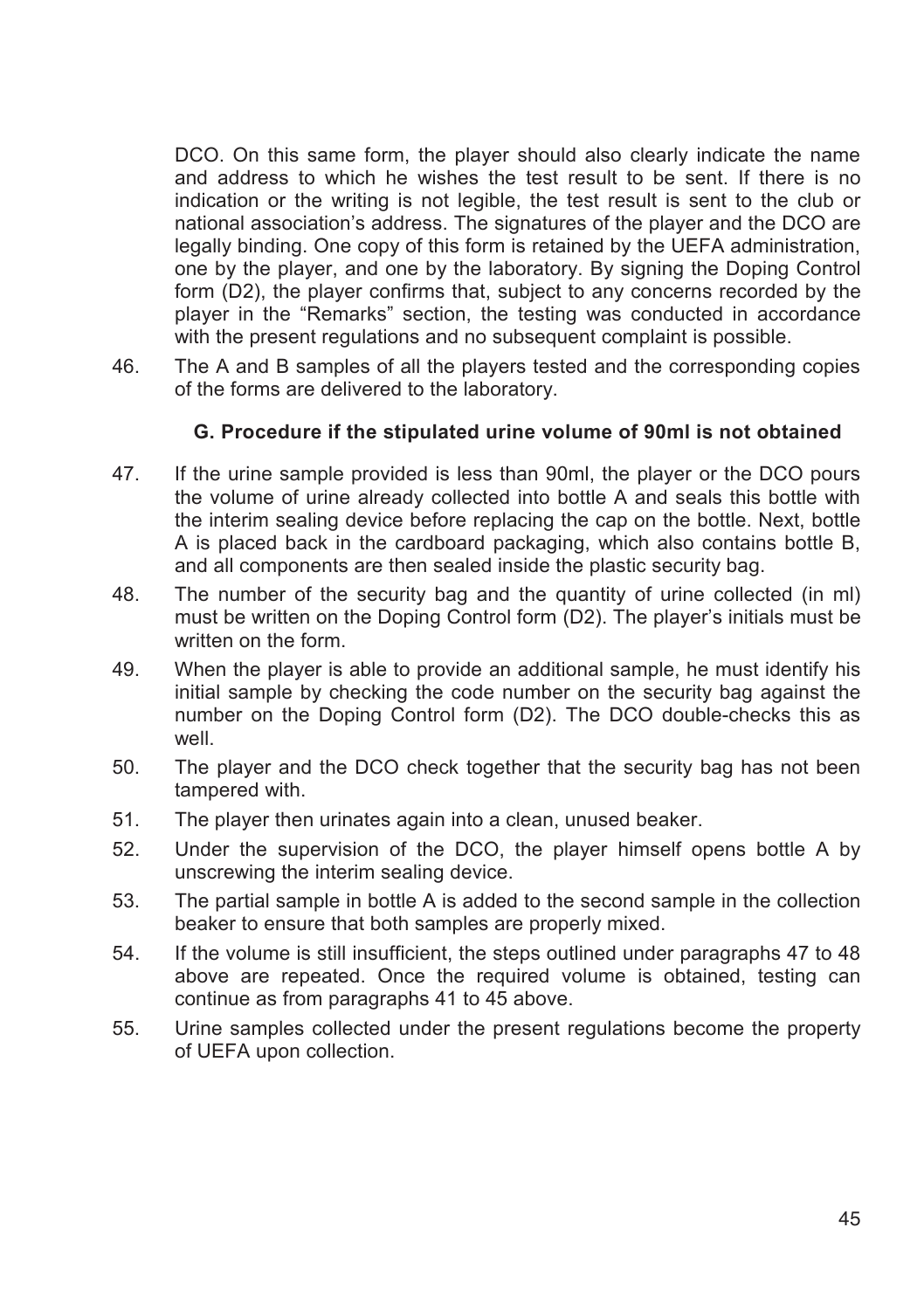DCO. On this same form, the player should also clearly indicate the name and address to which he wishes the test result to be sent. If there is no indication or the writing is not legible, the test result is sent to the club or national association's address. The signatures of the player and the DCO are legally binding. One copy of this form is retained by the UEFA administration, one by the player, and one by the laboratory. By signing the Doping Control form (D2), the player confirms that, subject to any concerns recorded by the player in the "Remarks" section, the testing was conducted in accordance with the present regulations and no subsequent complaint is possible.

46. The A and B samples of all the players tested and the corresponding copies of the forms are delivered to the laboratory.

#### **G. Procedure if the stipulated urine volume of 90ml is not obtained**

- 47. If the urine sample provided is less than 90ml, the player or the DCO pours the volume of urine already collected into bottle A and seals this bottle with the interim sealing device before replacing the cap on the bottle. Next, bottle A is placed back in the cardboard packaging, which also contains bottle B, and all components are then sealed inside the plastic security bag.
- 48. The number of the security bag and the quantity of urine collected (in ml) must be written on the Doping Control form (D2). The player's initials must be written on the form.
- 49. When the player is able to provide an additional sample, he must identify his initial sample by checking the code number on the security bag against the number on the Doping Control form (D2). The DCO double-checks this as well.
- 50. The player and the DCO check together that the security bag has not been tampered with.
- 51. The player then urinates again into a clean, unused beaker.
- 52. Under the supervision of the DCO, the player himself opens bottle A by unscrewing the interim sealing device.
- 53. The partial sample in bottle A is added to the second sample in the collection beaker to ensure that both samples are properly mixed.
- 54. If the volume is still insufficient, the steps outlined under paragraphs 47 to 48 above are repeated. Once the required volume is obtained, testing can continue as from paragraphs 41 to 45 above.
- 55. Urine samples collected under the present regulations become the property of UEFA upon collection.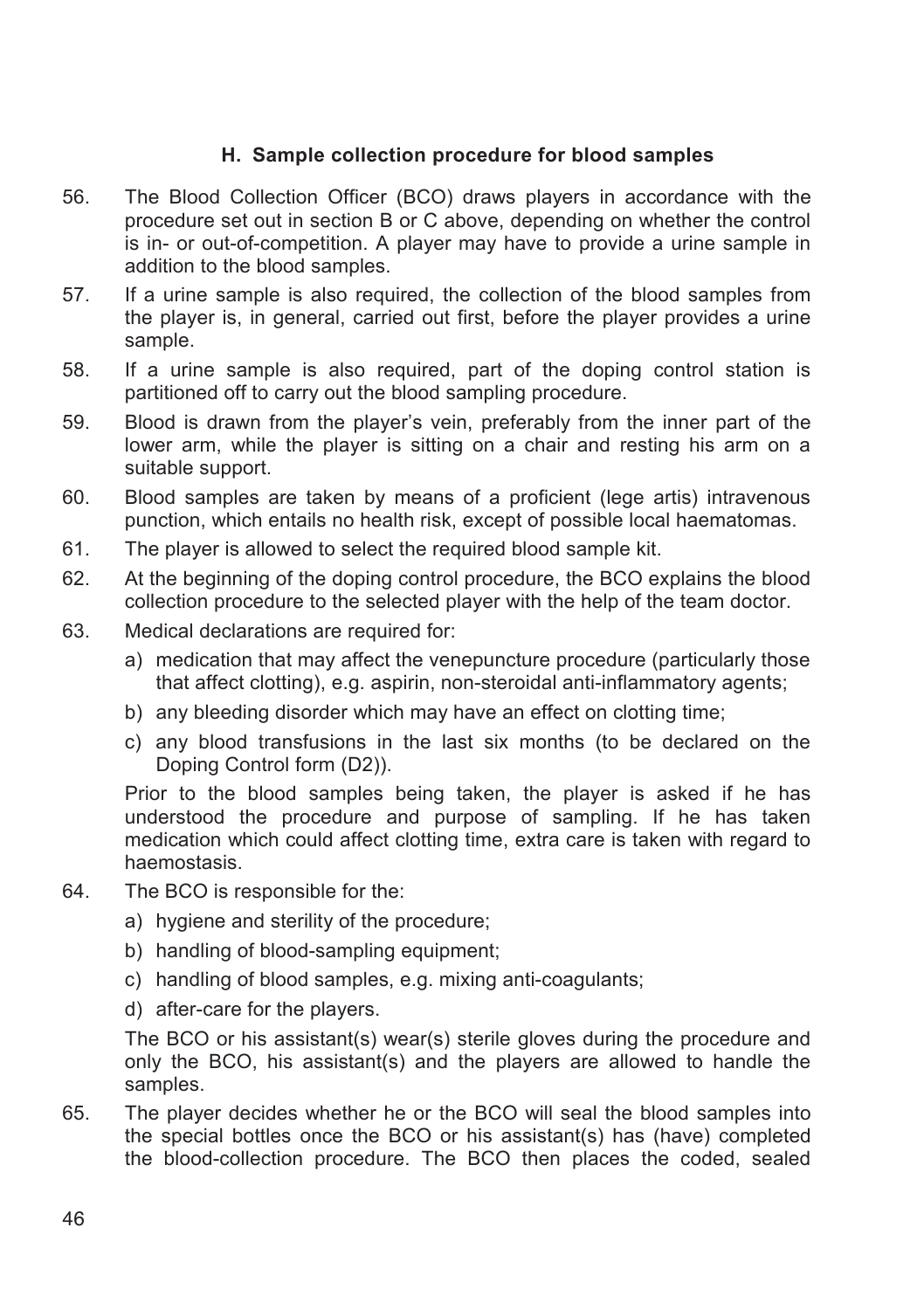#### **H. Sample collection procedure for blood samples**

- 56. The Blood Collection Officer (BCO) draws players in accordance with the procedure set out in section B or C above, depending on whether the control is in- or out-of-competition. A player may have to provide a urine sample in addition to the blood samples.
- 57. If a urine sample is also required, the collection of the blood samples from the player is, in general, carried out first, before the player provides a urine sample.
- 58. If a urine sample is also required, part of the doping control station is partitioned off to carry out the blood sampling procedure.
- 59. Blood is drawn from the player's vein, preferably from the inner part of the lower arm, while the player is sitting on a chair and resting his arm on a suitable support.
- 60. Blood samples are taken by means of a proficient (lege artis) intravenous punction, which entails no health risk, except of possible local haematomas.
- 61. The player is allowed to select the required blood sample kit.
- 62. At the beginning of the doping control procedure, the BCO explains the blood collection procedure to the selected player with the help of the team doctor.
- 63. Medical declarations are required for:
	- a) medication that may affect the venepuncture procedure (particularly those that affect clotting), e.g. aspirin, non-steroidal anti-inflammatory agents;
	- b) any bleeding disorder which may have an effect on clotting time;
	- c) any blood transfusions in the last six months (to be declared on the Doping Control form (D2)).

Prior to the blood samples being taken, the player is asked if he has understood the procedure and purpose of sampling. If he has taken medication which could affect clotting time, extra care is taken with regard to haemostasis.

- 64. The BCO is responsible for the:
	- a) hygiene and sterility of the procedure:
	- b) handling of blood-sampling equipment:
	- c) handling of blood samples, e.g. mixing anti-coagulants;
	- d) after-care for the players.

The BCO or his assistant(s) wear(s) sterile gloves during the procedure and only the BCO, his assistant(s) and the players are allowed to handle the samples.

65. The player decides whether he or the BCO will seal the blood samples into the special bottles once the BCO or his assistant(s) has (have) completed the blood-collection procedure. The BCO then places the coded, sealed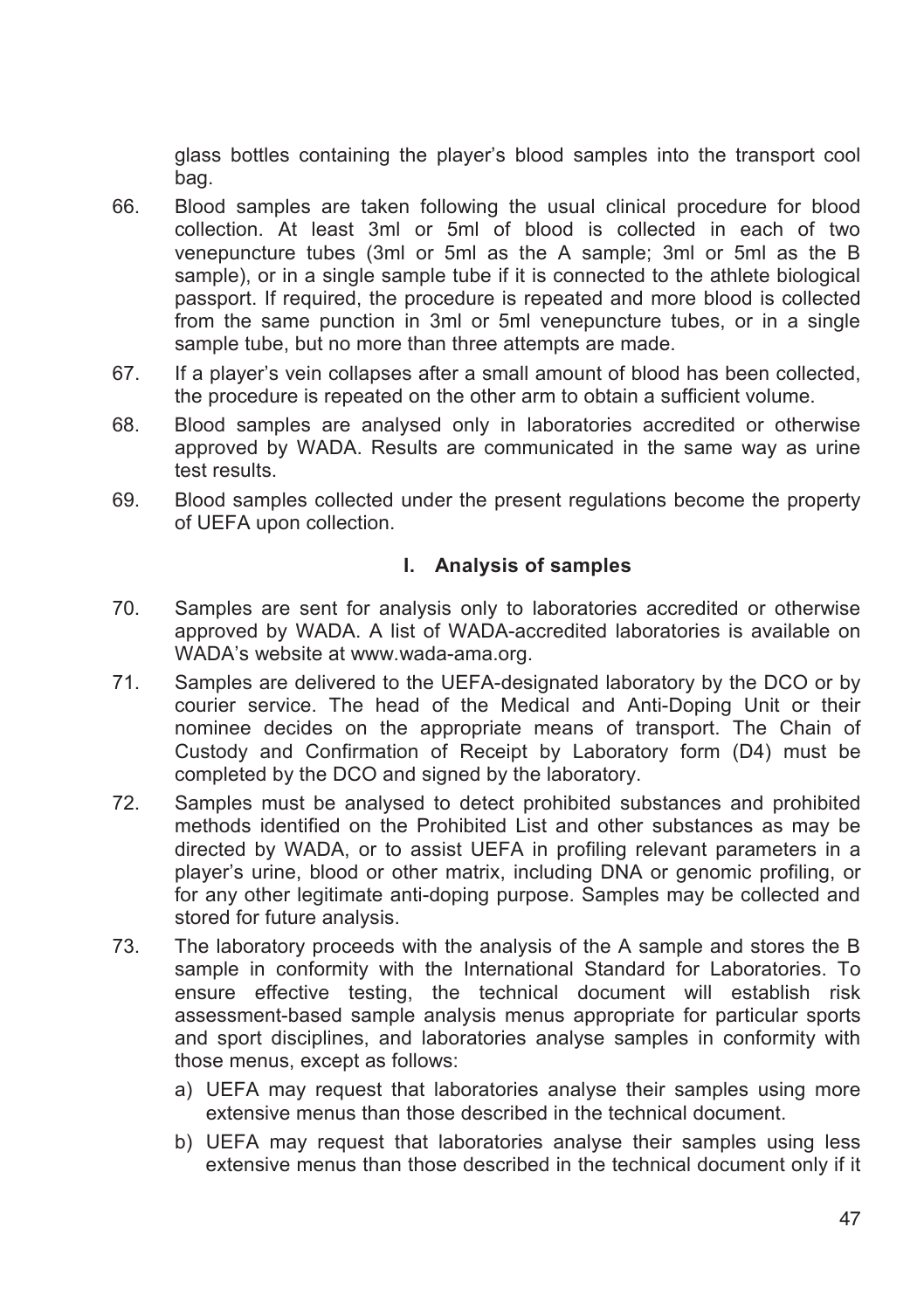glass bottles containing the player's blood samples into the transport cool bag.

- 66. Blood samples are taken following the usual clinical procedure for blood collection. At least 3ml or 5ml of blood is collected in each of two venepuncture tubes (3ml or 5ml as the A sample; 3ml or 5ml as the B sample), or in a single sample tube if it is connected to the athlete biological passport. If required, the procedure is repeated and more blood is collected from the same punction in 3ml or 5ml venepuncture tubes, or in a single sample tube, but no more than three attempts are made.
- 67. If a player's vein collapses after a small amount of blood has been collected, the procedure is repeated on the other arm to obtain a sufficient volume.
- 68. Blood samples are analysed only in laboratories accredited or otherwise approved by WADA. Results are communicated in the same way as urine test results.
- 69. Blood samples collected under the present regulations become the property of UEFA upon collection.

#### **I. Analysis of samples**

- 70. Samples are sent for analysis only to laboratories accredited or otherwise approved by WADA. A list of WADA-accredited laboratories is available on WADA's website at www.wada-ama.org.
- 71. Samples are delivered to the UEFA-designated laboratory by the DCO or by courier service. The head of the Medical and Anti-Doping Unit or their nominee decides on the appropriate means of transport. The Chain of Custody and Confirmation of Receipt by Laboratory form (D4) must be completed by the DCO and signed by the laboratory.
- 72. Samples must be analysed to detect prohibited substances and prohibited methods identified on the Prohibited List and other substances as may be directed by WADA, or to assist UEFA in profiling relevant parameters in a player's urine, blood or other matrix, including DNA or genomic profiling, or for any other legitimate anti-doping purpose. Samples may be collected and stored for future analysis.
- 73. The laboratory proceeds with the analysis of the A sample and stores the B sample in conformity with the International Standard for Laboratories. To ensure effective testing, the technical document will establish risk assessment-based sample analysis menus appropriate for particular sports and sport disciplines, and laboratories analyse samples in conformity with those menus, except as follows:
	- a) UEFA may request that laboratories analyse their samples using more extensive menus than those described in the technical document.
	- b) UEFA may request that laboratories analyse their samples using less extensive menus than those described in the technical document only if it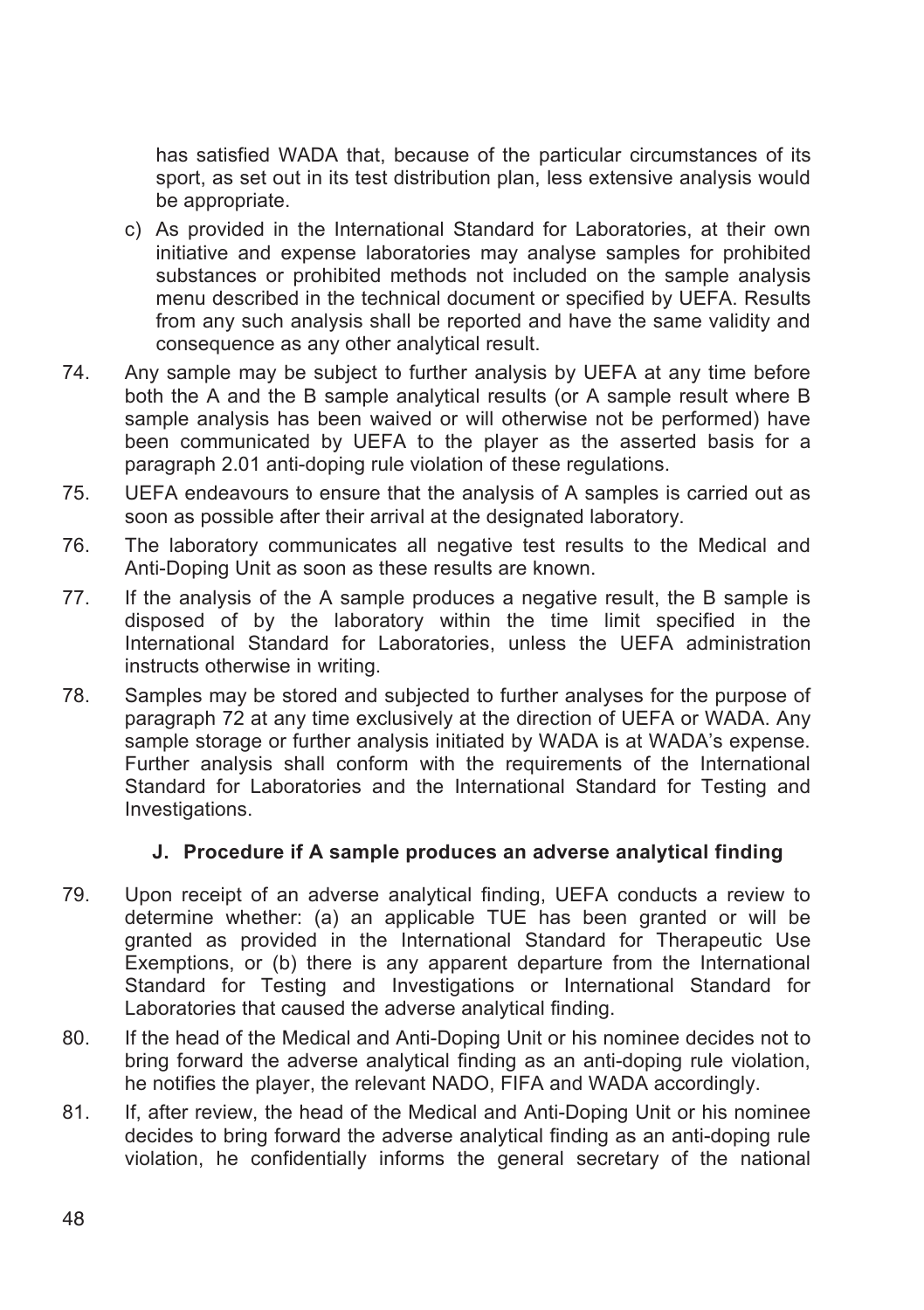has satisfied WADA that, because of the particular circumstances of its sport, as set out in its test distribution plan, less extensive analysis would be appropriate.

- c) As provided in the International Standard for Laboratories, at their own initiative and expense laboratories may analyse samples for prohibited substances or prohibited methods not included on the sample analysis menu described in the technical document or specified by UEFA. Results from any such analysis shall be reported and have the same validity and consequence as any other analytical result.
- 74. Any sample may be subject to further analysis by UEFA at any time before both the A and the B sample analytical results (or A sample result where B sample analysis has been waived or will otherwise not be performed) have been communicated by UEFA to the player as the asserted basis for a paragraph 2.01 anti-doping rule violation of these regulations.
- 75. UEFA endeavours to ensure that the analysis of A samples is carried out as soon as possible after their arrival at the designated laboratory.
- 76. The laboratory communicates all negative test results to the Medical and Anti-Doping Unit as soon as these results are known.
- 77. If the analysis of the A sample produces a negative result, the B sample is disposed of by the laboratory within the time limit specified in the International Standard for Laboratories, unless the UEFA administration instructs otherwise in writing.
- 78. Samples may be stored and subjected to further analyses for the purpose of paragraph 72 at any time exclusively at the direction of UEFA or WADA. Any sample storage or further analysis initiated by WADA is at WADA's expense. Further analysis shall conform with the requirements of the International Standard for Laboratories and the International Standard for Testing and Investigations.

#### **J. Procedure if A sample produces an adverse analytical finding**

- 79. Upon receipt of an adverse analytical finding, UEFA conducts a review to determine whether: (a) an applicable TUE has been granted or will be granted as provided in the International Standard for Therapeutic Use Exemptions, or (b) there is any apparent departure from the International Standard for Testing and Investigations or International Standard for Laboratories that caused the adverse analytical finding.
- 80. If the head of the Medical and Anti-Doping Unit or his nominee decides not to bring forward the adverse analytical finding as an anti-doping rule violation, he notifies the player, the relevant NADO, FIFA and WADA accordingly.
- 81. If, after review, the head of the Medical and Anti-Doping Unit or his nominee decides to bring forward the adverse analytical finding as an anti-doping rule violation, he confidentially informs the general secretary of the national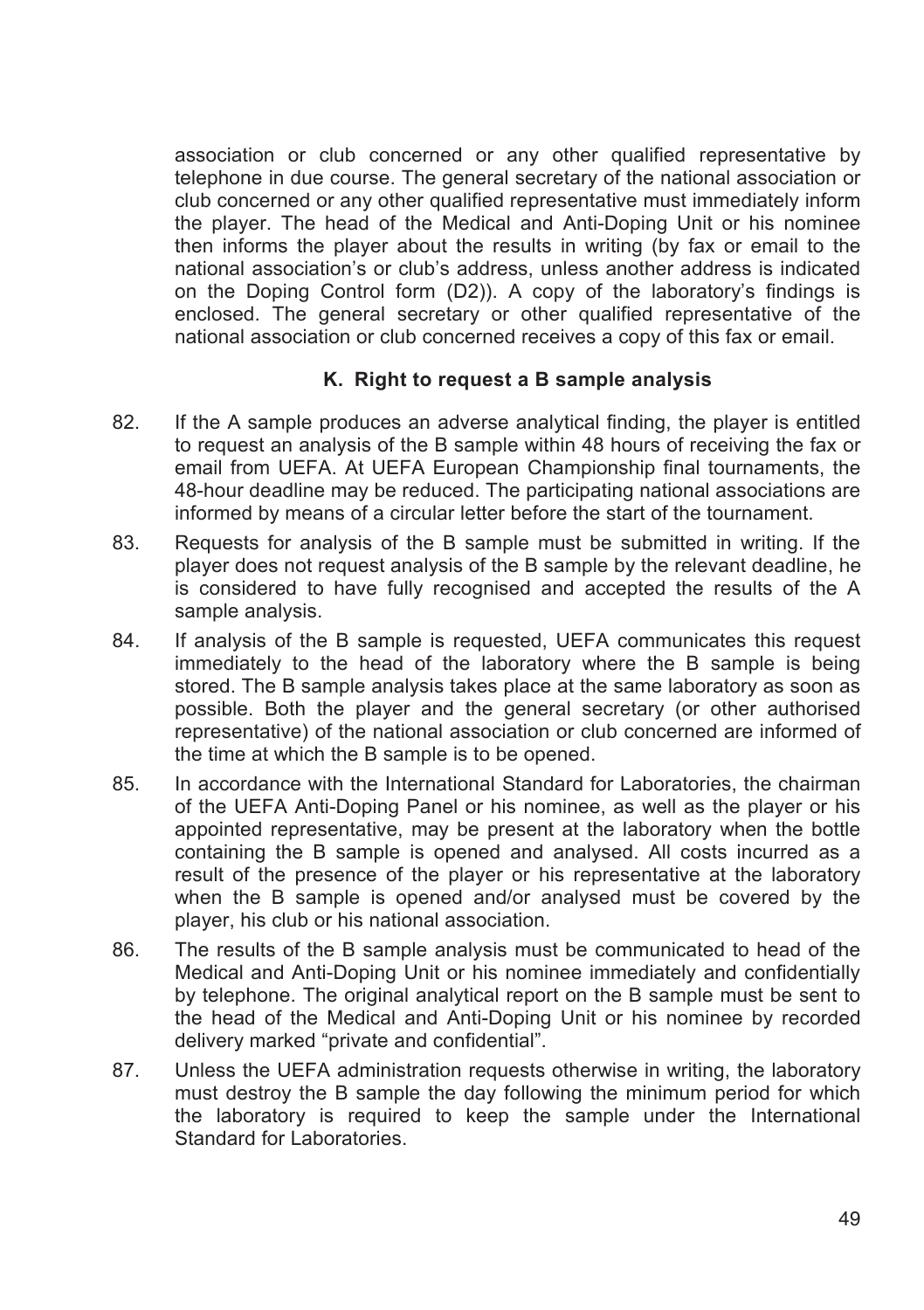association or club concerned or any other qualified representative by telephone in due course. The general secretary of the national association or club concerned or any other qualified representative must immediately inform the player. The head of the Medical and Anti-Doping Unit or his nominee then informs the player about the results in writing (by fax or email to the national association's or club's address, unless another address is indicated on the Doping Control form (D2)). A copy of the laboratory's findings is enclosed. The general secretary or other qualified representative of the national association or club concerned receives a copy of this fax or email.

#### **K. Right to request a B sample analysis**

- 82. If the A sample produces an adverse analytical finding, the player is entitled to request an analysis of the B sample within 48 hours of receiving the fax or email from UEFA. At UEFA European Championship final tournaments, the 48-hour deadline may be reduced. The participating national associations are informed by means of a circular letter before the start of the tournament.
- 83. Requests for analysis of the B sample must be submitted in writing. If the player does not request analysis of the B sample by the relevant deadline, he is considered to have fully recognised and accepted the results of the A sample analysis.
- 84. If analysis of the B sample is requested, UEFA communicates this request immediately to the head of the laboratory where the B sample is being stored. The B sample analysis takes place at the same laboratory as soon as possible. Both the player and the general secretary (or other authorised representative) of the national association or club concerned are informed of the time at which the B sample is to be opened.
- 85. In accordance with the International Standard for Laboratories, the chairman of the UEFA Anti-Doping Panel or his nominee, as well as the player or his appointed representative, may be present at the laboratory when the bottle containing the B sample is opened and analysed. All costs incurred as a result of the presence of the player or his representative at the laboratory when the B sample is opened and/or analysed must be covered by the player, his club or his national association.
- 86. The results of the B sample analysis must be communicated to head of the Medical and Anti-Doping Unit or his nominee immediately and confidentially by telephone. The original analytical report on the B sample must be sent to the head of the Medical and Anti-Doping Unit or his nominee by recorded delivery marked "private and confidential".
- 87. Unless the UEFA administration requests otherwise in writing, the laboratory must destroy the B sample the day following the minimum period for which the laboratory is required to keep the sample under the International Standard for Laboratories.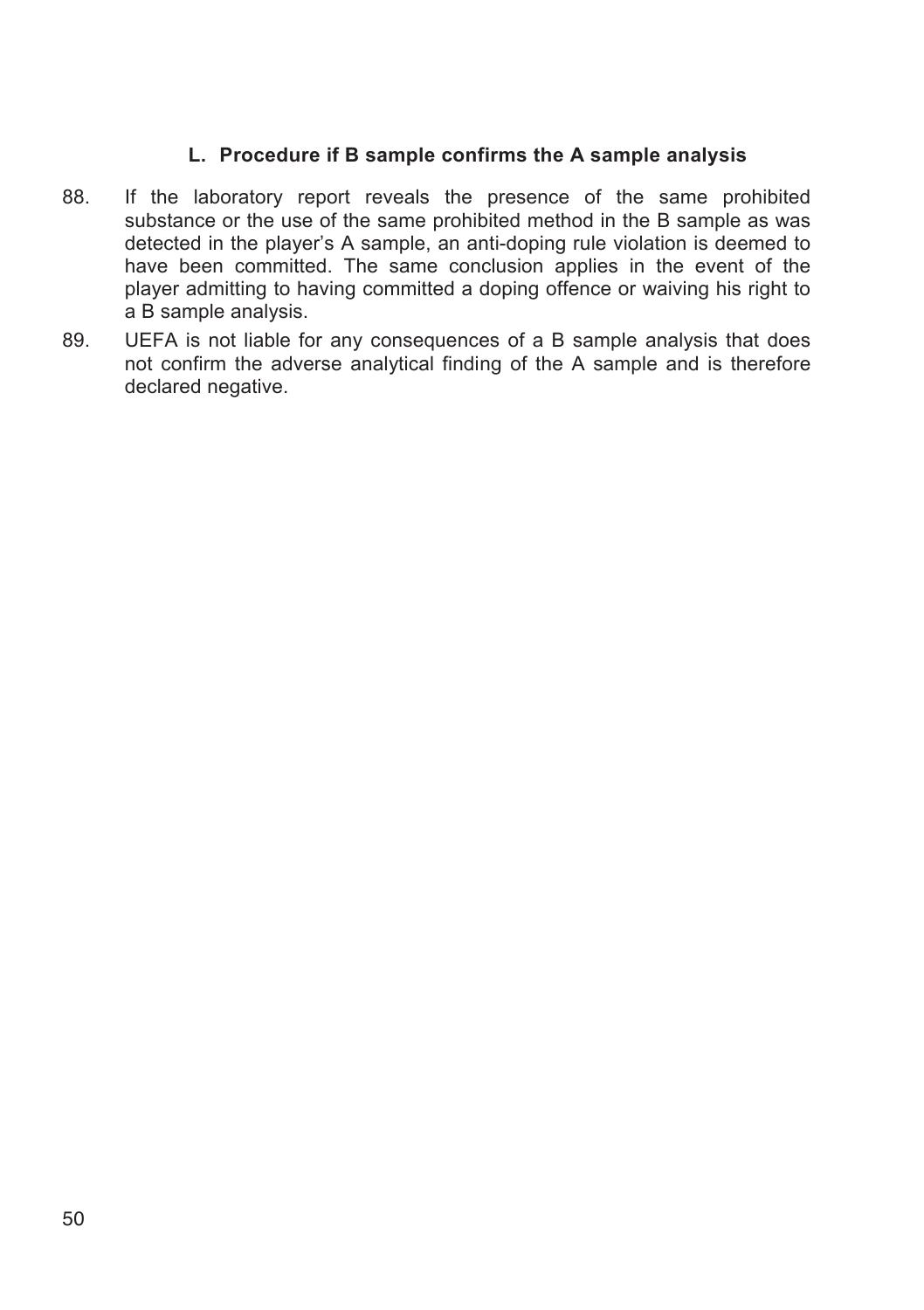#### **L. Procedure if B sample confirms the A sample analysis**

- 88. If the laboratory report reveals the presence of the same prohibited substance or the use of the same prohibited method in the B sample as was detected in the player's A sample, an anti-doping rule violation is deemed to have been committed. The same conclusion applies in the event of the player admitting to having committed a doping offence or waiving his right to a B sample analysis.
- 89. UEFA is not liable for any consequences of a B sample analysis that does not confirm the adverse analytical finding of the A sample and is therefore declared negative.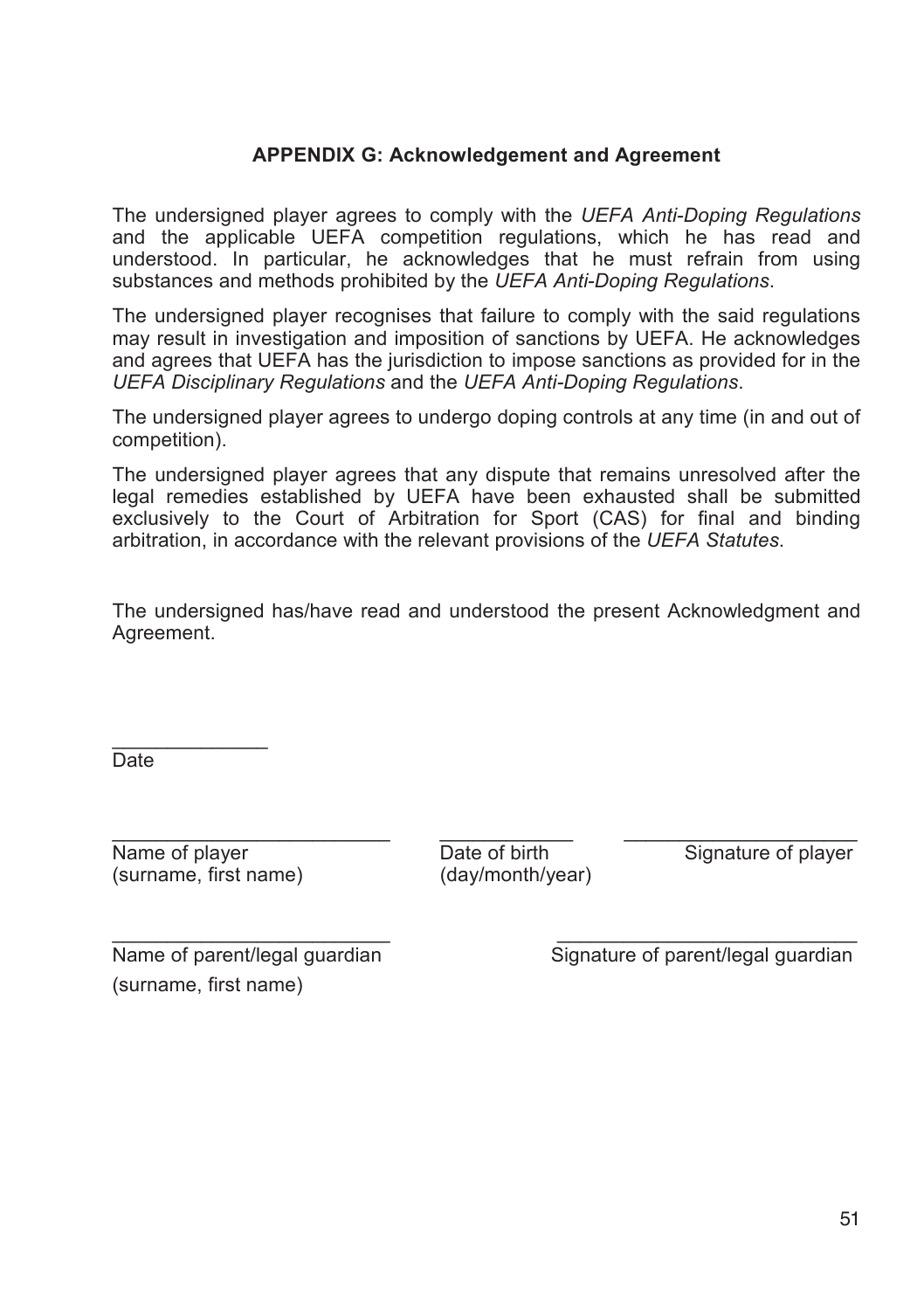#### **APPENDIX G: Acknowledgement and Agreement**

The undersigned player agrees to comply with the *UEFA Anti-Doping Regulations* and the applicable UEFA competition regulations, which he has read and understood. In particular, he acknowledges that he must refrain from using substances and methods prohibited by the *UEFA Anti-Doping Regulations*.

The undersigned player recognises that failure to comply with the said regulations may result in investigation and imposition of sanctions by UEFA. He acknowledges and agrees that UEFA has the jurisdiction to impose sanctions as provided for in the *UEFA Disciplinary Regulations* and the *UEFA Anti-Doping Regulations*.

The undersigned player agrees to undergo doping controls at any time (in and out of competition).

The undersigned player agrees that any dispute that remains unresolved after the legal remedies established by UEFA have been exhausted shall be submitted exclusively to the Court of Arbitration for Sport (CAS) for final and binding arbitration, in accordance with the relevant provisions of the *UEFA Statutes*.

The undersigned has/have read and understood the present Acknowledgment and Agreement.

\_\_\_\_\_\_\_\_\_\_\_\_\_\_ **Date** 

\_\_\_\_\_\_\_\_\_\_\_\_\_\_\_\_\_\_\_\_\_\_\_\_\_ \_\_\_\_\_\_\_\_\_\_\_\_ \_\_\_\_\_\_\_\_\_\_\_\_\_\_\_\_\_\_\_\_\_ Name of player **Date of birth Signature of player** (surname, first name) (day/month/year)

\_\_\_\_\_\_\_\_\_\_\_\_\_\_\_\_\_\_\_\_\_\_\_\_\_ \_\_\_\_\_\_\_\_\_\_\_\_\_\_\_\_\_\_\_\_\_\_\_\_\_\_\_ (surname, first name)

Name of parent/legal guardian Signature of parent/legal guardian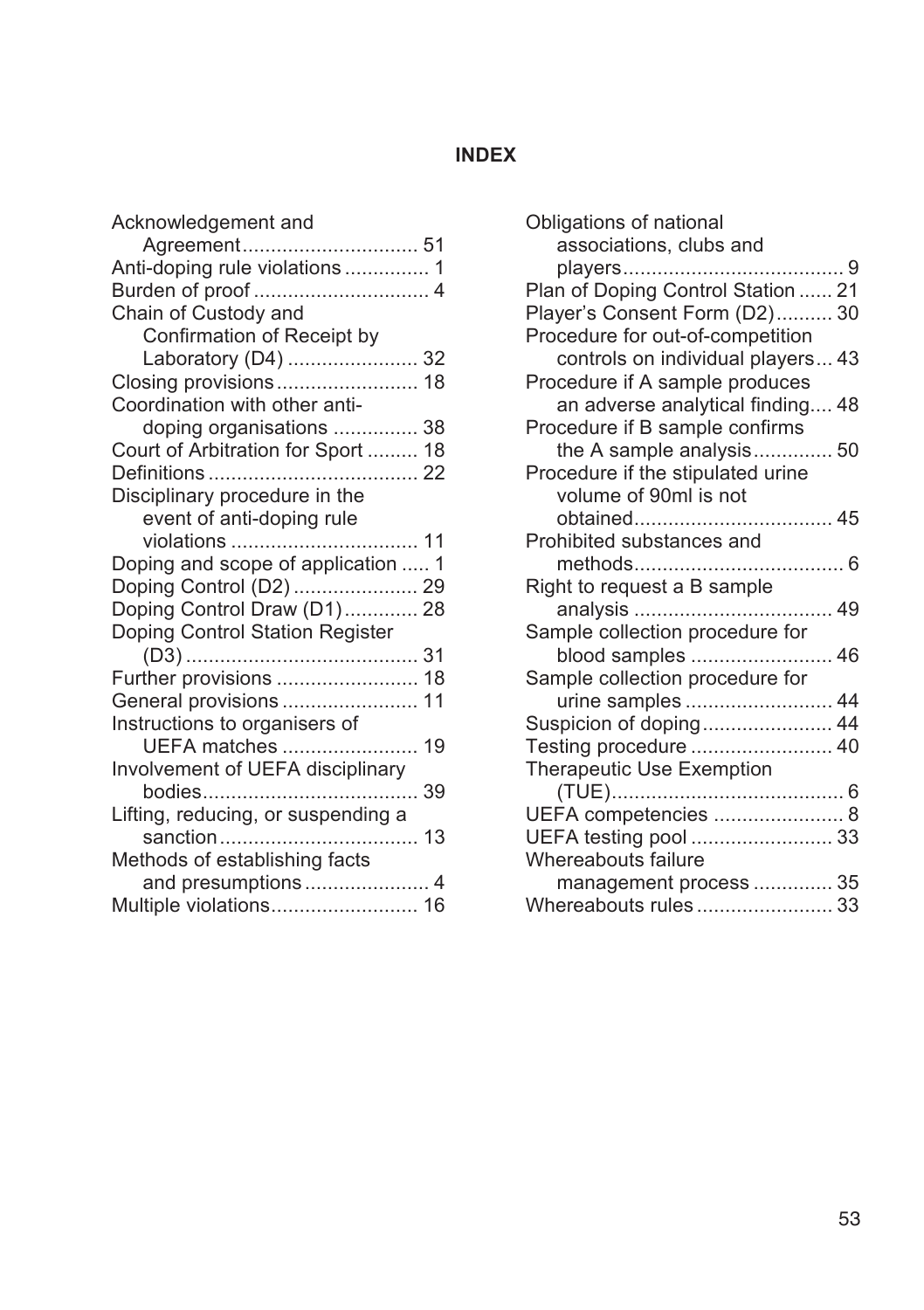## **INDEX**

| Acknowledgement and                |  |
|------------------------------------|--|
|                                    |  |
| Anti-doping rule violations 1      |  |
|                                    |  |
| Chain of Custody and               |  |
| Confirmation of Receipt by         |  |
| Laboratory (D4)  32                |  |
|                                    |  |
| Coordination with other anti-      |  |
| doping organisations  38           |  |
| Court of Arbitration for Sport  18 |  |
|                                    |  |
| Disciplinary procedure in the      |  |
| event of anti-doping rule          |  |
|                                    |  |
| Doping and scope of application  1 |  |
| Doping Control (D2)  29            |  |
| Doping Control Draw (D1) 28        |  |
| Doping Control Station Register    |  |
|                                    |  |
| Further provisions  18             |  |
| General provisions  11             |  |
| Instructions to organisers of      |  |
| UEFA matches  19                   |  |
| Involvement of UEFA disciplinary   |  |
|                                    |  |
| Lifting, reducing, or suspending a |  |
|                                    |  |
| Methods of establishing facts      |  |
| and presumptions  4                |  |
| Multiple violations 16             |  |

| Obligations of national                         |  |
|-------------------------------------------------|--|
| associations, clubs and                         |  |
|                                                 |  |
| Plan of Doping Control Station  21              |  |
| Player's Consent Form (D2) 30                   |  |
| Procedure for out-of-competition                |  |
| controls on individual players 43               |  |
| Procedure if A sample produces                  |  |
| an adverse analytical finding 48                |  |
| Procedure if B sample confirms                  |  |
| the A sample analysis 50                        |  |
| Procedure if the stipulated urine               |  |
| volume of 90ml is not                           |  |
|                                                 |  |
| Prohibited substances and                       |  |
|                                                 |  |
| Right to request a B sample                     |  |
|                                                 |  |
| Sample collection procedure for                 |  |
| blood samples  46                               |  |
| Sample collection procedure for                 |  |
| urine samples  44                               |  |
| Suspicion of doping 44                          |  |
| Testing procedure  40                           |  |
| Therapeutic Use Exemption                       |  |
|                                                 |  |
| UEFA competencies  8                            |  |
| UEFA testing pool  33                           |  |
| Whereabouts failure                             |  |
|                                                 |  |
| management process  35<br>Whereabouts rules  33 |  |
|                                                 |  |